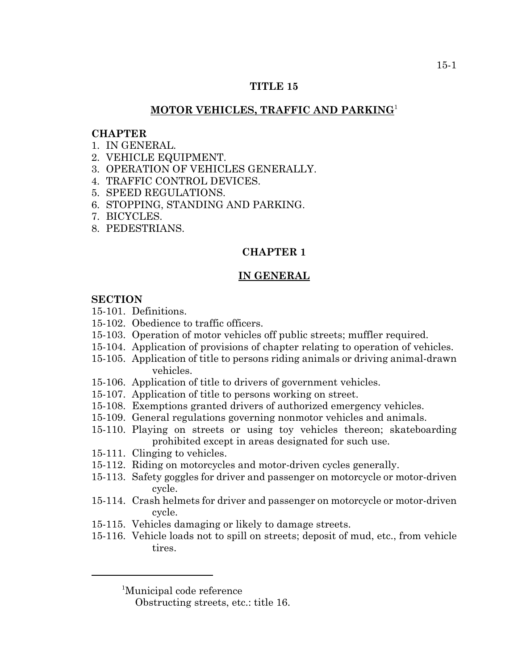#### **TITLE 15**

# **MOTOR VEHICLES, TRAFFIC AND PARKING**<sup>1</sup>

#### **CHAPTER**

- 1. IN GENERAL.
- 2. VEHICLE EQUIPMENT.
- 3. OPERATION OF VEHICLES GENERALLY.
- 4. TRAFFIC CONTROL DEVICES.
- 5. SPEED REGULATIONS.
- 6. STOPPING, STANDING AND PARKING.
- 7. BICYCLES.
- 8. PEDESTRIANS.

### **CHAPTER 1**

### **IN GENERAL**

# **SECTION**

- 15-101. Definitions.
- 15-102. Obedience to traffic officers.
- 15-103. Operation of motor vehicles off public streets; muffler required.
- 15-104. Application of provisions of chapter relating to operation of vehicles.
- 15-105. Application of title to persons riding animals or driving animal-drawn vehicles.
- 15-106. Application of title to drivers of government vehicles.
- 15-107. Application of title to persons working on street.
- 15-108. Exemptions granted drivers of authorized emergency vehicles.
- 15-109. General regulations governing nonmotor vehicles and animals.
- 15-110. Playing on streets or using toy vehicles thereon; skateboarding prohibited except in areas designated for such use.
- 15-111. Clinging to vehicles.
- 15-112. Riding on motorcycles and motor-driven cycles generally.
- 15-113. Safety goggles for driver and passenger on motorcycle or motor-driven cycle.
- 15-114. Crash helmets for driver and passenger on motorcycle or motor-driven cycle.
- 15-115. Vehicles damaging or likely to damage streets.
- 15-116. Vehicle loads not to spill on streets; deposit of mud, etc., from vehicle tires.

<sup>1</sup> Municipal code reference

Obstructing streets, etc.: title 16.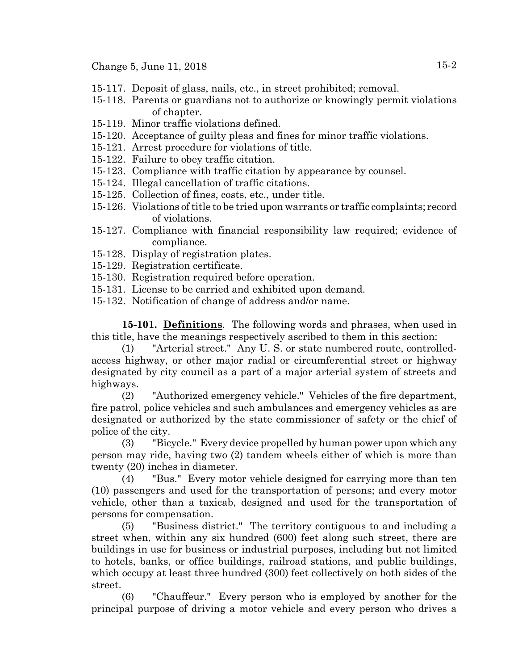Change 5, June 11, 2018 15-2

- 15-117. Deposit of glass, nails, etc., in street prohibited; removal.
- 15-118. Parents or guardians not to authorize or knowingly permit violations of chapter.
- 15-119. Minor traffic violations defined.
- 15-120. Acceptance of guilty pleas and fines for minor traffic violations.
- 15-121. Arrest procedure for violations of title.
- 15-122. Failure to obey traffic citation.
- 15-123. Compliance with traffic citation by appearance by counsel.
- 15-124. Illegal cancellation of traffic citations.
- 15-125. Collection of fines, costs, etc., under title.
- 15-126. Violations of title to be tried upon warrants or traffic complaints; record of violations.
- 15-127. Compliance with financial responsibility law required; evidence of compliance.
- 15-128. Display of registration plates.
- 15-129. Registration certificate.
- 15-130. Registration required before operation.
- 15-131. License to be carried and exhibited upon demand.
- 15-132. Notification of change of address and/or name.

**15-101. Definitions**. The following words and phrases, when used in this title, have the meanings respectively ascribed to them in this section:

(1) "Arterial street." Any U. S. or state numbered route, controlledaccess highway, or other major radial or circumferential street or highway designated by city council as a part of a major arterial system of streets and highways.

(2) "Authorized emergency vehicle." Vehicles of the fire department, fire patrol, police vehicles and such ambulances and emergency vehicles as are designated or authorized by the state commissioner of safety or the chief of police of the city.

(3) "Bicycle." Every device propelled by human power upon which any person may ride, having two (2) tandem wheels either of which is more than twenty (20) inches in diameter.

(4) "Bus." Every motor vehicle designed for carrying more than ten (10) passengers and used for the transportation of persons; and every motor vehicle, other than a taxicab, designed and used for the transportation of persons for compensation.

(5) "Business district." The territory contiguous to and including a street when, within any six hundred (600) feet along such street, there are buildings in use for business or industrial purposes, including but not limited to hotels, banks, or office buildings, railroad stations, and public buildings, which occupy at least three hundred (300) feet collectively on both sides of the street.

(6) "Chauffeur." Every person who is employed by another for the principal purpose of driving a motor vehicle and every person who drives a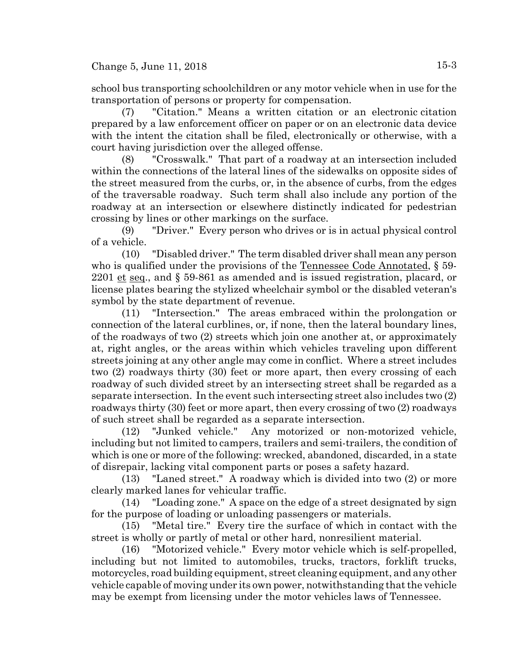school bus transporting schoolchildren or any motor vehicle when in use for the transportation of persons or property for compensation.

(7) "Citation." Means a written citation or an electronic citation prepared by a law enforcement officer on paper or on an electronic data device with the intent the citation shall be filed, electronically or otherwise, with a court having jurisdiction over the alleged offense.

(8) "Crosswalk." That part of a roadway at an intersection included within the connections of the lateral lines of the sidewalks on opposite sides of the street measured from the curbs, or, in the absence of curbs, from the edges of the traversable roadway. Such term shall also include any portion of the roadway at an intersection or elsewhere distinctly indicated for pedestrian crossing by lines or other markings on the surface.

(9) "Driver." Every person who drives or is in actual physical control of a vehicle.

(10) "Disabled driver." The term disabled driver shall mean any person who is qualified under the provisions of the Tennessee Code Annotated, § 59-2201 et seq., and § 59-861 as amended and is issued registration, placard, or license plates bearing the stylized wheelchair symbol or the disabled veteran's symbol by the state department of revenue.

(11) "Intersection." The areas embraced within the prolongation or connection of the lateral curblines, or, if none, then the lateral boundary lines, of the roadways of two (2) streets which join one another at, or approximately at, right angles, or the areas within which vehicles traveling upon different streets joining at any other angle may come in conflict. Where a street includes two (2) roadways thirty (30) feet or more apart, then every crossing of each roadway of such divided street by an intersecting street shall be regarded as a separate intersection. In the event such intersecting street also includes two (2) roadways thirty (30) feet or more apart, then every crossing of two (2) roadways of such street shall be regarded as a separate intersection.

(12) "Junked vehicle." Any motorized or non-motorized vehicle, including but not limited to campers, trailers and semi-trailers, the condition of which is one or more of the following: wrecked, abandoned, discarded, in a state of disrepair, lacking vital component parts or poses a safety hazard.

(13) "Laned street." A roadway which is divided into two (2) or more clearly marked lanes for vehicular traffic.

(14) "Loading zone." A space on the edge of a street designated by sign for the purpose of loading or unloading passengers or materials.

(15) "Metal tire." Every tire the surface of which in contact with the street is wholly or partly of metal or other hard, nonresilient material.

(16) "Motorized vehicle." Every motor vehicle which is self-propelled, including but not limited to automobiles, trucks, tractors, forklift trucks, motorcycles, road building equipment, street cleaning equipment, and any other vehicle capable of moving under its own power, notwithstanding that the vehicle may be exempt from licensing under the motor vehicles laws of Tennessee.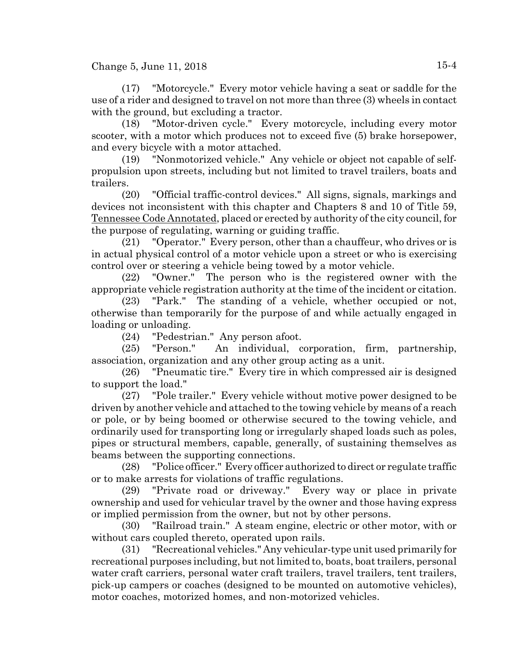Change 5, June 11, 2018  $15-4$ 

(17) "Motorcycle." Every motor vehicle having a seat or saddle for the use of a rider and designed to travel on not more than three (3) wheels in contact with the ground, but excluding a tractor.

(18) "Motor-driven cycle." Every motorcycle, including every motor scooter, with a motor which produces not to exceed five (5) brake horsepower, and every bicycle with a motor attached.

(19) "Nonmotorized vehicle." Any vehicle or object not capable of selfpropulsion upon streets, including but not limited to travel trailers, boats and trailers.

(20) "Official traffic-control devices." All signs, signals, markings and devices not inconsistent with this chapter and Chapters 8 and 10 of Title 59, Tennessee Code Annotated, placed or erected by authority of the city council, for the purpose of regulating, warning or guiding traffic.

(21) "Operator." Every person, other than a chauffeur, who drives or is in actual physical control of a motor vehicle upon a street or who is exercising control over or steering a vehicle being towed by a motor vehicle.

(22) "Owner." The person who is the registered owner with the appropriate vehicle registration authority at the time of the incident or citation.

(23) "Park." The standing of a vehicle, whether occupied or not, otherwise than temporarily for the purpose of and while actually engaged in loading or unloading.

(24) "Pedestrian." Any person afoot.

(25) "Person." An individual, corporation, firm, partnership, association, organization and any other group acting as a unit.

(26) "Pneumatic tire." Every tire in which compressed air is designed to support the load."

(27) "Pole trailer." Every vehicle without motive power designed to be driven by another vehicle and attached to the towing vehicle by means of a reach or pole, or by being boomed or otherwise secured to the towing vehicle, and ordinarily used for transporting long or irregularly shaped loads such as poles, pipes or structural members, capable, generally, of sustaining themselves as beams between the supporting connections.

(28) "Police officer." Every officer authorized to direct or regulate traffic or to make arrests for violations of traffic regulations.

(29) "Private road or driveway." Every way or place in private ownership and used for vehicular travel by the owner and those having express or implied permission from the owner, but not by other persons.

(30) "Railroad train." A steam engine, electric or other motor, with or without cars coupled thereto, operated upon rails.

(31) "Recreational vehicles." Any vehicular-type unit used primarily for recreational purposes including, but not limited to, boats, boat trailers, personal water craft carriers, personal water craft trailers, travel trailers, tent trailers, pick-up campers or coaches (designed to be mounted on automotive vehicles), motor coaches, motorized homes, and non-motorized vehicles.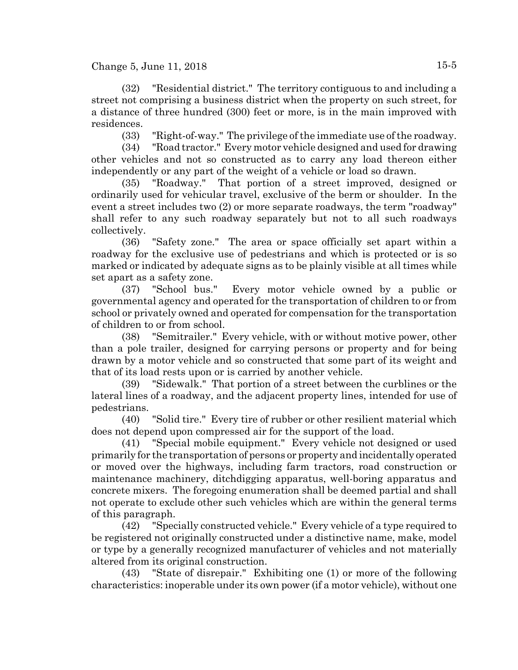(32) "Residential district." The territory contiguous to and including a street not comprising a business district when the property on such street, for a distance of three hundred (300) feet or more, is in the main improved with residences.

(33) "Right-of-way." The privilege of the immediate use of the roadway.

(34) "Road tractor." Every motor vehicle designed and used for drawing other vehicles and not so constructed as to carry any load thereon either independently or any part of the weight of a vehicle or load so drawn.

(35) "Roadway." That portion of a street improved, designed or ordinarily used for vehicular travel, exclusive of the berm or shoulder. In the event a street includes two (2) or more separate roadways, the term "roadway" shall refer to any such roadway separately but not to all such roadways collectively.

(36) "Safety zone." The area or space officially set apart within a roadway for the exclusive use of pedestrians and which is protected or is so marked or indicated by adequate signs as to be plainly visible at all times while set apart as a safety zone.

(37) "School bus." Every motor vehicle owned by a public or governmental agency and operated for the transportation of children to or from school or privately owned and operated for compensation for the transportation of children to or from school.

(38) "Semitrailer." Every vehicle, with or without motive power, other than a pole trailer, designed for carrying persons or property and for being drawn by a motor vehicle and so constructed that some part of its weight and that of its load rests upon or is carried by another vehicle.

(39) "Sidewalk." That portion of a street between the curblines or the lateral lines of a roadway, and the adjacent property lines, intended for use of pedestrians.

(40) "Solid tire." Every tire of rubber or other resilient material which does not depend upon compressed air for the support of the load.

(41) "Special mobile equipment." Every vehicle not designed or used primarily for the transportation of persons or property and incidentally operated or moved over the highways, including farm tractors, road construction or maintenance machinery, ditchdigging apparatus, well-boring apparatus and concrete mixers. The foregoing enumeration shall be deemed partial and shall not operate to exclude other such vehicles which are within the general terms of this paragraph.

(42) "Specially constructed vehicle." Every vehicle of a type required to be registered not originally constructed under a distinctive name, make, model or type by a generally recognized manufacturer of vehicles and not materially altered from its original construction.

(43) "State of disrepair." Exhibiting one (1) or more of the following characteristics: inoperable under its own power (if a motor vehicle), without one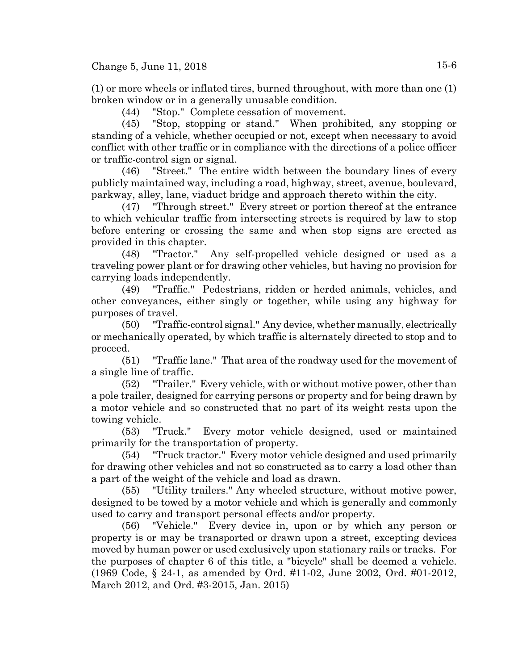(1) or more wheels or inflated tires, burned throughout, with more than one (1) broken window or in a generally unusable condition.

(44) "Stop." Complete cessation of movement.

(45) "Stop, stopping or stand." When prohibited, any stopping or standing of a vehicle, whether occupied or not, except when necessary to avoid conflict with other traffic or in compliance with the directions of a police officer or traffic-control sign or signal.

(46) "Street." The entire width between the boundary lines of every publicly maintained way, including a road, highway, street, avenue, boulevard, parkway, alley, lane, viaduct bridge and approach thereto within the city.

(47) "Through street." Every street or portion thereof at the entrance to which vehicular traffic from intersecting streets is required by law to stop before entering or crossing the same and when stop signs are erected as provided in this chapter.

(48) "Tractor." Any self-propelled vehicle designed or used as a traveling power plant or for drawing other vehicles, but having no provision for carrying loads independently.

(49) "Traffic." Pedestrians, ridden or herded animals, vehicles, and other conveyances, either singly or together, while using any highway for purposes of travel.

(50) "Traffic-control signal." Any device, whether manually, electrically or mechanically operated, by which traffic is alternately directed to stop and to proceed.

(51) "Traffic lane." That area of the roadway used for the movement of a single line of traffic.

(52) "Trailer." Every vehicle, with or without motive power, other than a pole trailer, designed for carrying persons or property and for being drawn by a motor vehicle and so constructed that no part of its weight rests upon the towing vehicle.

(53) "Truck." Every motor vehicle designed, used or maintained primarily for the transportation of property.

(54) "Truck tractor." Every motor vehicle designed and used primarily for drawing other vehicles and not so constructed as to carry a load other than a part of the weight of the vehicle and load as drawn.

(55) "Utility trailers." Any wheeled structure, without motive power, designed to be towed by a motor vehicle and which is generally and commonly used to carry and transport personal effects and/or property.

(56) "Vehicle." Every device in, upon or by which any person or property is or may be transported or drawn upon a street, excepting devices moved by human power or used exclusively upon stationary rails or tracks. For the purposes of chapter 6 of this title, a "bicycle" shall be deemed a vehicle. (1969 Code, § 24-1, as amended by Ord. #11-02, June 2002, Ord. #01-2012, March 2012, and Ord. #3-2015, Jan. 2015)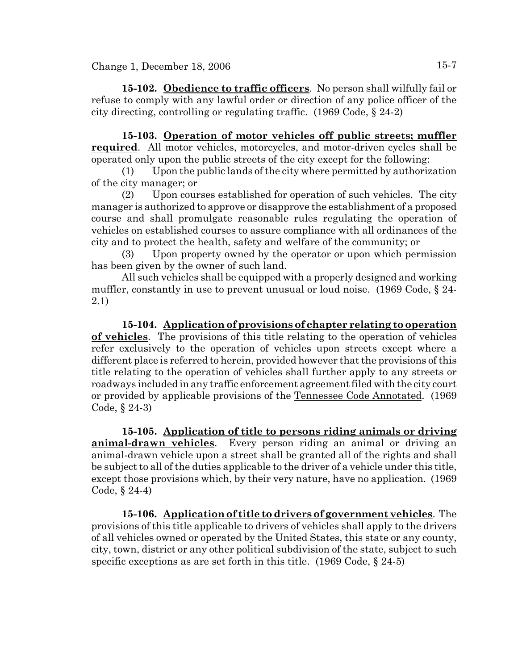**15-102. Obedience to traffic officers**. No person shall wilfully fail or refuse to comply with any lawful order or direction of any police officer of the city directing, controlling or regulating traffic. (1969 Code, § 24-2)

**15-103. Operation of motor vehicles off public streets; muffler required**. All motor vehicles, motorcycles, and motor-driven cycles shall be operated only upon the public streets of the city except for the following:

(1) Upon the public lands of the city where permitted by authorization of the city manager; or

(2) Upon courses established for operation of such vehicles. The city manager is authorized to approve or disapprove the establishment of a proposed course and shall promulgate reasonable rules regulating the operation of vehicles on established courses to assure compliance with all ordinances of the city and to protect the health, safety and welfare of the community; or

(3) Upon property owned by the operator or upon which permission has been given by the owner of such land.

All such vehicles shall be equipped with a properly designed and working muffler, constantly in use to prevent unusual or loud noise. (1969 Code, § 24- 2.1)

**15-104. Application of provisions of chapter relating to operation of vehicles**. The provisions of this title relating to the operation of vehicles refer exclusively to the operation of vehicles upon streets except where a different place is referred to herein, provided however that the provisions of this title relating to the operation of vehicles shall further apply to any streets or roadways included in any traffic enforcement agreement filed with the city court or provided by applicable provisions of the Tennessee Code Annotated. (1969 Code, § 24-3)

**15-105. Application of title to persons riding animals or driving animal-drawn vehicles**. Every person riding an animal or driving an animal-drawn vehicle upon a street shall be granted all of the rights and shall be subject to all of the duties applicable to the driver of a vehicle under this title, except those provisions which, by their very nature, have no application. (1969 Code, § 24-4)

**15-106. Application of title to drivers of government vehicles**. The provisions of this title applicable to drivers of vehicles shall apply to the drivers of all vehicles owned or operated by the United States, this state or any county, city, town, district or any other political subdivision of the state, subject to such specific exceptions as are set forth in this title. (1969 Code, § 24-5)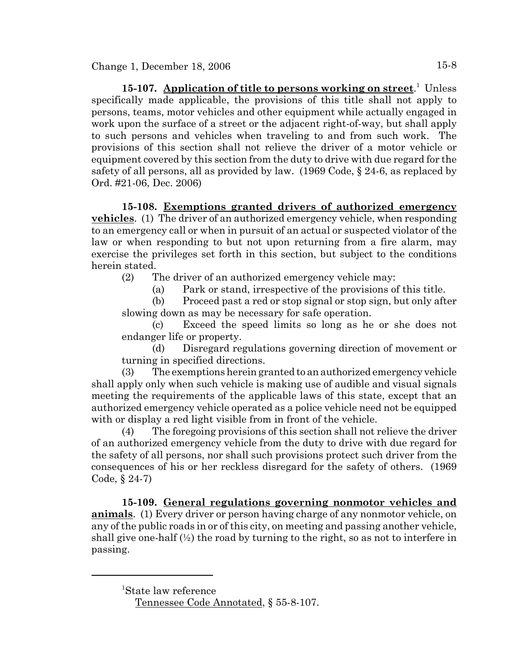15-107. Application of title to persons working on street.<sup>1</sup> Unless specifically made applicable, the provisions of this title shall not apply to persons, teams, motor vehicles and other equipment while actually engaged in work upon the surface of a street or the adjacent right-of-way, but shall apply to such persons and vehicles when traveling to and from such work. The provisions of this section shall not relieve the driver of a motor vehicle or equipment covered by this section from the duty to drive with due regard for the safety of all persons, all as provided by law. (1969 Code, § 24-6, as replaced by Ord. #21-06, Dec. 2006)

**15-108. Exemptions granted drivers of authorized emergency vehicles**. (1) The driver of an authorized emergency vehicle, when responding to an emergency call or when in pursuit of an actual or suspected violator of the law or when responding to but not upon returning from a fire alarm, may exercise the privileges set forth in this section, but subject to the conditions herein stated.

(2) The driver of an authorized emergency vehicle may:

(a) Park or stand, irrespective of the provisions of this title.

(b) Proceed past a red or stop signal or stop sign, but only after slowing down as may be necessary for safe operation.

(c) Exceed the speed limits so long as he or she does not endanger life or property.

(d) Disregard regulations governing direction of movement or turning in specified directions.

(3) The exemptions herein granted to an authorized emergency vehicle shall apply only when such vehicle is making use of audible and visual signals meeting the requirements of the applicable laws of this state, except that an authorized emergency vehicle operated as a police vehicle need not be equipped with or display a red light visible from in front of the vehicle.

(4) The foregoing provisions of this section shall not relieve the driver of an authorized emergency vehicle from the duty to drive with due regard for the safety of all persons, nor shall such provisions protect such driver from the consequences of his or her reckless disregard for the safety of others. (1969 Code, § 24-7)

**15-109. General regulations governing nonmotor vehicles and animals**. (1) Every driver or person having charge of any nonmotor vehicle, on any of the public roads in or of this city, on meeting and passing another vehicle, shall give one-half  $\binom{1}{2}$  the road by turning to the right, so as not to interfere in passing.

<sup>1</sup> State law reference

Tennessee Code Annotated, § 55-8-107.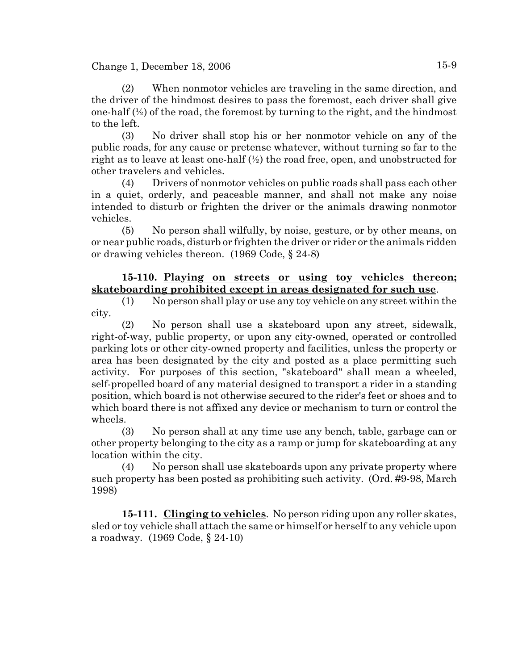(2) When nonmotor vehicles are traveling in the same direction, and the driver of the hindmost desires to pass the foremost, each driver shall give one-half  $(\frac{1}{2})$  of the road, the foremost by turning to the right, and the hindmost to the left.

(3) No driver shall stop his or her nonmotor vehicle on any of the public roads, for any cause or pretense whatever, without turning so far to the right as to leave at least one-half  $\mathcal{V}_2$  the road free, open, and unobstructed for other travelers and vehicles.

(4) Drivers of nonmotor vehicles on public roads shall pass each other in a quiet, orderly, and peaceable manner, and shall not make any noise intended to disturb or frighten the driver or the animals drawing nonmotor vehicles.

(5) No person shall wilfully, by noise, gesture, or by other means, on or near public roads, disturb or frighten the driver or rider or the animals ridden or drawing vehicles thereon. (1969 Code, § 24-8)

### **15-110. Playing on streets or using toy vehicles thereon; skateboarding prohibited except in areas designated for such use**.

(1) No person shall play or use any toy vehicle on any street within the city.

(2) No person shall use a skateboard upon any street, sidewalk, right-of-way, public property, or upon any city-owned, operated or controlled parking lots or other city-owned property and facilities, unless the property or area has been designated by the city and posted as a place permitting such activity. For purposes of this section, "skateboard" shall mean a wheeled, self-propelled board of any material designed to transport a rider in a standing position, which board is not otherwise secured to the rider's feet or shoes and to which board there is not affixed any device or mechanism to turn or control the wheels.

(3) No person shall at any time use any bench, table, garbage can or other property belonging to the city as a ramp or jump for skateboarding at any location within the city.

(4) No person shall use skateboards upon any private property where such property has been posted as prohibiting such activity. (Ord. #9-98, March 1998)

**15-111. Clinging to vehicles**. No person riding upon any roller skates, sled or toy vehicle shall attach the same or himself or herself to any vehicle upon a roadway. (1969 Code, § 24-10)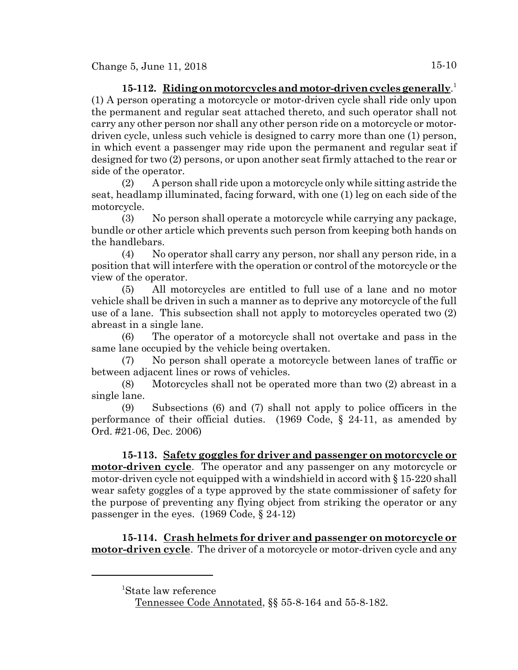# **15-112. Riding on motorcycles and motor-driven cycles generally**. 1 (1) A person operating a motorcycle or motor-driven cycle shall ride only upon the permanent and regular seat attached thereto, and such operator shall not carry any other person nor shall any other person ride on a motorcycle or motordriven cycle, unless such vehicle is designed to carry more than one (1) person, in which event a passenger may ride upon the permanent and regular seat if designed for two (2) persons, or upon another seat firmly attached to the rear or side of the operator.

(2) A person shall ride upon a motorcycle only while sitting astride the seat, headlamp illuminated, facing forward, with one (1) leg on each side of the motorcycle.

(3) No person shall operate a motorcycle while carrying any package, bundle or other article which prevents such person from keeping both hands on the handlebars.

(4) No operator shall carry any person, nor shall any person ride, in a position that will interfere with the operation or control of the motorcycle or the view of the operator.

(5) All motorcycles are entitled to full use of a lane and no motor vehicle shall be driven in such a manner as to deprive any motorcycle of the full use of a lane. This subsection shall not apply to motorcycles operated two (2) abreast in a single lane.

(6) The operator of a motorcycle shall not overtake and pass in the same lane occupied by the vehicle being overtaken.

(7) No person shall operate a motorcycle between lanes of traffic or between adjacent lines or rows of vehicles.

(8) Motorcycles shall not be operated more than two (2) abreast in a single lane.

(9) Subsections (6) and (7) shall not apply to police officers in the performance of their official duties. (1969 Code, § 24-11, as amended by Ord. #21-06, Dec. 2006)

**15-113. Safety goggles for driver and passenger on motorcycle or motor-driven cycle**. The operator and any passenger on any motorcycle or motor-driven cycle not equipped with a windshield in accord with § 15-220 shall wear safety goggles of a type approved by the state commissioner of safety for the purpose of preventing any flying object from striking the operator or any passenger in the eyes. (1969 Code, § 24-12)

**15-114. Crash helmets for driver and passenger on motorcycle or motor-driven cycle**. The driver of a motorcycle or motor-driven cycle and any

<sup>1</sup> State law reference

Tennessee Code Annotated, §§ 55-8-164 and 55-8-182.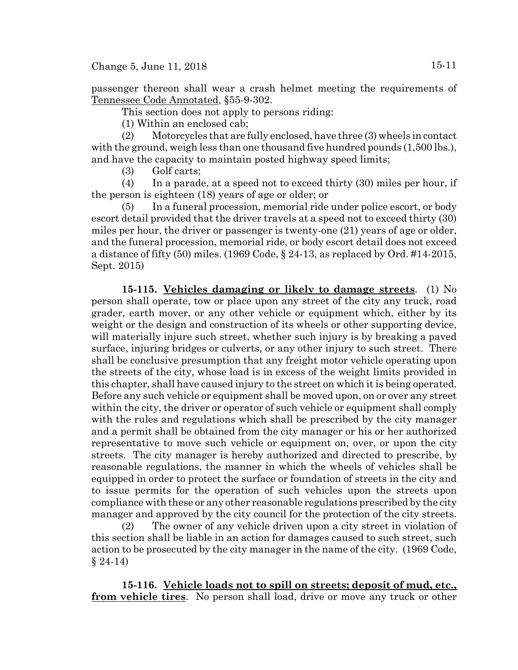Change 5, June 11, 2018  $15-11$ 

passenger thereon shall wear a crash helmet meeting the requirements of Tennessee Code Annotated, §55-9-302.

This section does not apply to persons riding:

(1) Within an enclosed cab;

(2) Motorcycles that are fully enclosed, have three (3) wheels in contact with the ground, weigh less than one thousand five hundred pounds (1,500 lbs.), and have the capacity to maintain posted highway speed limits;

(3) Golf carts;

(4) In a parade, at a speed not to exceed thirty (30) miles per hour, if the person is eighteen (18) years of age or older; or

(5) In a funeral procession, memorial ride under police escort, or body escort detail provided that the driver travels at a speed not to exceed thirty (30) miles per hour, the driver or passenger is twenty-one (21) years of age or older, and the funeral procession, memorial ride, or body escort detail does not exceed a distance of fifty  $(50)$  miles.  $(1969 \text{ Code}, \S 24-13)$ , as replaced by Ord. #14-2015, Sept. 2015)

**15-115. Vehicles damaging or likely to damage streets**. (1) No person shall operate, tow or place upon any street of the city any truck, road grader, earth mover, or any other vehicle or equipment which, either by its weight or the design and construction of its wheels or other supporting device, will materially injure such street, whether such injury is by breaking a paved surface, injuring bridges or culverts, or any other injury to such street. There shall be conclusive presumption that any freight motor vehicle operating upon the streets of the city, whose load is in excess of the weight limits provided in this chapter, shall have caused injury to the street on which it is being operated. Before any such vehicle or equipment shall be moved upon, on or over any street within the city, the driver or operator of such vehicle or equipment shall comply with the rules and regulations which shall be prescribed by the city manager and a permit shall be obtained from the city manager or his or her authorized representative to move such vehicle or equipment on, over, or upon the city streets. The city manager is hereby authorized and directed to prescribe, by reasonable regulations, the manner in which the wheels of vehicles shall be equipped in order to protect the surface or foundation of streets in the city and to issue permits for the operation of such vehicles upon the streets upon compliance with these or any other reasonable regulations prescribed by the city manager and approved by the city council for the protection of the city streets.

(2) The owner of any vehicle driven upon a city street in violation of this section shall be liable in an action for damages caused to such street, such action to be prosecuted by the city manager in the name of the city. (1969 Code,  $§ 24-14)$ 

**15-116. Vehicle loads not to spill on streets; deposit of mud, etc., from vehicle tires**. No person shall load, drive or move any truck or other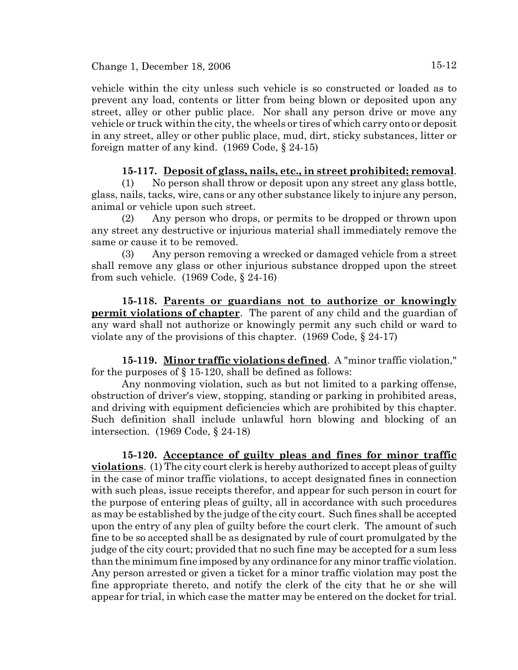vehicle within the city unless such vehicle is so constructed or loaded as to prevent any load, contents or litter from being blown or deposited upon any street, alley or other public place. Nor shall any person drive or move any vehicle or truck within the city, the wheels or tires of which carry onto or deposit in any street, alley or other public place, mud, dirt, sticky substances, litter or foreign matter of any kind. (1969 Code, § 24-15)

### **15-117. Deposit of glass, nails, etc., in street prohibited; removal**.

(1) No person shall throw or deposit upon any street any glass bottle, glass, nails, tacks, wire, cans or any other substance likely to injure any person, animal or vehicle upon such street.

(2) Any person who drops, or permits to be dropped or thrown upon any street any destructive or injurious material shall immediately remove the same or cause it to be removed.

(3) Any person removing a wrecked or damaged vehicle from a street shall remove any glass or other injurious substance dropped upon the street from such vehicle. (1969 Code, § 24-16)

**15-118. Parents or guardians not to authorize or knowingly permit violations of chapter**. The parent of any child and the guardian of any ward shall not authorize or knowingly permit any such child or ward to violate any of the provisions of this chapter. (1969 Code, § 24-17)

**15-119. Minor traffic violations defined**. A "minor traffic violation," for the purposes of  $\S 15-120$ , shall be defined as follows:

Any nonmoving violation, such as but not limited to a parking offense, obstruction of driver's view, stopping, standing or parking in prohibited areas, and driving with equipment deficiencies which are prohibited by this chapter. Such definition shall include unlawful horn blowing and blocking of an intersection. (1969 Code, § 24-18)

**15-120. Acceptance of guilty pleas and fines for minor traffic violations**. (1) The city court clerk is hereby authorized to accept pleas of guilty in the case of minor traffic violations, to accept designated fines in connection with such pleas, issue receipts therefor, and appear for such person in court for the purpose of entering pleas of guilty, all in accordance with such procedures as may be established by the judge of the city court. Such fines shall be accepted upon the entry of any plea of guilty before the court clerk. The amount of such fine to be so accepted shall be as designated by rule of court promulgated by the judge of the city court; provided that no such fine may be accepted for a sum less than the minimum fine imposed by any ordinance for any minor traffic violation. Any person arrested or given a ticket for a minor traffic violation may post the fine appropriate thereto, and notify the clerk of the city that he or she will appear for trial, in which case the matter may be entered on the docket for trial.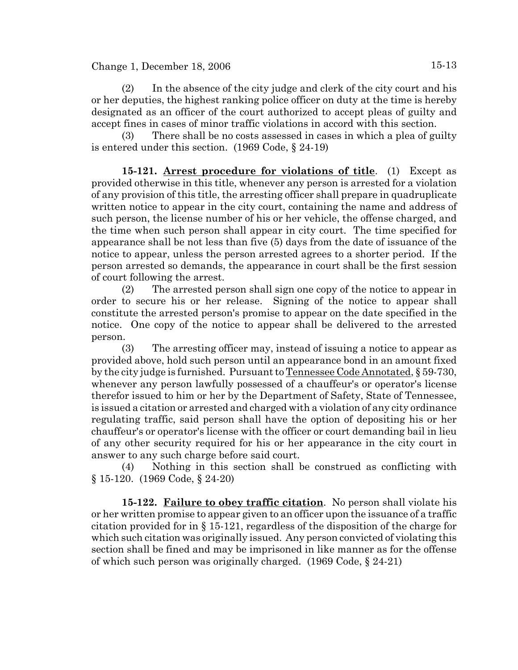(2) In the absence of the city judge and clerk of the city court and his or her deputies, the highest ranking police officer on duty at the time is hereby designated as an officer of the court authorized to accept pleas of guilty and accept fines in cases of minor traffic violations in accord with this section.

(3) There shall be no costs assessed in cases in which a plea of guilty is entered under this section. (1969 Code, § 24-19)

**15-121. Arrest procedure for violations of title**. (1) Except as provided otherwise in this title, whenever any person is arrested for a violation of any provision of this title, the arresting officer shall prepare in quadruplicate written notice to appear in the city court, containing the name and address of such person, the license number of his or her vehicle, the offense charged, and the time when such person shall appear in city court. The time specified for appearance shall be not less than five (5) days from the date of issuance of the notice to appear, unless the person arrested agrees to a shorter period. If the person arrested so demands, the appearance in court shall be the first session of court following the arrest.

(2) The arrested person shall sign one copy of the notice to appear in order to secure his or her release. Signing of the notice to appear shall constitute the arrested person's promise to appear on the date specified in the notice. One copy of the notice to appear shall be delivered to the arrested person.

(3) The arresting officer may, instead of issuing a notice to appear as provided above, hold such person until an appearance bond in an amount fixed by the city judge is furnished. Pursuant to Tennessee Code Annotated, § 59-730, whenever any person lawfully possessed of a chauffeur's or operator's license therefor issued to him or her by the Department of Safety, State of Tennessee, is issued a citation or arrested and charged with a violation of any city ordinance regulating traffic, said person shall have the option of depositing his or her chauffeur's or operator's license with the officer or court demanding bail in lieu of any other security required for his or her appearance in the city court in answer to any such charge before said court.

(4) Nothing in this section shall be construed as conflicting with § 15-120. (1969 Code, § 24-20)

**15-122. Failure to obey traffic citation**. No person shall violate his or her written promise to appear given to an officer upon the issuance of a traffic citation provided for in § 15-121, regardless of the disposition of the charge for which such citation was originally issued. Any person convicted of violating this section shall be fined and may be imprisoned in like manner as for the offense of which such person was originally charged. (1969 Code, § 24-21)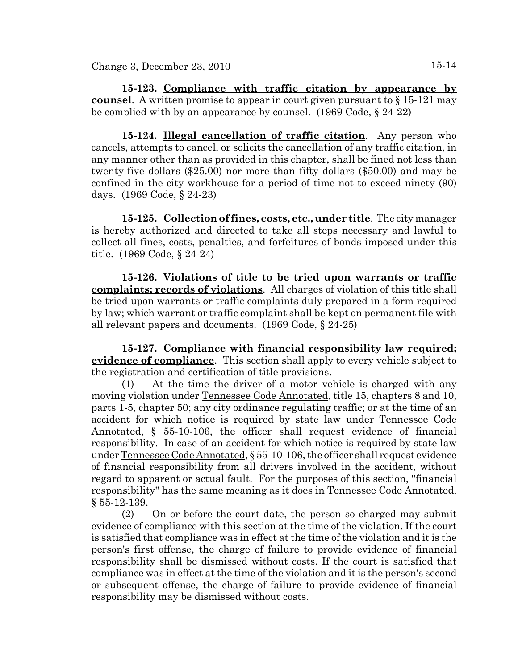**15-123. Compliance with traffic citation by appearance by counsel**. A written promise to appear in court given pursuant to § 15-121 may be complied with by an appearance by counsel. (1969 Code, § 24-22)

**15-124. Illegal cancellation of traffic citation**. Any person who cancels, attempts to cancel, or solicits the cancellation of any traffic citation, in any manner other than as provided in this chapter, shall be fined not less than twenty-five dollars (\$25.00) nor more than fifty dollars (\$50.00) and may be confined in the city workhouse for a period of time not to exceed ninety (90) days. (1969 Code, § 24-23)

**15-125. Collection of fines, costs, etc., under title**. The city manager is hereby authorized and directed to take all steps necessary and lawful to collect all fines, costs, penalties, and forfeitures of bonds imposed under this title. (1969 Code, § 24-24)

**15-126. Violations of title to be tried upon warrants or traffic complaints; records of violations**. All charges of violation of this title shall be tried upon warrants or traffic complaints duly prepared in a form required by law; which warrant or traffic complaint shall be kept on permanent file with all relevant papers and documents. (1969 Code, § 24-25)

**15-127. Compliance with financial responsibility law required; evidence of compliance**. This section shall apply to every vehicle subject to the registration and certification of title provisions.

(1) At the time the driver of a motor vehicle is charged with any moving violation under Tennessee Code Annotated, title 15, chapters 8 and 10, parts 1-5, chapter 50; any city ordinance regulating traffic; or at the time of an accident for which notice is required by state law under Tennessee Code Annotated, § 55-10-106, the officer shall request evidence of financial responsibility. In case of an accident for which notice is required by state law under Tennessee Code Annotated, § 55-10-106, the officer shall request evidence of financial responsibility from all drivers involved in the accident, without regard to apparent or actual fault. For the purposes of this section, "financial responsibility" has the same meaning as it does in Tennessee Code Annotated, § 55-12-139.

(2) On or before the court date, the person so charged may submit evidence of compliance with this section at the time of the violation. If the court is satisfied that compliance was in effect at the time of the violation and it is the person's first offense, the charge of failure to provide evidence of financial responsibility shall be dismissed without costs. If the court is satisfied that compliance was in effect at the time of the violation and it is the person's second or subsequent offense, the charge of failure to provide evidence of financial responsibility may be dismissed without costs.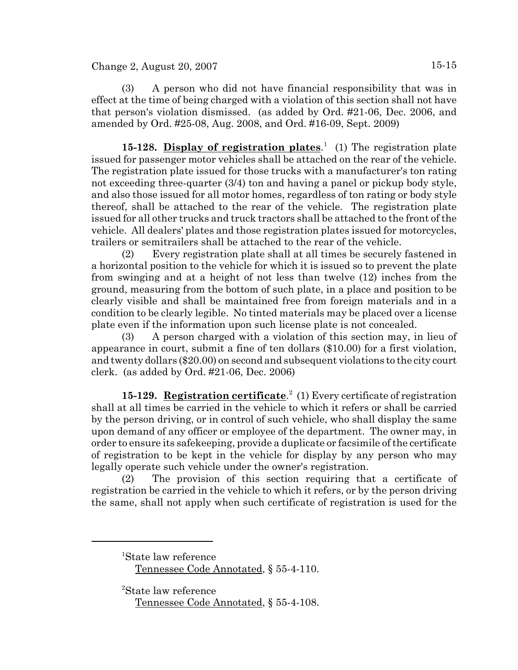(3) A person who did not have financial responsibility that was in effect at the time of being charged with a violation of this section shall not have that person's violation dismissed. (as added by Ord. #21-06, Dec. 2006, and amended by Ord. #25-08, Aug. 2008, and Ord. #16-09, Sept. 2009)

15-128. **Display of registration plates**.<sup>1</sup> (1) The registration plate issued for passenger motor vehicles shall be attached on the rear of the vehicle. The registration plate issued for those trucks with a manufacturer's ton rating not exceeding three-quarter (3/4) ton and having a panel or pickup body style, and also those issued for all motor homes, regardless of ton rating or body style thereof, shall be attached to the rear of the vehicle. The registration plate issued for all other trucks and truck tractors shall be attached to the front of the vehicle. All dealers' plates and those registration plates issued for motorcycles, trailers or semitrailers shall be attached to the rear of the vehicle.

(2) Every registration plate shall at all times be securely fastened in a horizontal position to the vehicle for which it is issued so to prevent the plate from swinging and at a height of not less than twelve (12) inches from the ground, measuring from the bottom of such plate, in a place and position to be clearly visible and shall be maintained free from foreign materials and in a condition to be clearly legible. No tinted materials may be placed over a license plate even if the information upon such license plate is not concealed.

(3) A person charged with a violation of this section may, in lieu of appearance in court, submit a fine of ten dollars (\$10.00) for a first violation, and twenty dollars (\$20.00) on second and subsequent violations to the city court clerk. (as added by Ord. #21-06, Dec. 2006)

15-129. Registration certificate.<sup>2</sup> (1) Every certificate of registration shall at all times be carried in the vehicle to which it refers or shall be carried by the person driving, or in control of such vehicle, who shall display the same upon demand of any officer or employee of the department. The owner may, in order to ensure its safekeeping, provide a duplicate or facsimile of the certificate of registration to be kept in the vehicle for display by any person who may legally operate such vehicle under the owner's registration.

(2) The provision of this section requiring that a certificate of registration be carried in the vehicle to which it refers, or by the person driving the same, shall not apply when such certificate of registration is used for the

2 State law reference Tennessee Code Annotated, § 55-4-108.

<sup>1</sup> State law reference

Tennessee Code Annotated, § 55-4-110.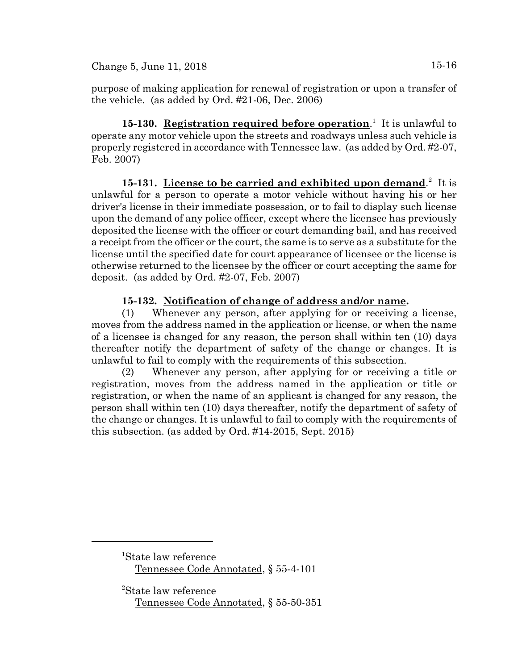purpose of making application for renewal of registration or upon a transfer of the vehicle. (as added by Ord. #21-06, Dec. 2006)

**15-130.** Registration required before operation.<sup>1</sup> It is unlawful to operate any motor vehicle upon the streets and roadways unless such vehicle is properly registered in accordance with Tennessee law. (as added by Ord. #2-07, Feb. 2007)

15-131. License to be carried and exhibited upon demand.<sup>2</sup> It is unlawful for a person to operate a motor vehicle without having his or her driver's license in their immediate possession, or to fail to display such license upon the demand of any police officer, except where the licensee has previously deposited the license with the officer or court demanding bail, and has received a receipt from the officer or the court, the same is to serve as a substitute for the license until the specified date for court appearance of licensee or the license is otherwise returned to the licensee by the officer or court accepting the same for deposit. (as added by Ord. #2-07, Feb. 2007)

# **15-132. Notification of change of address and/or name.**

(1) Whenever any person, after applying for or receiving a license, moves from the address named in the application or license, or when the name of a licensee is changed for any reason, the person shall within ten (10) days thereafter notify the department of safety of the change or changes. It is unlawful to fail to comply with the requirements of this subsection.

(2) Whenever any person, after applying for or receiving a title or registration, moves from the address named in the application or title or registration, or when the name of an applicant is changed for any reason, the person shall within ten (10) days thereafter, notify the department of safety of the change or changes. It is unlawful to fail to comply with the requirements of this subsection. (as added by Ord. #14-2015, Sept. 2015)

1 State law reference Tennessee Code Annotated, § 55-4-101

2 State law reference Tennessee Code Annotated, § 55-50-351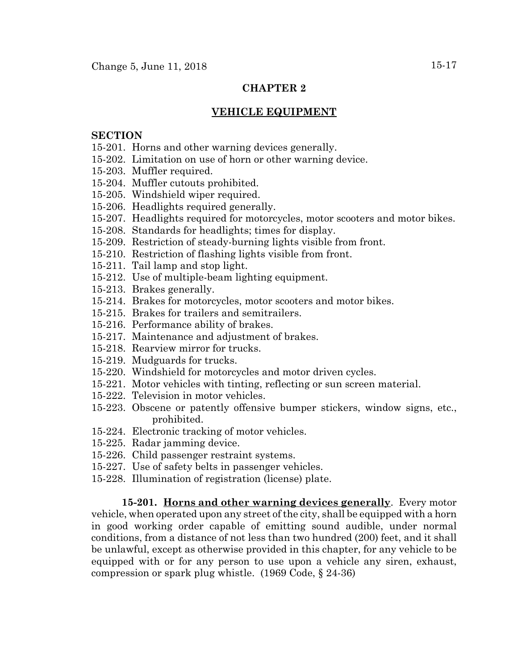### **CHAPTER 2**

#### **VEHICLE EQUIPMENT**

#### **SECTION**

- 15-201. Horns and other warning devices generally.
- 15-202. Limitation on use of horn or other warning device.
- 15-203. Muffler required.
- 15-204. Muffler cutouts prohibited.
- 15-205. Windshield wiper required.
- 15-206. Headlights required generally.
- 15-207. Headlights required for motorcycles, motor scooters and motor bikes.
- 15-208. Standards for headlights; times for display.
- 15-209. Restriction of steady-burning lights visible from front.
- 15-210. Restriction of flashing lights visible from front.
- 15-211. Tail lamp and stop light.
- 15-212. Use of multiple-beam lighting equipment.
- 15-213. Brakes generally.
- 15-214. Brakes for motorcycles, motor scooters and motor bikes.
- 15-215. Brakes for trailers and semitrailers.
- 15-216. Performance ability of brakes.
- 15-217. Maintenance and adjustment of brakes.
- 15-218. Rearview mirror for trucks.
- 15-219. Mudguards for trucks.
- 15-220. Windshield for motorcycles and motor driven cycles.
- 15-221. Motor vehicles with tinting, reflecting or sun screen material.
- 15-222. Television in motor vehicles.
- 15-223. Obscene or patently offensive bumper stickers, window signs, etc., prohibited.
- 15-224. Electronic tracking of motor vehicles.
- 15-225. Radar jamming device.
- 15-226. Child passenger restraint systems.
- 15-227. Use of safety belts in passenger vehicles.
- 15-228. Illumination of registration (license) plate.

**15-201. Horns and other warning devices generally**. Every motor vehicle, when operated upon any street of the city, shall be equipped with a horn in good working order capable of emitting sound audible, under normal conditions, from a distance of not less than two hundred (200) feet, and it shall be unlawful, except as otherwise provided in this chapter, for any vehicle to be equipped with or for any person to use upon a vehicle any siren, exhaust, compression or spark plug whistle. (1969 Code, § 24-36)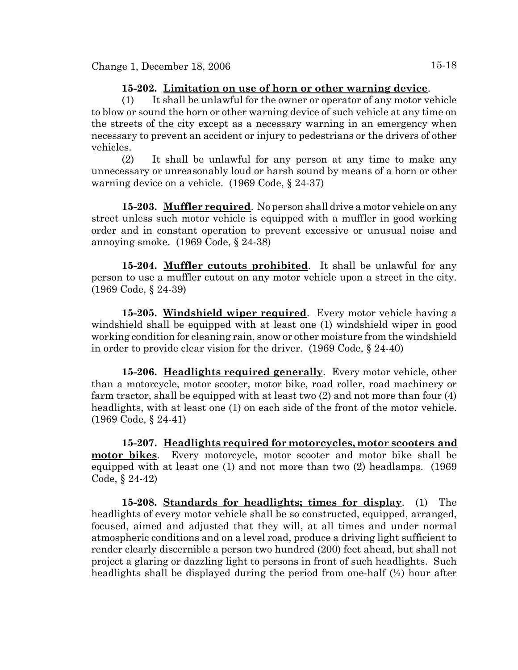#### **15-202. Limitation on use of horn or other warning device**.

(1) It shall be unlawful for the owner or operator of any motor vehicle to blow or sound the horn or other warning device of such vehicle at any time on the streets of the city except as a necessary warning in an emergency when necessary to prevent an accident or injury to pedestrians or the drivers of other vehicles.

(2) It shall be unlawful for any person at any time to make any unnecessary or unreasonably loud or harsh sound by means of a horn or other warning device on a vehicle. (1969 Code, § 24-37)

**15-203. Muffler required**. No person shall drive a motor vehicle on any street unless such motor vehicle is equipped with a muffler in good working order and in constant operation to prevent excessive or unusual noise and annoying smoke. (1969 Code, § 24-38)

**15-204. Muffler cutouts prohibited**. It shall be unlawful for any person to use a muffler cutout on any motor vehicle upon a street in the city. (1969 Code, § 24-39)

**15-205. Windshield wiper required**. Every motor vehicle having a windshield shall be equipped with at least one (1) windshield wiper in good working condition for cleaning rain, snow or other moisture from the windshield in order to provide clear vision for the driver. (1969 Code, § 24-40)

**15-206. Headlights required generally**. Every motor vehicle, other than a motorcycle, motor scooter, motor bike, road roller, road machinery or farm tractor, shall be equipped with at least two (2) and not more than four (4) headlights, with at least one (1) on each side of the front of the motor vehicle. (1969 Code, § 24-41)

**15-207. Headlights required for motorcycles, motor scooters and motor bikes**. Every motorcycle, motor scooter and motor bike shall be equipped with at least one (1) and not more than two (2) headlamps. (1969 Code, § 24-42)

**15-208. Standards for headlights; times for display**. (1) The headlights of every motor vehicle shall be so constructed, equipped, arranged, focused, aimed and adjusted that they will, at all times and under normal atmospheric conditions and on a level road, produce a driving light sufficient to render clearly discernible a person two hundred (200) feet ahead, but shall not project a glaring or dazzling light to persons in front of such headlights. Such headlights shall be displayed during the period from one-half (½) hour after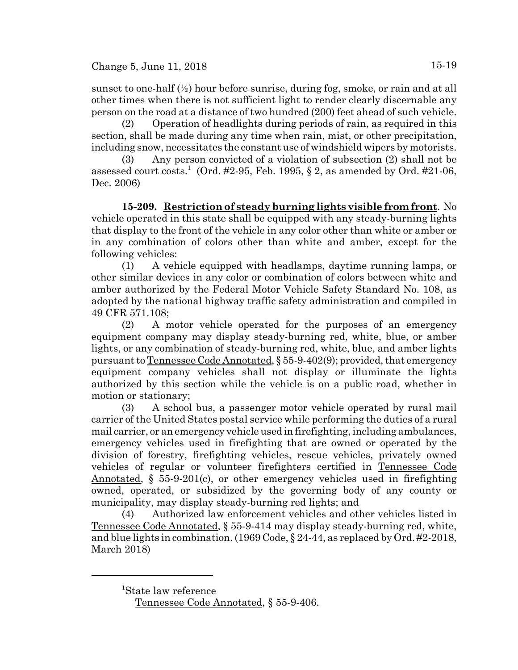sunset to one-half  $(\frac{1}{2})$  hour before sunrise, during fog, smoke, or rain and at all other times when there is not sufficient light to render clearly discernable any person on the road at a distance of two hundred (200) feet ahead of such vehicle.

(2) Operation of headlights during periods of rain, as required in this section, shall be made during any time when rain, mist, or other precipitation, including snow, necessitates the constant use of windshield wipers by motorists.

(3) Any person convicted of a violation of subsection (2) shall not be assessed court costs.<sup>1</sup> (Ord. #2-95, Feb. 1995, § 2, as amended by Ord. #21-06, Dec. 2006)

**15-209. Restriction of steady burning lights visible from front**. No vehicle operated in this state shall be equipped with any steady-burning lights that display to the front of the vehicle in any color other than white or amber or in any combination of colors other than white and amber, except for the following vehicles:

(1) A vehicle equipped with headlamps, daytime running lamps, or other similar devices in any color or combination of colors between white and amber authorized by the Federal Motor Vehicle Safety Standard No. 108, as adopted by the national highway traffic safety administration and compiled in 49 CFR 571.108;

(2) A motor vehicle operated for the purposes of an emergency equipment company may display steady-burning red, white, blue, or amber lights, or any combination of steady-burning red, white, blue, and amber lights pursuant to Tennessee Code Annotated, § 55-9-402(9); provided, that emergency equipment company vehicles shall not display or illuminate the lights authorized by this section while the vehicle is on a public road, whether in motion or stationary;

(3) A school bus, a passenger motor vehicle operated by rural mail carrier of the United States postal service while performing the duties of a rural mail carrier, or an emergency vehicle used in firefighting, including ambulances, emergency vehicles used in firefighting that are owned or operated by the division of forestry, firefighting vehicles, rescue vehicles, privately owned vehicles of regular or volunteer firefighters certified in Tennessee Code Annotated, § 55-9-201(c), or other emergency vehicles used in firefighting owned, operated, or subsidized by the governing body of any county or municipality, may display steady-burning red lights; and

(4) Authorized law enforcement vehicles and other vehicles listed in Tennessee Code Annotated, § 55-9-414 may display steady-burning red, white, and blue lights in combination. (1969 Code, § 24-44, as replaced by Ord. #2-2018, March 2018)

<sup>1</sup> State law reference

Tennessee Code Annotated, § 55-9-406.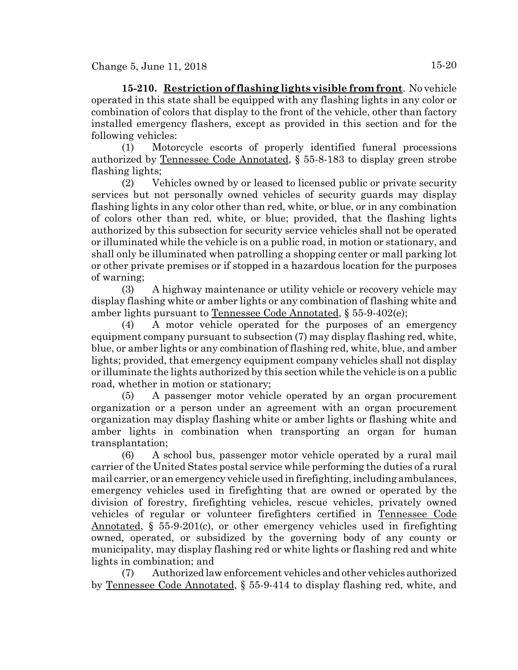**15-210. Restriction of flashing lights visible from front**. No vehicle operated in this state shall be equipped with any flashing lights in any color or combination of colors that display to the front of the vehicle, other than factory installed emergency flashers, except as provided in this section and for the following vehicles:

(1) Motorcycle escorts of properly identified funeral processions authorized by Tennessee Code Annotated, § 55-8-183 to display green strobe flashing lights;

(2) Vehicles owned by or leased to licensed public or private security services but not personally owned vehicles of security guards may display flashing lights in any color other than red, white, or blue, or in any combination of colors other than red, white, or blue; provided, that the flashing lights authorized by this subsection for security service vehicles shall not be operated or illuminated while the vehicle is on a public road, in motion or stationary, and shall only be illuminated when patrolling a shopping center or mall parking lot or other private premises or if stopped in a hazardous location for the purposes of warning;

(3) A highway maintenance or utility vehicle or recovery vehicle may display flashing white or amber lights or any combination of flashing white and amber lights pursuant to Tennessee Code Annotated, § 55-9-402(e);

(4) A motor vehicle operated for the purposes of an emergency equipment company pursuant to subsection (7) may display flashing red, white, blue, or amber lights or any combination of flashing red, white, blue, and amber lights; provided, that emergency equipment company vehicles shall not display or illuminate the lights authorized by this section while the vehicle is on a public road, whether in motion or stationary;

(5) A passenger motor vehicle operated by an organ procurement organization or a person under an agreement with an organ procurement organization may display flashing white or amber lights or flashing white and amber lights in combination when transporting an organ for human transplantation;

(6) A school bus, passenger motor vehicle operated by a rural mail carrier of the United States postal service while performing the duties of a rural mail carrier, or an emergency vehicle used in firefighting, including ambulances, emergency vehicles used in firefighting that are owned or operated by the division of forestry, firefighting vehicles, rescue vehicles, privately owned vehicles of regular or volunteer firefighters certified in Tennessee Code Annotated, § 55-9-201(c), or other emergency vehicles used in firefighting owned, operated, or subsidized by the governing body of any county or municipality, may display flashing red or white lights or flashing red and white lights in combination; and

(7) Authorized law enforcement vehicles and other vehicles authorized by Tennessee Code Annotated, § 55-9-414 to display flashing red, white, and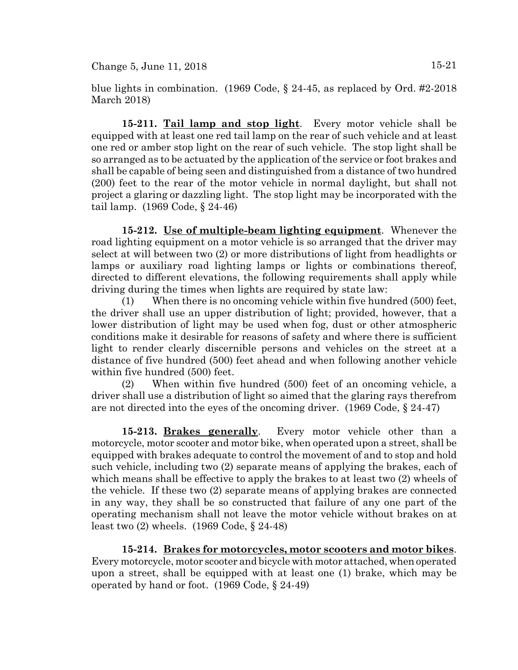blue lights in combination. (1969 Code, § 24-45, as replaced by Ord. #2-2018 March 2018)

**15-211. Tail lamp and stop light**. Every motor vehicle shall be equipped with at least one red tail lamp on the rear of such vehicle and at least one red or amber stop light on the rear of such vehicle. The stop light shall be so arranged as to be actuated by the application of the service or foot brakes and shall be capable of being seen and distinguished from a distance of two hundred (200) feet to the rear of the motor vehicle in normal daylight, but shall not project a glaring or dazzling light. The stop light may be incorporated with the tail lamp. (1969 Code, § 24-46)

**15-212. Use of multiple-beam lighting equipment**. Whenever the road lighting equipment on a motor vehicle is so arranged that the driver may select at will between two (2) or more distributions of light from headlights or lamps or auxiliary road lighting lamps or lights or combinations thereof, directed to different elevations, the following requirements shall apply while driving during the times when lights are required by state law:

(1) When there is no oncoming vehicle within five hundred (500) feet, the driver shall use an upper distribution of light; provided, however, that a lower distribution of light may be used when fog, dust or other atmospheric conditions make it desirable for reasons of safety and where there is sufficient light to render clearly discernible persons and vehicles on the street at a distance of five hundred (500) feet ahead and when following another vehicle within five hundred (500) feet.

(2) When within five hundred (500) feet of an oncoming vehicle, a driver shall use a distribution of light so aimed that the glaring rays therefrom are not directed into the eyes of the oncoming driver. (1969 Code, § 24-47)

**15-213. Brakes generally**. Every motor vehicle other than a motorcycle, motor scooter and motor bike, when operated upon a street, shall be equipped with brakes adequate to control the movement of and to stop and hold such vehicle, including two (2) separate means of applying the brakes, each of which means shall be effective to apply the brakes to at least two (2) wheels of the vehicle. If these two (2) separate means of applying brakes are connected in any way, they shall be so constructed that failure of any one part of the operating mechanism shall not leave the motor vehicle without brakes on at least two (2) wheels. (1969 Code, § 24-48)

**15-214. Brakes for motorcycles, motor scooters and motor bikes**. Every motorcycle, motor scooter and bicycle with motor attached, when operated upon a street, shall be equipped with at least one (1) brake, which may be operated by hand or foot. (1969 Code, § 24-49)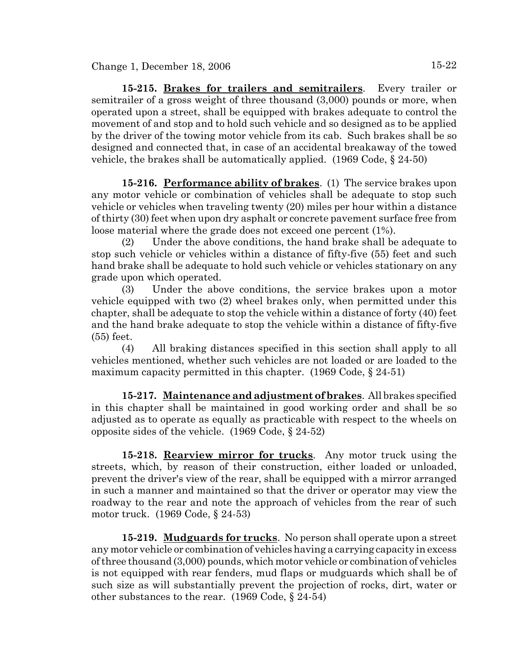**15-215. Brakes for trailers and semitrailers**. Every trailer or semitrailer of a gross weight of three thousand (3,000) pounds or more, when operated upon a street, shall be equipped with brakes adequate to control the movement of and stop and to hold such vehicle and so designed as to be applied by the driver of the towing motor vehicle from its cab. Such brakes shall be so designed and connected that, in case of an accidental breakaway of the towed vehicle, the brakes shall be automatically applied. (1969 Code, § 24-50)

**15-216. Performance ability of brakes**. (1) The service brakes upon any motor vehicle or combination of vehicles shall be adequate to stop such vehicle or vehicles when traveling twenty (20) miles per hour within a distance of thirty (30) feet when upon dry asphalt or concrete pavement surface free from loose material where the grade does not exceed one percent (1%).

(2) Under the above conditions, the hand brake shall be adequate to stop such vehicle or vehicles within a distance of fifty-five (55) feet and such hand brake shall be adequate to hold such vehicle or vehicles stationary on any grade upon which operated.

(3) Under the above conditions, the service brakes upon a motor vehicle equipped with two (2) wheel brakes only, when permitted under this chapter, shall be adequate to stop the vehicle within a distance of forty (40) feet and the hand brake adequate to stop the vehicle within a distance of fifty-five (55) feet.

(4) All braking distances specified in this section shall apply to all vehicles mentioned, whether such vehicles are not loaded or are loaded to the maximum capacity permitted in this chapter. (1969 Code, § 24-51)

**15-217. Maintenance and adjustment of brakes**. All brakes specified in this chapter shall be maintained in good working order and shall be so adjusted as to operate as equally as practicable with respect to the wheels on opposite sides of the vehicle. (1969 Code, § 24-52)

**15-218. Rearview mirror for trucks**. Any motor truck using the streets, which, by reason of their construction, either loaded or unloaded, prevent the driver's view of the rear, shall be equipped with a mirror arranged in such a manner and maintained so that the driver or operator may view the roadway to the rear and note the approach of vehicles from the rear of such motor truck. (1969 Code, § 24-53)

**15-219. Mudguards for trucks**. No person shall operate upon a street any motor vehicle or combination of vehicles having a carrying capacity in excess of three thousand (3,000) pounds, which motor vehicle or combination of vehicles is not equipped with rear fenders, mud flaps or mudguards which shall be of such size as will substantially prevent the projection of rocks, dirt, water or other substances to the rear. (1969 Code, § 24-54)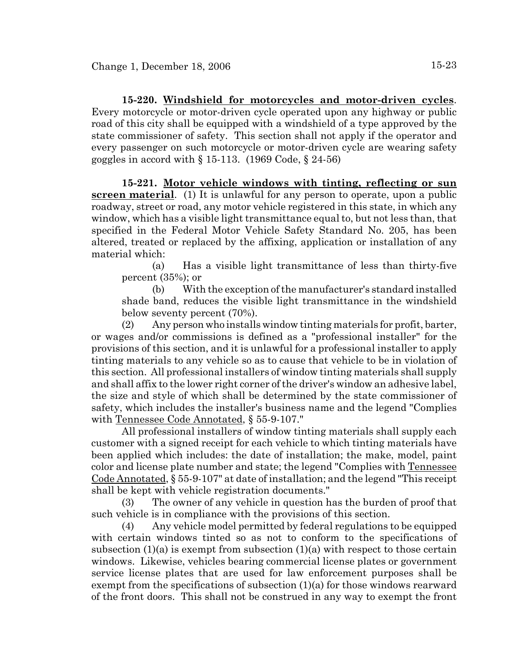**15-220. Windshield for motorcycles and motor-driven cycles**. Every motorcycle or motor-driven cycle operated upon any highway or public road of this city shall be equipped with a windshield of a type approved by the state commissioner of safety. This section shall not apply if the operator and every passenger on such motorcycle or motor-driven cycle are wearing safety goggles in accord with  $\S 15-113$ . (1969 Code,  $\S 24-56$ )

**15-221. Motor vehicle windows with tinting, reflecting or sun screen material.** (1) It is unlawful for any person to operate, upon a public roadway, street or road, any motor vehicle registered in this state, in which any window, which has a visible light transmittance equal to, but not less than, that specified in the Federal Motor Vehicle Safety Standard No. 205, has been altered, treated or replaced by the affixing, application or installation of any material which:

(a) Has a visible light transmittance of less than thirty-five percent (35%); or

(b) With the exception of the manufacturer's standard installed shade band, reduces the visible light transmittance in the windshield below seventy percent (70%).

(2) Any person who installs window tinting materials for profit, barter, or wages and/or commissions is defined as a "professional installer" for the provisions of this section, and it is unlawful for a professional installer to apply tinting materials to any vehicle so as to cause that vehicle to be in violation of this section. All professional installers of window tinting materials shall supply and shall affix to the lower right corner of the driver's window an adhesive label, the size and style of which shall be determined by the state commissioner of safety, which includes the installer's business name and the legend "Complies with Tennessee Code Annotated, § 55-9-107."

All professional installers of window tinting materials shall supply each customer with a signed receipt for each vehicle to which tinting materials have been applied which includes: the date of installation; the make, model, paint color and license plate number and state; the legend "Complies with Tennessee Code Annotated, § 55-9-107" at date of installation; and the legend "This receipt shall be kept with vehicle registration documents."

(3) The owner of any vehicle in question has the burden of proof that such vehicle is in compliance with the provisions of this section.

(4) Any vehicle model permitted by federal regulations to be equipped with certain windows tinted so as not to conform to the specifications of subsection  $(1)(a)$  is exempt from subsection  $(1)(a)$  with respect to those certain windows. Likewise, vehicles bearing commercial license plates or government service license plates that are used for law enforcement purposes shall be exempt from the specifications of subsection (1)(a) for those windows rearward of the front doors. This shall not be construed in any way to exempt the front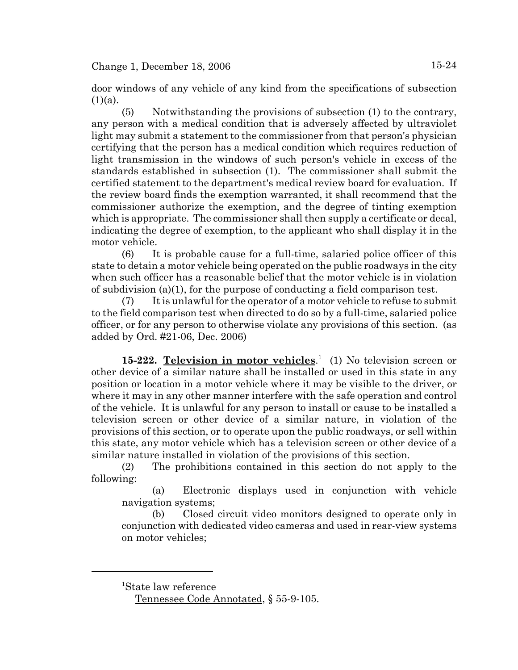door windows of any vehicle of any kind from the specifications of subsection  $(1)(a)$ .

(5) Notwithstanding the provisions of subsection (1) to the contrary, any person with a medical condition that is adversely affected by ultraviolet light may submit a statement to the commissioner from that person's physician certifying that the person has a medical condition which requires reduction of light transmission in the windows of such person's vehicle in excess of the standards established in subsection (1). The commissioner shall submit the certified statement to the department's medical review board for evaluation. If the review board finds the exemption warranted, it shall recommend that the commissioner authorize the exemption, and the degree of tinting exemption which is appropriate. The commissioner shall then supply a certificate or decal, indicating the degree of exemption, to the applicant who shall display it in the motor vehicle.

(6) It is probable cause for a full-time, salaried police officer of this state to detain a motor vehicle being operated on the public roadways in the city when such officer has a reasonable belief that the motor vehicle is in violation of subdivision (a)(1), for the purpose of conducting a field comparison test.

(7) It is unlawful for the operator of a motor vehicle to refuse to submit to the field comparison test when directed to do so by a full-time, salaried police officer, or for any person to otherwise violate any provisions of this section. (as added by Ord. #21-06, Dec. 2006)

**15-222. Television in motor vehicles**. 1 (1) No television screen or other device of a similar nature shall be installed or used in this state in any position or location in a motor vehicle where it may be visible to the driver, or where it may in any other manner interfere with the safe operation and control of the vehicle. It is unlawful for any person to install or cause to be installed a television screen or other device of a similar nature, in violation of the provisions of this section, or to operate upon the public roadways, or sell within this state, any motor vehicle which has a television screen or other device of a similar nature installed in violation of the provisions of this section.

(2) The prohibitions contained in this section do not apply to the following:

(a) Electronic displays used in conjunction with vehicle navigation systems;

(b) Closed circuit video monitors designed to operate only in conjunction with dedicated video cameras and used in rear-view systems on motor vehicles;

1 State law reference

Tennessee Code Annotated, § 55-9-105.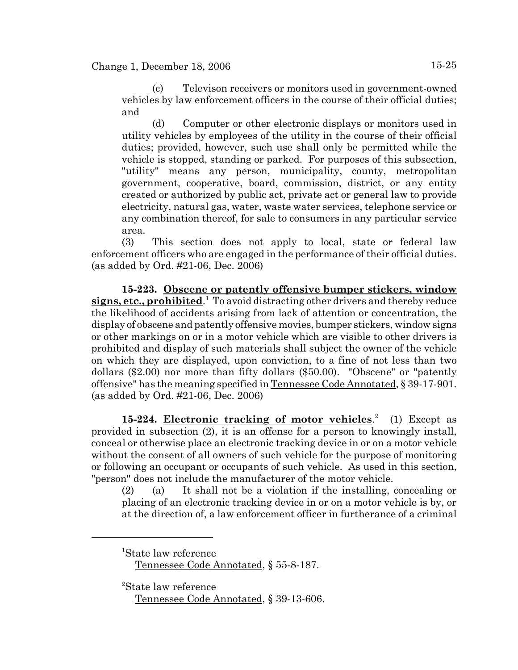(c) Televison receivers or monitors used in government-owned vehicles by law enforcement officers in the course of their official duties; and

(d) Computer or other electronic displays or monitors used in utility vehicles by employees of the utility in the course of their official duties; provided, however, such use shall only be permitted while the vehicle is stopped, standing or parked. For purposes of this subsection, "utility" means any person, municipality, county, metropolitan government, cooperative, board, commission, district, or any entity created or authorized by public act, private act or general law to provide electricity, natural gas, water, waste water services, telephone service or any combination thereof, for sale to consumers in any particular service area.

(3) This section does not apply to local, state or federal law enforcement officers who are engaged in the performance of their official duties. (as added by Ord. #21-06, Dec. 2006)

**15-223. Obscene or patently offensive bumper stickers, window** signs, etc., prohibited.<sup>1</sup> To avoid distracting other drivers and thereby reduce the likelihood of accidents arising from lack of attention or concentration, the display of obscene and patently offensive movies, bumper stickers, window signs or other markings on or in a motor vehicle which are visible to other drivers is prohibited and display of such materials shall subject the owner of the vehicle on which they are displayed, upon conviction, to a fine of not less than two dollars (\$2.00) nor more than fifty dollars (\$50.00). "Obscene" or "patently offensive" has the meaning specified in Tennessee Code Annotated, § 39-17-901. (as added by Ord. #21-06, Dec. 2006)

15-224. **Electronic tracking of motor vehicles.**<sup>2</sup> (1) Except as provided in subsection (2), it is an offense for a person to knowingly install, conceal or otherwise place an electronic tracking device in or on a motor vehicle without the consent of all owners of such vehicle for the purpose of monitoring or following an occupant or occupants of such vehicle. As used in this section, "person" does not include the manufacturer of the motor vehicle.

(2) (a) It shall not be a violation if the installing, concealing or placing of an electronic tracking device in or on a motor vehicle is by, or at the direction of, a law enforcement officer in furtherance of a criminal

2 State law reference

<sup>1</sup> State law reference

Tennessee Code Annotated, § 55-8-187.

Tennessee Code Annotated, § 39-13-606.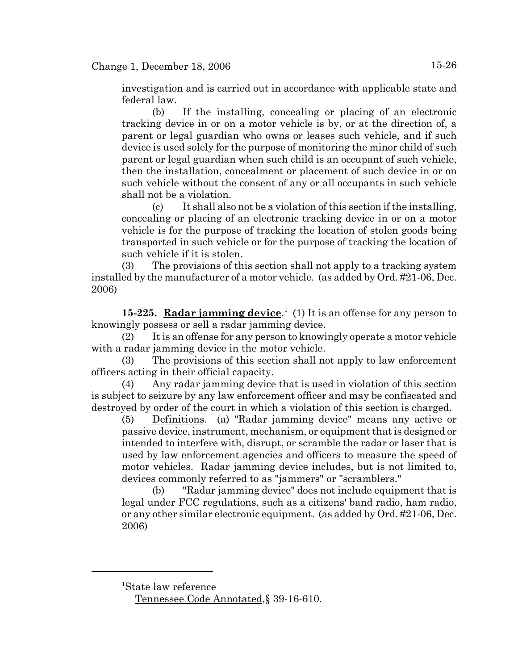investigation and is carried out in accordance with applicable state and federal law.

(b) If the installing, concealing or placing of an electronic tracking device in or on a motor vehicle is by, or at the direction of, a parent or legal guardian who owns or leases such vehicle, and if such device is used solely for the purpose of monitoring the minor child of such parent or legal guardian when such child is an occupant of such vehicle, then the installation, concealment or placement of such device in or on such vehicle without the consent of any or all occupants in such vehicle shall not be a violation.

(c) It shall also not be a violation of this section if the installing, concealing or placing of an electronic tracking device in or on a motor vehicle is for the purpose of tracking the location of stolen goods being transported in such vehicle or for the purpose of tracking the location of such vehicle if it is stolen.

(3) The provisions of this section shall not apply to a tracking system installed by the manufacturer of a motor vehicle. (as added by Ord. #21-06, Dec. 2006)

15-225. Radar jamming device.<sup>1</sup> (1) It is an offense for any person to knowingly possess or sell a radar jamming device.

(2) It is an offense for any person to knowingly operate a motor vehicle with a radar jamming device in the motor vehicle.

(3) The provisions of this section shall not apply to law enforcement officers acting in their official capacity.

(4) Any radar jamming device that is used in violation of this section is subject to seizure by any law enforcement officer and may be confiscated and destroyed by order of the court in which a violation of this section is charged.

(5) Definitions. (a) "Radar jamming device" means any active or passive device, instrument, mechanism, or equipment that is designed or intended to interfere with, disrupt, or scramble the radar or laser that is used by law enforcement agencies and officers to measure the speed of motor vehicles. Radar jamming device includes, but is not limited to, devices commonly referred to as "jammers" or "scramblers."

(b) "Radar jamming device" does not include equipment that is legal under FCC regulations, such as a citizens' band radio, ham radio, or any other similar electronic equipment. (as added by Ord. #21-06, Dec. 2006)

1 State law reference Tennessee Code Annotated,§ 39-16-610.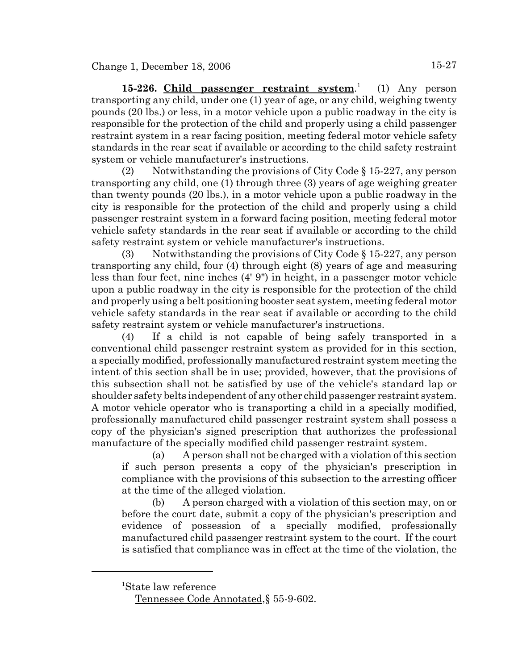**15-226. Child passenger restraint system**. 1 (1) Any person transporting any child, under one (1) year of age, or any child, weighing twenty pounds (20 lbs.) or less, in a motor vehicle upon a public roadway in the city is responsible for the protection of the child and properly using a child passenger restraint system in a rear facing position, meeting federal motor vehicle safety standards in the rear seat if available or according to the child safety restraint system or vehicle manufacturer's instructions.

(2) Notwithstanding the provisions of City Code  $\S 15-227$ , any person transporting any child, one (1) through three (3) years of age weighing greater than twenty pounds (20 lbs.), in a motor vehicle upon a public roadway in the city is responsible for the protection of the child and properly using a child passenger restraint system in a forward facing position, meeting federal motor vehicle safety standards in the rear seat if available or according to the child safety restraint system or vehicle manufacturer's instructions.

(3) Notwithstanding the provisions of City Code  $\S 15-227$ , any person transporting any child, four (4) through eight (8) years of age and measuring less than four feet, nine inches (4' 9") in height, in a passenger motor vehicle upon a public roadway in the city is responsible for the protection of the child and properly using a belt positioning booster seat system, meeting federal motor vehicle safety standards in the rear seat if available or according to the child safety restraint system or vehicle manufacturer's instructions.

(4) If a child is not capable of being safely transported in a conventional child passenger restraint system as provided for in this section, a specially modified, professionally manufactured restraint system meeting the intent of this section shall be in use; provided, however, that the provisions of this subsection shall not be satisfied by use of the vehicle's standard lap or shoulder safety belts independent of any other child passenger restraint system. A motor vehicle operator who is transporting a child in a specially modified, professionally manufactured child passenger restraint system shall possess a copy of the physician's signed prescription that authorizes the professional manufacture of the specially modified child passenger restraint system.

(a) A person shall not be charged with a violation of this section if such person presents a copy of the physician's prescription in compliance with the provisions of this subsection to the arresting officer at the time of the alleged violation.

(b) A person charged with a violation of this section may, on or before the court date, submit a copy of the physician's prescription and evidence of possession of a specially modified, professionally manufactured child passenger restraint system to the court. If the court is satisfied that compliance was in effect at the time of the violation, the

1 State law reference

Tennessee Code Annotated,§ 55-9-602.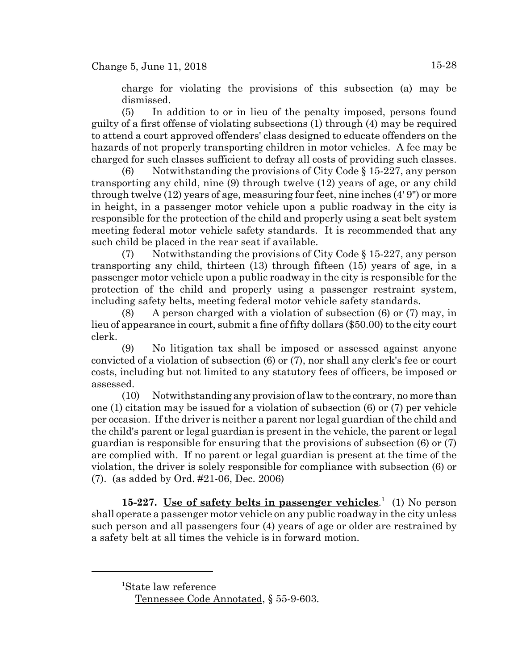charge for violating the provisions of this subsection (a) may be dismissed.

(5) In addition to or in lieu of the penalty imposed, persons found guilty of a first offense of violating subsections (1) through (4) may be required to attend a court approved offenders' class designed to educate offenders on the hazards of not properly transporting children in motor vehicles. A fee may be charged for such classes sufficient to defray all costs of providing such classes.

(6) Notwithstanding the provisions of City Code  $\S 15-227$ , any person transporting any child, nine (9) through twelve (12) years of age, or any child through twelve (12) years of age, measuring four feet, nine inches (4' 9") or more in height, in a passenger motor vehicle upon a public roadway in the city is responsible for the protection of the child and properly using a seat belt system meeting federal motor vehicle safety standards. It is recommended that any such child be placed in the rear seat if available.

(7) Notwithstanding the provisions of City Code  $\S 15-227$ , any person transporting any child, thirteen (13) through fifteen (15) years of age, in a passenger motor vehicle upon a public roadway in the city is responsible for the protection of the child and properly using a passenger restraint system, including safety belts, meeting federal motor vehicle safety standards.

(8) A person charged with a violation of subsection (6) or (7) may, in lieu of appearance in court, submit a fine of fifty dollars (\$50.00) to the city court clerk.

(9) No litigation tax shall be imposed or assessed against anyone convicted of a violation of subsection (6) or (7), nor shall any clerk's fee or court costs, including but not limited to any statutory fees of officers, be imposed or assessed.

(10) Notwithstanding any provision of law to the contrary, no more than one (1) citation may be issued for a violation of subsection (6) or (7) per vehicle per occasion. If the driver is neither a parent nor legal guardian of the child and the child's parent or legal guardian is present in the vehicle, the parent or legal guardian is responsible for ensuring that the provisions of subsection (6) or (7) are complied with. If no parent or legal guardian is present at the time of the violation, the driver is solely responsible for compliance with subsection (6) or (7). (as added by Ord. #21-06, Dec. 2006)

15-227. <u>Use of safety belts in passenger vehicles.</u><sup>1</sup> (1) No person shall operate a passenger motor vehicle on any public roadway in the city unless such person and all passengers four (4) years of age or older are restrained by a safety belt at all times the vehicle is in forward motion.

<sup>1</sup> State law reference Tennessee Code Annotated, § 55-9-603.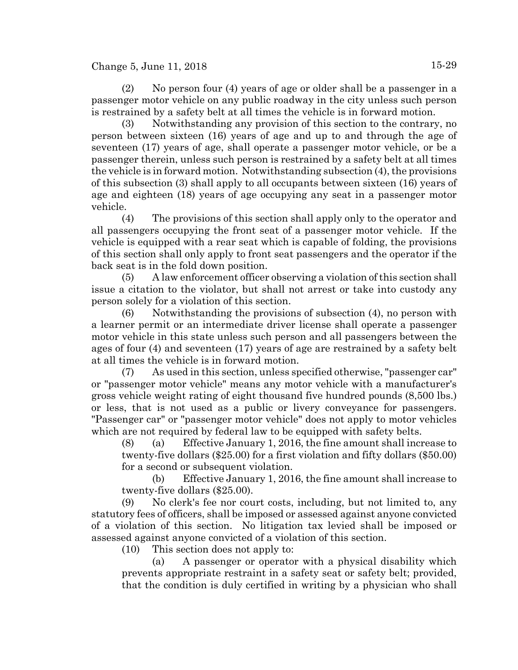### Change 5, June 11, 2018  $15-29$

(3) Notwithstanding any provision of this section to the contrary, no person between sixteen (16) years of age and up to and through the age of seventeen (17) years of age, shall operate a passenger motor vehicle, or be a passenger therein, unless such person is restrained by a safety belt at all times the vehicle is in forward motion. Notwithstanding subsection (4), the provisions of this subsection (3) shall apply to all occupants between sixteen (16) years of age and eighteen (18) years of age occupying any seat in a passenger motor vehicle.

(4) The provisions of this section shall apply only to the operator and all passengers occupying the front seat of a passenger motor vehicle. If the vehicle is equipped with a rear seat which is capable of folding, the provisions of this section shall only apply to front seat passengers and the operator if the back seat is in the fold down position.

(5) A law enforcement officer observing a violation of this section shall issue a citation to the violator, but shall not arrest or take into custody any person solely for a violation of this section.

(6) Notwithstanding the provisions of subsection (4), no person with a learner permit or an intermediate driver license shall operate a passenger motor vehicle in this state unless such person and all passengers between the ages of four (4) and seventeen (17) years of age are restrained by a safety belt at all times the vehicle is in forward motion.

(7) As used in this section, unless specified otherwise, "passenger car" or "passenger motor vehicle" means any motor vehicle with a manufacturer's gross vehicle weight rating of eight thousand five hundred pounds (8,500 lbs.) or less, that is not used as a public or livery conveyance for passengers. "Passenger car" or "passenger motor vehicle" does not apply to motor vehicles which are not required by federal law to be equipped with safety belts.

(8) (a) Effective January 1, 2016, the fine amount shall increase to twenty-five dollars (\$25.00) for a first violation and fifty dollars (\$50.00) for a second or subsequent violation.

(b) Effective January 1, 2016, the fine amount shall increase to twenty-five dollars (\$25.00).

(9) No clerk's fee nor court costs, including, but not limited to, any statutory fees of officers, shall be imposed or assessed against anyone convicted of a violation of this section. No litigation tax levied shall be imposed or assessed against anyone convicted of a violation of this section.

(10) This section does not apply to:

(a) A passenger or operator with a physical disability which prevents appropriate restraint in a safety seat or safety belt; provided, that the condition is duly certified in writing by a physician who shall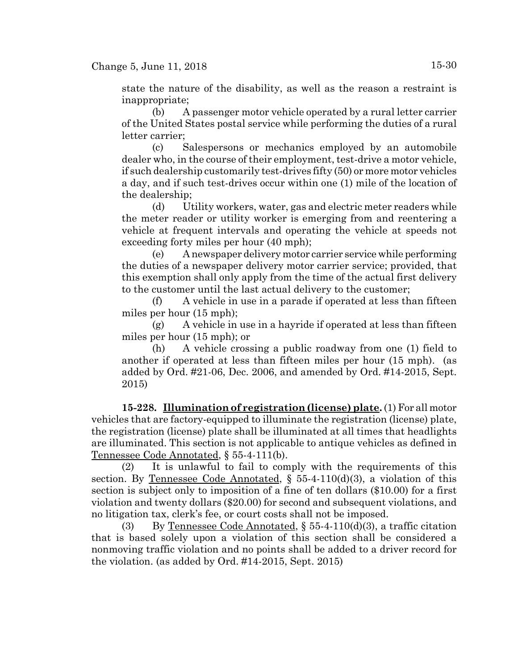state the nature of the disability, as well as the reason a restraint is inappropriate;

(b) A passenger motor vehicle operated by a rural letter carrier of the United States postal service while performing the duties of a rural letter carrier;

(c) Salespersons or mechanics employed by an automobile dealer who, in the course of their employment, test-drive a motor vehicle, if such dealership customarily test-drives fifty (50) or more motor vehicles a day, and if such test-drives occur within one (1) mile of the location of the dealership;

(d) Utility workers, water, gas and electric meter readers while the meter reader or utility worker is emerging from and reentering a vehicle at frequent intervals and operating the vehicle at speeds not exceeding forty miles per hour (40 mph);

(e) A newspaper delivery motor carrier service while performing the duties of a newspaper delivery motor carrier service; provided, that this exemption shall only apply from the time of the actual first delivery to the customer until the last actual delivery to the customer;

(f) A vehicle in use in a parade if operated at less than fifteen miles per hour (15 mph);

 $(g)$  A vehicle in use in a hayride if operated at less than fifteen miles per hour (15 mph); or

(h) A vehicle crossing a public roadway from one (1) field to another if operated at less than fifteen miles per hour (15 mph). (as added by Ord. #21-06, Dec. 2006, and amended by Ord. #14-2015, Sept. 2015)

**15-228. Illumination of registration (license) plate.** (1) For all motor vehicles that are factory-equipped to illuminate the registration (license) plate, the registration (license) plate shall be illuminated at all times that headlights are illuminated. This section is not applicable to antique vehicles as defined in Tennessee Code Annotated, § 55-4-111(b).

(2) It is unlawful to fail to comply with the requirements of this section. By <u>Tennessee Code Annotated</u>,  $\S$  55-4-110(d)(3), a violation of this section is subject only to imposition of a fine of ten dollars (\$10.00) for a first violation and twenty dollars (\$20.00) for second and subsequent violations, and no litigation tax, clerk's fee, or court costs shall not be imposed.

(3) By Tennessee Code Annotated,  $\S$  55-4-110(d)(3), a traffic citation that is based solely upon a violation of this section shall be considered a nonmoving traffic violation and no points shall be added to a driver record for the violation. (as added by Ord. #14-2015, Sept. 2015)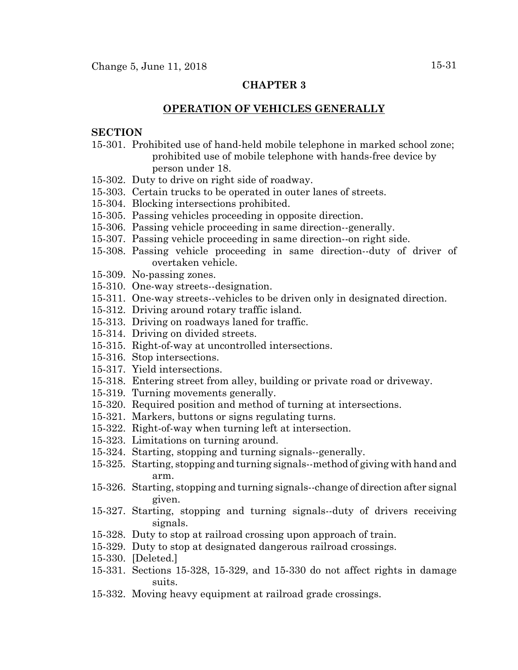#### **CHAPTER 3**

#### **OPERATION OF VEHICLES GENERALLY**

#### **SECTION**

- 15-301. Prohibited use of hand-held mobile telephone in marked school zone; prohibited use of mobile telephone with hands-free device by person under 18.
- 15-302. Duty to drive on right side of roadway.
- 15-303. Certain trucks to be operated in outer lanes of streets.
- 15-304. Blocking intersections prohibited.
- 15-305. Passing vehicles proceeding in opposite direction.
- 15-306. Passing vehicle proceeding in same direction--generally.
- 15-307. Passing vehicle proceeding in same direction--on right side.
- 15-308. Passing vehicle proceeding in same direction--duty of driver of overtaken vehicle.
- 15-309. No-passing zones.
- 15-310. One-way streets--designation.
- 15-311. One-way streets--vehicles to be driven only in designated direction.
- 15-312. Driving around rotary traffic island.
- 15-313. Driving on roadways laned for traffic.
- 15-314. Driving on divided streets.
- 15-315. Right-of-way at uncontrolled intersections.
- 15-316. Stop intersections.
- 15-317. Yield intersections.
- 15-318. Entering street from alley, building or private road or driveway.
- 15-319. Turning movements generally.
- 15-320. Required position and method of turning at intersections.
- 15-321. Markers, buttons or signs regulating turns.
- 15-322. Right-of-way when turning left at intersection.
- 15-323. Limitations on turning around.
- 15-324. Starting, stopping and turning signals--generally.
- 15-325. Starting, stopping and turning signals--method of giving with hand and arm.
- 15-326. Starting, stopping and turning signals--change of direction after signal given.
- 15-327. Starting, stopping and turning signals--duty of drivers receiving signals.
- 15-328. Duty to stop at railroad crossing upon approach of train.
- 15-329. Duty to stop at designated dangerous railroad crossings.
- 15-330. [Deleted.]
- 15-331. Sections 15-328, 15-329, and 15-330 do not affect rights in damage suits.
- 15-332. Moving heavy equipment at railroad grade crossings.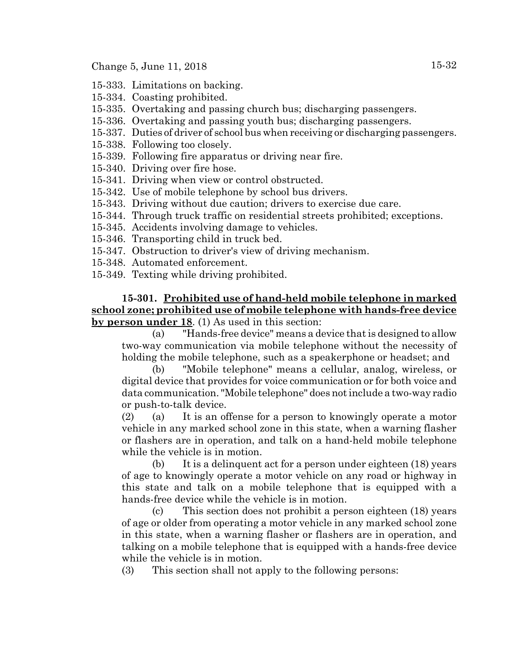Change 5, June 11, 2018 15-32

- 15-333. Limitations on backing.
- 15-334. Coasting prohibited.
- 15-335. Overtaking and passing church bus; discharging passengers.
- 15-336. Overtaking and passing youth bus; discharging passengers.
- 15-337. Duties of driver of school bus when receiving or discharging passengers.
- 15-338. Following too closely.
- 15-339. Following fire apparatus or driving near fire.
- 15-340. Driving over fire hose.
- 15-341. Driving when view or control obstructed.
- 15-342. Use of mobile telephone by school bus drivers.
- 15-343. Driving without due caution; drivers to exercise due care.
- 15-344. Through truck traffic on residential streets prohibited; exceptions.
- 15-345. Accidents involving damage to vehicles.
- 15-346. Transporting child in truck bed.
- 15-347. Obstruction to driver's view of driving mechanism.
- 15-348. Automated enforcement.
- 15-349. Texting while driving prohibited.

**15-301. Prohibited use of hand-held mobile telephone in marked school zone; prohibited use of mobile telephone with hands-free device by person under 18**. (1) As used in this section:

(a) "Hands-free device" means a device that is designed to allow two-way communication via mobile telephone without the necessity of holding the mobile telephone, such as a speakerphone or headset; and

(b) "Mobile telephone" means a cellular, analog, wireless, or digital device that provides for voice communication or for both voice and data communication. "Mobile telephone" does not include a two-way radio or push-to-talk device.

(2) (a) It is an offense for a person to knowingly operate a motor vehicle in any marked school zone in this state, when a warning flasher or flashers are in operation, and talk on a hand-held mobile telephone while the vehicle is in motion.

(b) It is a delinquent act for a person under eighteen (18) years of age to knowingly operate a motor vehicle on any road or highway in this state and talk on a mobile telephone that is equipped with a hands-free device while the vehicle is in motion.

(c) This section does not prohibit a person eighteen (18) years of age or older from operating a motor vehicle in any marked school zone in this state, when a warning flasher or flashers are in operation, and talking on a mobile telephone that is equipped with a hands-free device while the vehicle is in motion.

(3) This section shall not apply to the following persons: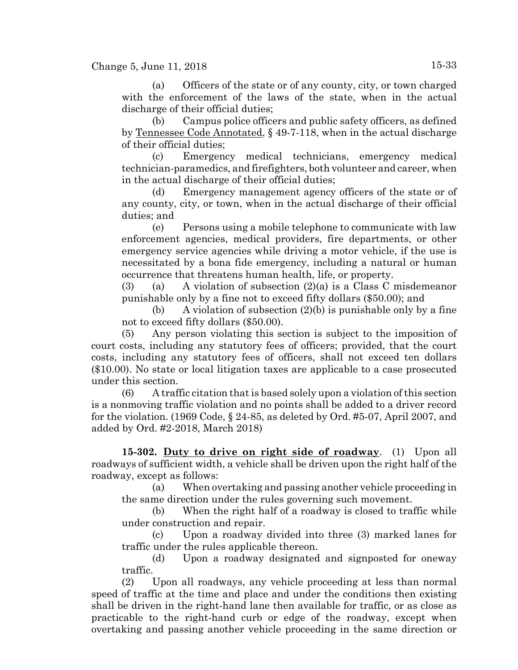### Change 5, June 11, 2018 15-33

(a) Officers of the state or of any county, city, or town charged with the enforcement of the laws of the state, when in the actual discharge of their official duties;

(b) Campus police officers and public safety officers, as defined by Tennessee Code Annotated, § 49-7-118, when in the actual discharge of their official duties;

(c) Emergency medical technicians, emergency medical technician-paramedics, and firefighters, both volunteer and career, when in the actual discharge of their official duties;

(d) Emergency management agency officers of the state or of any county, city, or town, when in the actual discharge of their official duties; and

(e) Persons using a mobile telephone to communicate with law enforcement agencies, medical providers, fire departments, or other emergency service agencies while driving a motor vehicle, if the use is necessitated by a bona fide emergency, including a natural or human occurrence that threatens human health, life, or property.

(3) (a) A violation of subsection  $(2)(a)$  is a Class C misdemeanor punishable only by a fine not to exceed fifty dollars (\$50.00); and

(b) A violation of subsection  $(2)(b)$  is punishable only by a fine not to exceed fifty dollars (\$50.00).

(5) Any person violating this section is subject to the imposition of court costs, including any statutory fees of officers; provided, that the court costs, including any statutory fees of officers, shall not exceed ten dollars (\$10.00). No state or local litigation taxes are applicable to a case prosecuted under this section.

(6) A traffic citation that is based solely upon a violation of this section is a nonmoving traffic violation and no points shall be added to a driver record for the violation. (1969 Code, § 24-85, as deleted by Ord. #5-07, April 2007, and added by Ord. #2-2018, March 2018)

**15-302. Duty to drive on right side of roadway**. (1) Upon all roadways of sufficient width, a vehicle shall be driven upon the right half of the roadway, except as follows:

(a) When overtaking and passing another vehicle proceeding in the same direction under the rules governing such movement.

(b) When the right half of a roadway is closed to traffic while under construction and repair.

(c) Upon a roadway divided into three (3) marked lanes for traffic under the rules applicable thereon.

(d) Upon a roadway designated and signposted for oneway traffic.

(2) Upon all roadways, any vehicle proceeding at less than normal speed of traffic at the time and place and under the conditions then existing shall be driven in the right-hand lane then available for traffic, or as close as practicable to the right-hand curb or edge of the roadway, except when overtaking and passing another vehicle proceeding in the same direction or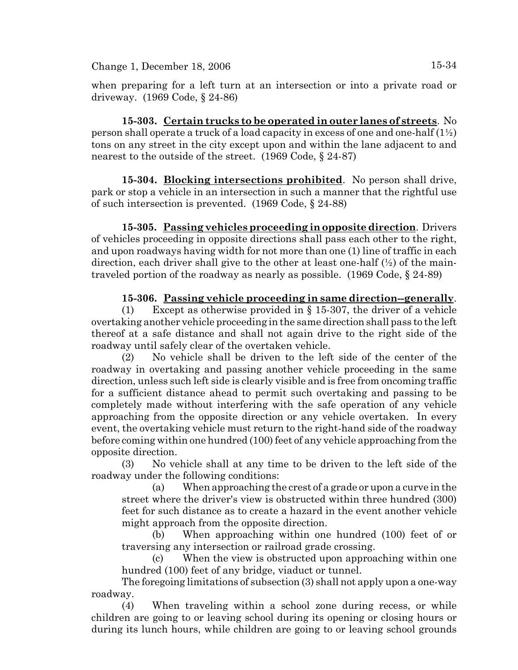when preparing for a left turn at an intersection or into a private road or driveway. (1969 Code, § 24-86)

**15-303. Certain trucks to be operated in outer lanes of streets**. No person shall operate a truck of a load capacity in excess of one and one-half  $(1\frac{1}{2})$ tons on any street in the city except upon and within the lane adjacent to and nearest to the outside of the street. (1969 Code, § 24-87)

**15-304. Blocking intersections prohibited**. No person shall drive, park or stop a vehicle in an intersection in such a manner that the rightful use of such intersection is prevented. (1969 Code, § 24-88)

**15-305. Passing vehicles proceeding in opposite direction**. Drivers of vehicles proceeding in opposite directions shall pass each other to the right, and upon roadways having width for not more than one (1) line of traffic in each direction, each driver shall give to the other at least one-half  $(\frac{1}{2})$  of the maintraveled portion of the roadway as nearly as possible. (1969 Code, § 24-89)

# **15-306. Passing vehicle proceeding in same direction--generally**.

(1) Except as otherwise provided in  $\S$  15-307, the driver of a vehicle overtaking another vehicle proceeding in the same direction shall pass to the left thereof at a safe distance and shall not again drive to the right side of the roadway until safely clear of the overtaken vehicle.

(2) No vehicle shall be driven to the left side of the center of the roadway in overtaking and passing another vehicle proceeding in the same direction, unless such left side is clearly visible and is free from oncoming traffic for a sufficient distance ahead to permit such overtaking and passing to be completely made without interfering with the safe operation of any vehicle approaching from the opposite direction or any vehicle overtaken. In every event, the overtaking vehicle must return to the right-hand side of the roadway before coming within one hundred (100) feet of any vehicle approaching from the opposite direction.

(3) No vehicle shall at any time to be driven to the left side of the roadway under the following conditions:

(a) When approaching the crest of a grade or upon a curve in the street where the driver's view is obstructed within three hundred (300) feet for such distance as to create a hazard in the event another vehicle might approach from the opposite direction.

(b) When approaching within one hundred (100) feet of or traversing any intersection or railroad grade crossing.

(c) When the view is obstructed upon approaching within one hundred (100) feet of any bridge, viaduct or tunnel.

The foregoing limitations of subsection (3) shall not apply upon a one-way roadway.

(4) When traveling within a school zone during recess, or while children are going to or leaving school during its opening or closing hours or during its lunch hours, while children are going to or leaving school grounds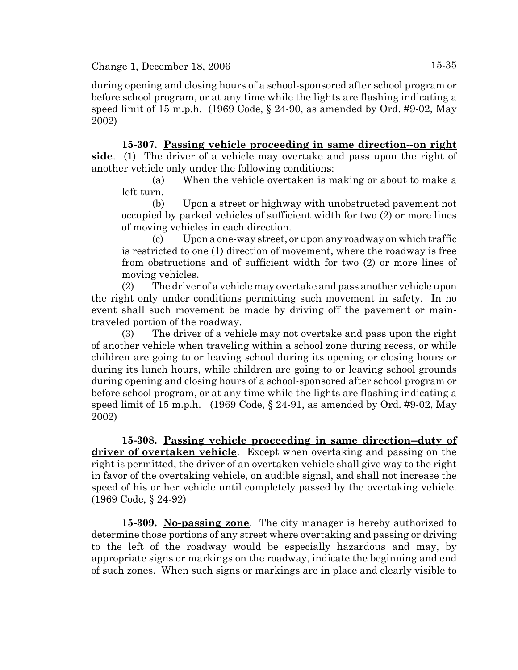during opening and closing hours of a school-sponsored after school program or before school program, or at any time while the lights are flashing indicating a speed limit of 15 m.p.h. (1969 Code,  $\S$  24-90, as amended by Ord. #9-02, May 2002)

**15-307. Passing vehicle proceeding in same direction--on right side**. (1) The driver of a vehicle may overtake and pass upon the right of another vehicle only under the following conditions:

(a) When the vehicle overtaken is making or about to make a left turn.

(b) Upon a street or highway with unobstructed pavement not occupied by parked vehicles of sufficient width for two (2) or more lines of moving vehicles in each direction.

(c) Upon a one-way street, or upon any roadway on which traffic is restricted to one (1) direction of movement, where the roadway is free from obstructions and of sufficient width for two (2) or more lines of moving vehicles.

(2) The driver of a vehicle may overtake and pass another vehicle upon the right only under conditions permitting such movement in safety. In no event shall such movement be made by driving off the pavement or maintraveled portion of the roadway.

(3) The driver of a vehicle may not overtake and pass upon the right of another vehicle when traveling within a school zone during recess, or while children are going to or leaving school during its opening or closing hours or during its lunch hours, while children are going to or leaving school grounds during opening and closing hours of a school-sponsored after school program or before school program, or at any time while the lights are flashing indicating a speed limit of 15 m.p.h.  $(1969 \text{ Code}, \S 24-91, \text{as amended by Ord. #9-02}, \text{May})$ 2002)

**15-308. Passing vehicle proceeding in same direction--duty of driver of overtaken vehicle**. Except when overtaking and passing on the right is permitted, the driver of an overtaken vehicle shall give way to the right in favor of the overtaking vehicle, on audible signal, and shall not increase the speed of his or her vehicle until completely passed by the overtaking vehicle. (1969 Code, § 24-92)

**15-309. No-passing zone**. The city manager is hereby authorized to determine those portions of any street where overtaking and passing or driving to the left of the roadway would be especially hazardous and may, by appropriate signs or markings on the roadway, indicate the beginning and end of such zones. When such signs or markings are in place and clearly visible to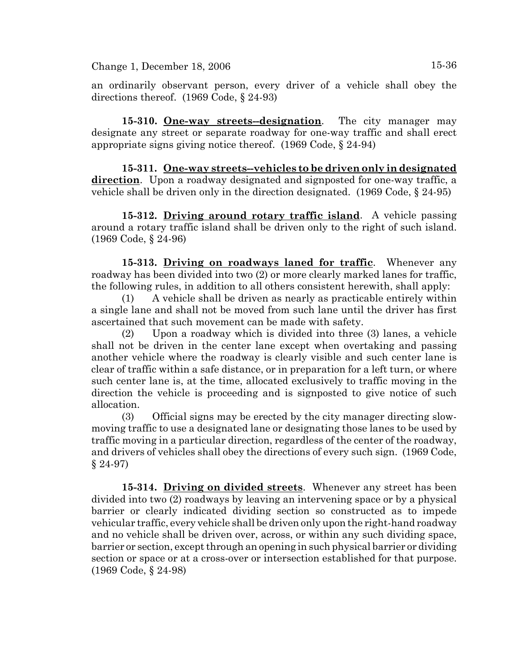an ordinarily observant person, every driver of a vehicle shall obey the directions thereof. (1969 Code, § 24-93)

**15-310. One-way streets--designation**. The city manager may designate any street or separate roadway for one-way traffic and shall erect appropriate signs giving notice thereof. (1969 Code, § 24-94)

**15-311. One-way streets--vehicles to be driven only in designated direction**. Upon a roadway designated and signposted for one-way traffic, a vehicle shall be driven only in the direction designated. (1969 Code, § 24-95)

**15-312. Driving around rotary traffic island**. A vehicle passing around a rotary traffic island shall be driven only to the right of such island. (1969 Code, § 24-96)

**15-313. Driving on roadways laned for traffic**. Whenever any roadway has been divided into two (2) or more clearly marked lanes for traffic, the following rules, in addition to all others consistent herewith, shall apply:

(1) A vehicle shall be driven as nearly as practicable entirely within a single lane and shall not be moved from such lane until the driver has first ascertained that such movement can be made with safety.

(2) Upon a roadway which is divided into three (3) lanes, a vehicle shall not be driven in the center lane except when overtaking and passing another vehicle where the roadway is clearly visible and such center lane is clear of traffic within a safe distance, or in preparation for a left turn, or where such center lane is, at the time, allocated exclusively to traffic moving in the direction the vehicle is proceeding and is signposted to give notice of such allocation.

(3) Official signs may be erected by the city manager directing slowmoving traffic to use a designated lane or designating those lanes to be used by traffic moving in a particular direction, regardless of the center of the roadway, and drivers of vehicles shall obey the directions of every such sign. (1969 Code, § 24-97)

**15-314. Driving on divided streets**. Whenever any street has been divided into two (2) roadways by leaving an intervening space or by a physical barrier or clearly indicated dividing section so constructed as to impede vehicular traffic, every vehicle shall be driven only upon the right-hand roadway and no vehicle shall be driven over, across, or within any such dividing space, barrier or section, except through an opening in such physical barrier or dividing section or space or at a cross-over or intersection established for that purpose. (1969 Code, § 24-98)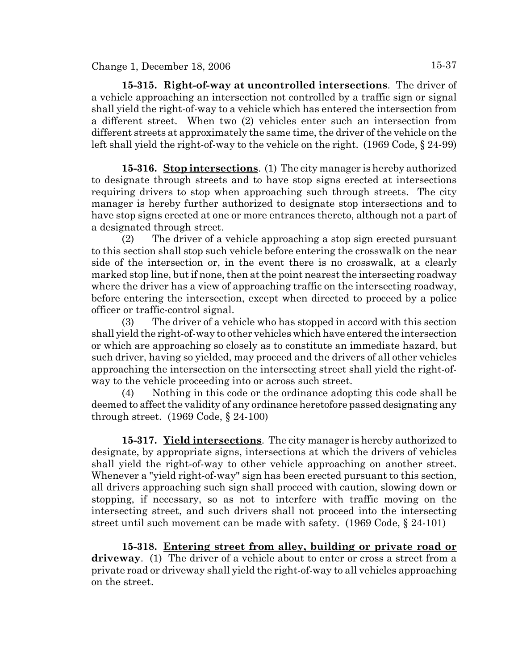**15-315. Right-of-way at uncontrolled intersections**. The driver of a vehicle approaching an intersection not controlled by a traffic sign or signal shall yield the right-of-way to a vehicle which has entered the intersection from a different street. When two (2) vehicles enter such an intersection from different streets at approximately the same time, the driver of the vehicle on the left shall yield the right-of-way to the vehicle on the right. (1969 Code, § 24-99)

**15-316. Stop intersections**. (1) The city manager is hereby authorized to designate through streets and to have stop signs erected at intersections requiring drivers to stop when approaching such through streets. The city manager is hereby further authorized to designate stop intersections and to have stop signs erected at one or more entrances thereto, although not a part of a designated through street.

(2) The driver of a vehicle approaching a stop sign erected pursuant to this section shall stop such vehicle before entering the crosswalk on the near side of the intersection or, in the event there is no crosswalk, at a clearly marked stop line, but if none, then at the point nearest the intersecting roadway where the driver has a view of approaching traffic on the intersecting roadway, before entering the intersection, except when directed to proceed by a police officer or traffic-control signal.

(3) The driver of a vehicle who has stopped in accord with this section shall yield the right-of-way to other vehicles which have entered the intersection or which are approaching so closely as to constitute an immediate hazard, but such driver, having so yielded, may proceed and the drivers of all other vehicles approaching the intersection on the intersecting street shall yield the right-ofway to the vehicle proceeding into or across such street.

(4) Nothing in this code or the ordinance adopting this code shall be deemed to affect the validity of any ordinance heretofore passed designating any through street. (1969 Code, § 24-100)

**15-317. Yield intersections**. The city manager is hereby authorized to designate, by appropriate signs, intersections at which the drivers of vehicles shall yield the right-of-way to other vehicle approaching on another street. Whenever a "yield right-of-way" sign has been erected pursuant to this section, all drivers approaching such sign shall proceed with caution, slowing down or stopping, if necessary, so as not to interfere with traffic moving on the intersecting street, and such drivers shall not proceed into the intersecting street until such movement can be made with safety. (1969 Code, § 24-101)

**15-318. Entering street from alley, building or private road or driveway**. (1) The driver of a vehicle about to enter or cross a street from a private road or driveway shall yield the right-of-way to all vehicles approaching on the street.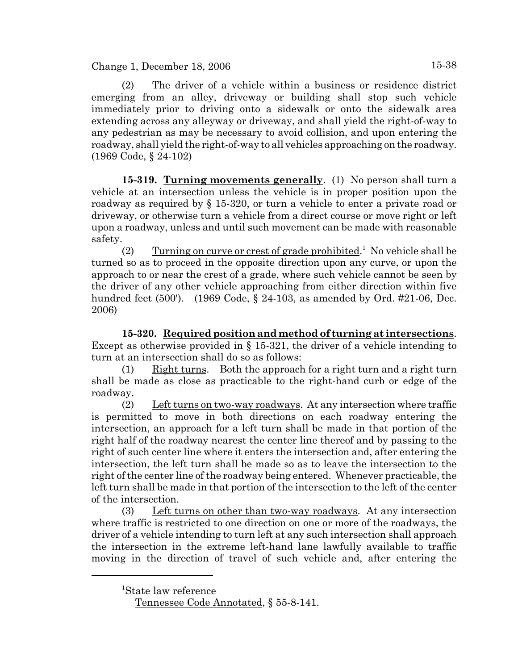(2) The driver of a vehicle within a business or residence district emerging from an alley, driveway or building shall stop such vehicle immediately prior to driving onto a sidewalk or onto the sidewalk area extending across any alleyway or driveway, and shall yield the right-of-way to any pedestrian as may be necessary to avoid collision, and upon entering the roadway, shall yield the right-of-way to all vehicles approaching on the roadway. (1969 Code, § 24-102)

**15-319. Turning movements generally**. (1) No person shall turn a vehicle at an intersection unless the vehicle is in proper position upon the roadway as required by § 15-320, or turn a vehicle to enter a private road or driveway, or otherwise turn a vehicle from a direct course or move right or left upon a roadway, unless and until such movement can be made with reasonable safety.

(2) Turning on curve or crest of grade prohibited.<sup>1</sup> No vehicle shall be turned so as to proceed in the opposite direction upon any curve, or upon the approach to or near the crest of a grade, where such vehicle cannot be seen by the driver of any other vehicle approaching from either direction within five hundred feet (500'). (1969 Code, § 24-103, as amended by Ord. #21-06, Dec. 2006)

**15-320. Required position and method of turning at intersections**. Except as otherwise provided in § 15-321, the driver of a vehicle intending to turn at an intersection shall do so as follows:

(1) Right turns. Both the approach for a right turn and a right turn shall be made as close as practicable to the right-hand curb or edge of the roadway.

(2) Left turns on two-way roadways. At any intersection where traffic is permitted to move in both directions on each roadway entering the intersection, an approach for a left turn shall be made in that portion of the right half of the roadway nearest the center line thereof and by passing to the right of such center line where it enters the intersection and, after entering the intersection, the left turn shall be made so as to leave the intersection to the right of the center line of the roadway being entered. Whenever practicable, the left turn shall be made in that portion of the intersection to the left of the center of the intersection.

(3) Left turns on other than two-way roadways. At any intersection where traffic is restricted to one direction on one or more of the roadways, the driver of a vehicle intending to turn left at any such intersection shall approach the intersection in the extreme left-hand lane lawfully available to traffic moving in the direction of travel of such vehicle and, after entering the

<sup>1</sup> State law reference

Tennessee Code Annotated, § 55-8-141.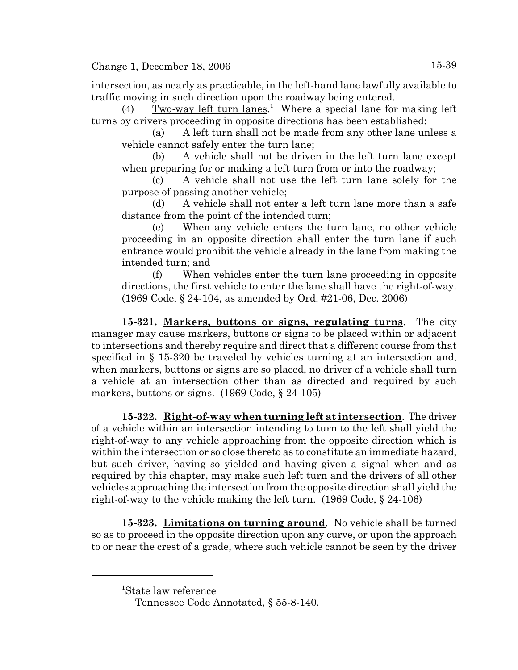intersection, as nearly as practicable, in the left-hand lane lawfully available to traffic moving in such direction upon the roadway being entered.

(4) Two-way left turn lanes.<sup>1</sup> Where a special lane for making left turns by drivers proceeding in opposite directions has been established:

(a) A left turn shall not be made from any other lane unless a vehicle cannot safely enter the turn lane;

(b) A vehicle shall not be driven in the left turn lane except when preparing for or making a left turn from or into the roadway;

(c) A vehicle shall not use the left turn lane solely for the purpose of passing another vehicle;

(d) A vehicle shall not enter a left turn lane more than a safe distance from the point of the intended turn;

When any vehicle enters the turn lane, no other vehicle proceeding in an opposite direction shall enter the turn lane if such entrance would prohibit the vehicle already in the lane from making the intended turn; and

(f) When vehicles enter the turn lane proceeding in opposite directions, the first vehicle to enter the lane shall have the right-of-way. (1969 Code, § 24-104, as amended by Ord. #21-06, Dec. 2006)

**15-321. Markers, buttons or signs, regulating turns**. The city manager may cause markers, buttons or signs to be placed within or adjacent to intersections and thereby require and direct that a different course from that specified in § 15-320 be traveled by vehicles turning at an intersection and, when markers, buttons or signs are so placed, no driver of a vehicle shall turn a vehicle at an intersection other than as directed and required by such markers, buttons or signs. (1969 Code, § 24-105)

**15-322. Right-of-way when turning left at intersection**. The driver of a vehicle within an intersection intending to turn to the left shall yield the right-of-way to any vehicle approaching from the opposite direction which is within the intersection or so close thereto as to constitute an immediate hazard, but such driver, having so yielded and having given a signal when and as required by this chapter, may make such left turn and the drivers of all other vehicles approaching the intersection from the opposite direction shall yield the right-of-way to the vehicle making the left turn. (1969 Code, § 24-106)

**15-323. Limitations on turning around**. No vehicle shall be turned so as to proceed in the opposite direction upon any curve, or upon the approach to or near the crest of a grade, where such vehicle cannot be seen by the driver

<sup>1</sup> State law reference

Tennessee Code Annotated, § 55-8-140.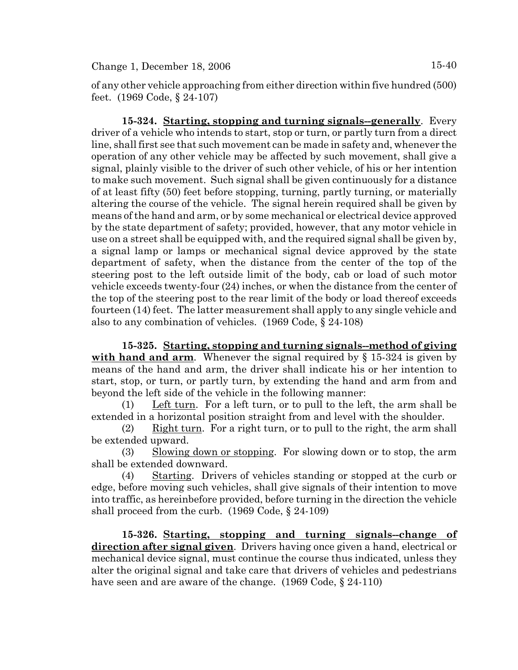of any other vehicle approaching from either direction within five hundred (500) feet. (1969 Code, § 24-107)

**15-324. Starting, stopping and turning signals--generally**. Every driver of a vehicle who intends to start, stop or turn, or partly turn from a direct line, shall first see that such movement can be made in safety and, whenever the operation of any other vehicle may be affected by such movement, shall give a signal, plainly visible to the driver of such other vehicle, of his or her intention to make such movement. Such signal shall be given continuously for a distance of at least fifty (50) feet before stopping, turning, partly turning, or materially altering the course of the vehicle. The signal herein required shall be given by means of the hand and arm, or by some mechanical or electrical device approved by the state department of safety; provided, however, that any motor vehicle in use on a street shall be equipped with, and the required signal shall be given by, a signal lamp or lamps or mechanical signal device approved by the state department of safety, when the distance from the center of the top of the steering post to the left outside limit of the body, cab or load of such motor vehicle exceeds twenty-four (24) inches, or when the distance from the center of the top of the steering post to the rear limit of the body or load thereof exceeds fourteen (14) feet. The latter measurement shall apply to any single vehicle and also to any combination of vehicles. (1969 Code, § 24-108)

**15-325. Starting, stopping and turning signals--method of giving with hand and arm**. Whenever the signal required by § 15-324 is given by means of the hand and arm, the driver shall indicate his or her intention to start, stop, or turn, or partly turn, by extending the hand and arm from and beyond the left side of the vehicle in the following manner:

(1) Left turn. For a left turn, or to pull to the left, the arm shall be extended in a horizontal position straight from and level with the shoulder.

(2) Right turn. For a right turn, or to pull to the right, the arm shall be extended upward.

(3) Slowing down or stopping. For slowing down or to stop, the arm shall be extended downward.

(4) Starting. Drivers of vehicles standing or stopped at the curb or edge, before moving such vehicles, shall give signals of their intention to move into traffic, as hereinbefore provided, before turning in the direction the vehicle shall proceed from the curb. (1969 Code, § 24-109)

**15-326. Starting, stopping and turning signals--change of direction after signal given**. Drivers having once given a hand, electrical or mechanical device signal, must continue the course thus indicated, unless they alter the original signal and take care that drivers of vehicles and pedestrians have seen and are aware of the change. (1969 Code, § 24-110)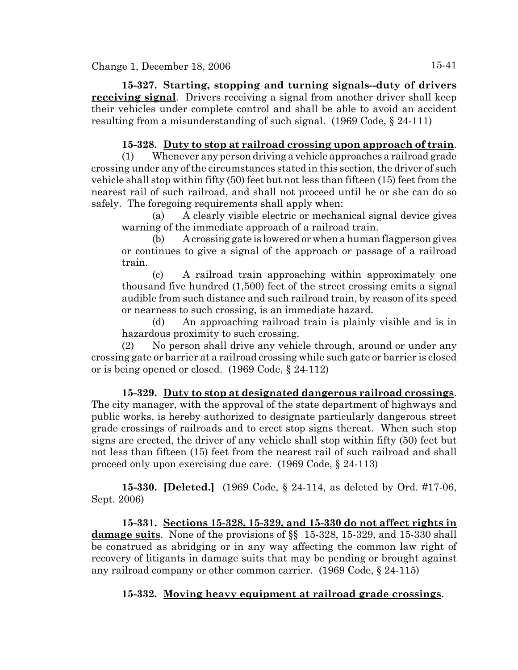**15-327. Starting, stopping and turning signals--duty of drivers receiving signal**. Drivers receiving a signal from another driver shall keep their vehicles under complete control and shall be able to avoid an accident resulting from a misunderstanding of such signal. (1969 Code, § 24-111)

# **15-328. Duty to stop at railroad crossing upon approach of train**.

(1) Whenever any person driving a vehicle approaches a railroad grade crossing under any of the circumstances stated in this section, the driver of such vehicle shall stop within fifty (50) feet but not less than fifteen (15) feet from the nearest rail of such railroad, and shall not proceed until he or she can do so safely. The foregoing requirements shall apply when:

(a) A clearly visible electric or mechanical signal device gives warning of the immediate approach of a railroad train.

(b) A crossing gate is lowered or when a human flagperson gives or continues to give a signal of the approach or passage of a railroad train.

(c) A railroad train approaching within approximately one thousand five hundred (1,500) feet of the street crossing emits a signal audible from such distance and such railroad train, by reason of its speed or nearness to such crossing, is an immediate hazard.

(d) An approaching railroad train is plainly visible and is in hazardous proximity to such crossing.

(2) No person shall drive any vehicle through, around or under any crossing gate or barrier at a railroad crossing while such gate or barrier is closed or is being opened or closed. (1969 Code, § 24-112)

**15-329. Duty to stop at designated dangerous railroad crossings**. The city manager, with the approval of the state department of highways and public works, is hereby authorized to designate particularly dangerous street grade crossings of railroads and to erect stop signs thereat. When such stop signs are erected, the driver of any vehicle shall stop within fifty (50) feet but not less than fifteen (15) feet from the nearest rail of such railroad and shall proceed only upon exercising due care. (1969 Code, § 24-113)

**15-330. [Deleted.]** (1969 Code, § 24-114, as deleted by Ord. #17-06, Sept. 2006)

**15-331. Sections 15-328, 15-329, and 15-330 do not affect rights in damage suits**. None of the provisions of §§ 15-328, 15-329, and 15-330 shall be construed as abridging or in any way affecting the common law right of recovery of litigants in damage suits that may be pending or brought against any railroad company or other common carrier. (1969 Code, § 24-115)

# **15-332. Moving heavy equipment at railroad grade crossings**.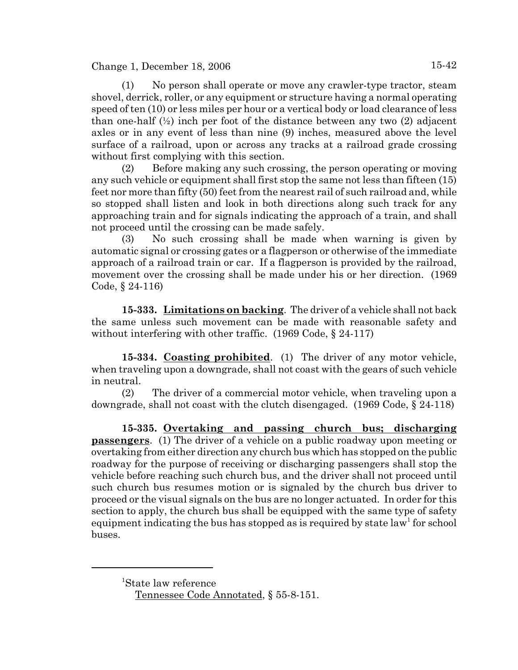(1) No person shall operate or move any crawler-type tractor, steam shovel, derrick, roller, or any equipment or structure having a normal operating speed of ten (10) or less miles per hour or a vertical body or load clearance of less than one-half  $(\frac{1}{2})$  inch per foot of the distance between any two  $(2)$  adjacent axles or in any event of less than nine (9) inches, measured above the level surface of a railroad, upon or across any tracks at a railroad grade crossing without first complying with this section.

(2) Before making any such crossing, the person operating or moving any such vehicle or equipment shall first stop the same not less than fifteen (15) feet nor more than fifty (50) feet from the nearest rail of such railroad and, while so stopped shall listen and look in both directions along such track for any approaching train and for signals indicating the approach of a train, and shall not proceed until the crossing can be made safely.

(3) No such crossing shall be made when warning is given by automatic signal or crossing gates or a flagperson or otherwise of the immediate approach of a railroad train or car. If a flagperson is provided by the railroad, movement over the crossing shall be made under his or her direction. (1969 Code, § 24-116)

**15-333. Limitations on backing**. The driver of a vehicle shall not back the same unless such movement can be made with reasonable safety and without interfering with other traffic. (1969 Code, § 24-117)

**15-334. Coasting prohibited**. (1) The driver of any motor vehicle, when traveling upon a downgrade, shall not coast with the gears of such vehicle in neutral.

(2) The driver of a commercial motor vehicle, when traveling upon a downgrade, shall not coast with the clutch disengaged. (1969 Code, § 24-118)

**15-335. Overtaking and passing church bus; discharging passengers**. (1) The driver of a vehicle on a public roadway upon meeting or overtaking from either direction any church bus which has stopped on the public roadway for the purpose of receiving or discharging passengers shall stop the vehicle before reaching such church bus, and the driver shall not proceed until such church bus resumes motion or is signaled by the church bus driver to proceed or the visual signals on the bus are no longer actuated. In order for this section to apply, the church bus shall be equipped with the same type of safety equipment indicating the bus has stopped as is required by state law<sup>1</sup> for school buses.

<sup>1</sup> State law reference

Tennessee Code Annotated, § 55-8-151.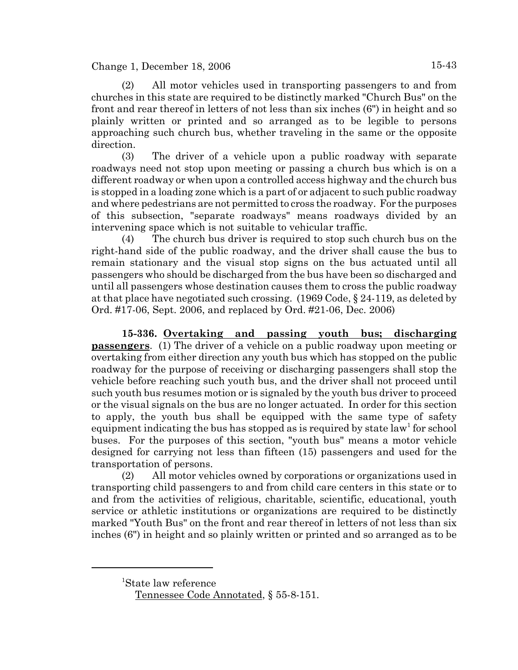(2) All motor vehicles used in transporting passengers to and from churches in this state are required to be distinctly marked "Church Bus" on the front and rear thereof in letters of not less than six inches (6") in height and so plainly written or printed and so arranged as to be legible to persons approaching such church bus, whether traveling in the same or the opposite direction.

(3) The driver of a vehicle upon a public roadway with separate roadways need not stop upon meeting or passing a church bus which is on a different roadway or when upon a controlled access highway and the church bus is stopped in a loading zone which is a part of or adjacent to such public roadway and where pedestrians are not permitted to cross the roadway. For the purposes of this subsection, "separate roadways" means roadways divided by an intervening space which is not suitable to vehicular traffic.

(4) The church bus driver is required to stop such church bus on the right-hand side of the public roadway, and the driver shall cause the bus to remain stationary and the visual stop signs on the bus actuated until all passengers who should be discharged from the bus have been so discharged and until all passengers whose destination causes them to cross the public roadway at that place have negotiated such crossing. (1969 Code, § 24-119, as deleted by Ord. #17-06, Sept. 2006, and replaced by Ord. #21-06, Dec. 2006)

**15-336. Overtaking and passing youth bus; discharging passengers**. (1) The driver of a vehicle on a public roadway upon meeting or overtaking from either direction any youth bus which has stopped on the public roadway for the purpose of receiving or discharging passengers shall stop the vehicle before reaching such youth bus, and the driver shall not proceed until such youth bus resumes motion or is signaled by the youth bus driver to proceed or the visual signals on the bus are no longer actuated. In order for this section to apply, the youth bus shall be equipped with the same type of safety equipment indicating the bus has stopped as is required by state law<sup>1</sup> for school buses. For the purposes of this section, "youth bus" means a motor vehicle designed for carrying not less than fifteen (15) passengers and used for the transportation of persons.

(2) All motor vehicles owned by corporations or organizations used in transporting child passengers to and from child care centers in this state or to and from the activities of religious, charitable, scientific, educational, youth service or athletic institutions or organizations are required to be distinctly marked "Youth Bus" on the front and rear thereof in letters of not less than six inches (6") in height and so plainly written or printed and so arranged as to be

<sup>1</sup> State law reference

Tennessee Code Annotated, § 55-8-151.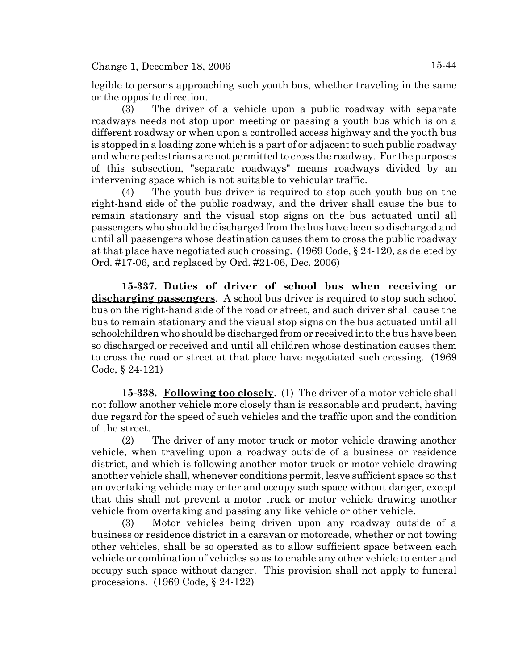legible to persons approaching such youth bus, whether traveling in the same or the opposite direction.

(3) The driver of a vehicle upon a public roadway with separate roadways needs not stop upon meeting or passing a youth bus which is on a different roadway or when upon a controlled access highway and the youth bus is stopped in a loading zone which is a part of or adjacent to such public roadway and where pedestrians are not permitted to cross the roadway. For the purposes of this subsection, "separate roadways" means roadways divided by an intervening space which is not suitable to vehicular traffic.

(4) The youth bus driver is required to stop such youth bus on the right-hand side of the public roadway, and the driver shall cause the bus to remain stationary and the visual stop signs on the bus actuated until all passengers who should be discharged from the bus have been so discharged and until all passengers whose destination causes them to cross the public roadway at that place have negotiated such crossing. (1969 Code, § 24-120, as deleted by Ord. #17-06, and replaced by Ord. #21-06, Dec. 2006)

**15-337. Duties of driver of school bus when receiving or discharging passengers**. A school bus driver is required to stop such school bus on the right-hand side of the road or street, and such driver shall cause the bus to remain stationary and the visual stop signs on the bus actuated until all schoolchildren who should be discharged from or received into the bus have been so discharged or received and until all children whose destination causes them to cross the road or street at that place have negotiated such crossing. (1969 Code, § 24-121)

**15-338. Following too closely**. (1) The driver of a motor vehicle shall not follow another vehicle more closely than is reasonable and prudent, having due regard for the speed of such vehicles and the traffic upon and the condition of the street.

(2) The driver of any motor truck or motor vehicle drawing another vehicle, when traveling upon a roadway outside of a business or residence district, and which is following another motor truck or motor vehicle drawing another vehicle shall, whenever conditions permit, leave sufficient space so that an overtaking vehicle may enter and occupy such space without danger, except that this shall not prevent a motor truck or motor vehicle drawing another vehicle from overtaking and passing any like vehicle or other vehicle.

(3) Motor vehicles being driven upon any roadway outside of a business or residence district in a caravan or motorcade, whether or not towing other vehicles, shall be so operated as to allow sufficient space between each vehicle or combination of vehicles so as to enable any other vehicle to enter and occupy such space without danger. This provision shall not apply to funeral processions. (1969 Code, § 24-122)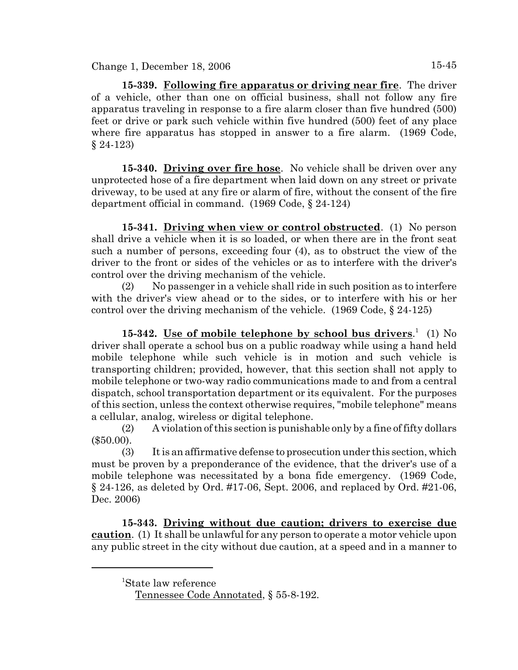**15-339. Following fire apparatus or driving near fire**. The driver of a vehicle, other than one on official business, shall not follow any fire apparatus traveling in response to a fire alarm closer than five hundred (500) feet or drive or park such vehicle within five hundred (500) feet of any place where fire apparatus has stopped in answer to a fire alarm. (1969 Code, § 24-123)

**15-340. Driving over fire hose**. No vehicle shall be driven over any unprotected hose of a fire department when laid down on any street or private driveway, to be used at any fire or alarm of fire, without the consent of the fire department official in command. (1969 Code, § 24-124)

**15-341. Driving when view or control obstructed**. (1) No person shall drive a vehicle when it is so loaded, or when there are in the front seat such a number of persons, exceeding four (4), as to obstruct the view of the driver to the front or sides of the vehicles or as to interfere with the driver's control over the driving mechanism of the vehicle.

(2) No passenger in a vehicle shall ride in such position as to interfere with the driver's view ahead or to the sides, or to interfere with his or her control over the driving mechanism of the vehicle.  $(1969 \text{ Code}, \S 24-125)$ 

15-342. <u>Use of mobile telephone by school bus drivers.</u><sup>1</sup> (1) No driver shall operate a school bus on a public roadway while using a hand held mobile telephone while such vehicle is in motion and such vehicle is transporting children; provided, however, that this section shall not apply to mobile telephone or two-way radio communications made to and from a central dispatch, school transportation department or its equivalent. For the purposes of this section, unless the context otherwise requires, "mobile telephone" means a cellular, analog, wireless or digital telephone.

(2) A violation of this section is punishable only by a fine of fifty dollars (\$50.00).

(3) It is an affirmative defense to prosecution under this section, which must be proven by a preponderance of the evidence, that the driver's use of a mobile telephone was necessitated by a bona fide emergency. (1969 Code, § 24-126, as deleted by Ord. #17-06, Sept. 2006, and replaced by Ord. #21-06, Dec. 2006)

**15-343. Driving without due caution; drivers to exercise due caution**. (1) It shall be unlawful for any person to operate a motor vehicle upon any public street in the city without due caution, at a speed and in a manner to

<sup>1</sup> State law reference

Tennessee Code Annotated, § 55-8-192.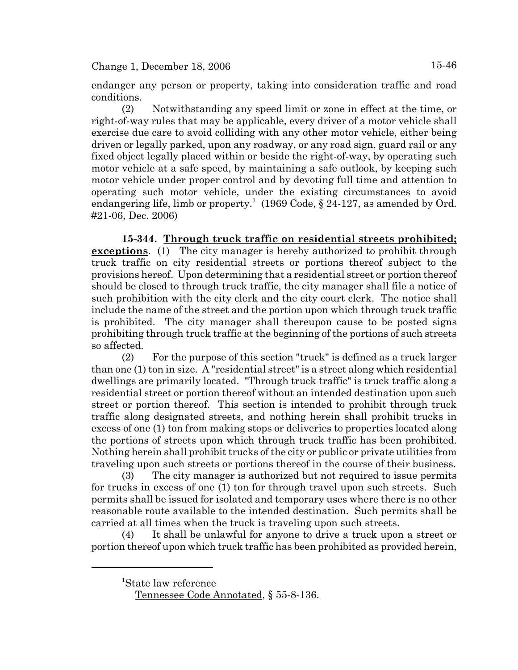endanger any person or property, taking into consideration traffic and road conditions.

(2) Notwithstanding any speed limit or zone in effect at the time, or right-of-way rules that may be applicable, every driver of a motor vehicle shall exercise due care to avoid colliding with any other motor vehicle, either being driven or legally parked, upon any roadway, or any road sign, guard rail or any fixed object legally placed within or beside the right-of-way, by operating such motor vehicle at a safe speed, by maintaining a safe outlook, by keeping such motor vehicle under proper control and by devoting full time and attention to operating such motor vehicle, under the existing circumstances to avoid endangering life, limb or property.<sup>1</sup> (1969 Code, § 24-127, as amended by Ord. #21-06, Dec. 2006)

**15-344. Through truck traffic on residential streets prohibited; exceptions**. (1) The city manager is hereby authorized to prohibit through truck traffic on city residential streets or portions thereof subject to the provisions hereof. Upon determining that a residential street or portion thereof should be closed to through truck traffic, the city manager shall file a notice of such prohibition with the city clerk and the city court clerk. The notice shall include the name of the street and the portion upon which through truck traffic is prohibited. The city manager shall thereupon cause to be posted signs prohibiting through truck traffic at the beginning of the portions of such streets so affected.

(2) For the purpose of this section "truck" is defined as a truck larger than one (1) ton in size. A "residential street" is a street along which residential dwellings are primarily located. "Through truck traffic" is truck traffic along a residential street or portion thereof without an intended destination upon such street or portion thereof. This section is intended to prohibit through truck traffic along designated streets, and nothing herein shall prohibit trucks in excess of one (1) ton from making stops or deliveries to properties located along the portions of streets upon which through truck traffic has been prohibited. Nothing herein shall prohibit trucks of the city or public or private utilities from traveling upon such streets or portions thereof in the course of their business.

(3) The city manager is authorized but not required to issue permits for trucks in excess of one (1) ton for through travel upon such streets. Such permits shall be issued for isolated and temporary uses where there is no other reasonable route available to the intended destination. Such permits shall be carried at all times when the truck is traveling upon such streets.

(4) It shall be unlawful for anyone to drive a truck upon a street or portion thereof upon which truck traffic has been prohibited as provided herein,

<sup>1</sup> State law reference

Tennessee Code Annotated, § 55-8-136.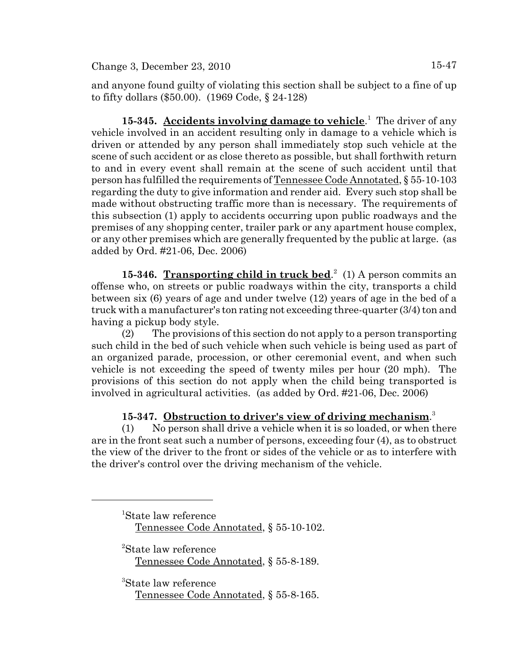and anyone found guilty of violating this section shall be subject to a fine of up to fifty dollars (\$50.00). (1969 Code, § 24-128)

15-345. Accidents involving damage to vehicle.<sup>1</sup> The driver of any vehicle involved in an accident resulting only in damage to a vehicle which is driven or attended by any person shall immediately stop such vehicle at the scene of such accident or as close thereto as possible, but shall forthwith return to and in every event shall remain at the scene of such accident until that person has fulfilled the requirements of Tennessee Code Annotated, § 55-10-103 regarding the duty to give information and render aid. Every such stop shall be made without obstructing traffic more than is necessary. The requirements of this subsection (1) apply to accidents occurring upon public roadways and the premises of any shopping center, trailer park or any apartment house complex, or any other premises which are generally frequented by the public at large. (as added by Ord. #21-06, Dec. 2006)

15-346. Transporting child in truck bed.<sup>2</sup> (1) A person commits an offense who, on streets or public roadways within the city, transports a child between six (6) years of age and under twelve (12) years of age in the bed of a truck with a manufacturer's ton rating not exceeding three-quarter (3/4) ton and having a pickup body style.

(2) The provisions of this section do not apply to a person transporting such child in the bed of such vehicle when such vehicle is being used as part of an organized parade, procession, or other ceremonial event, and when such vehicle is not exceeding the speed of twenty miles per hour (20 mph). The provisions of this section do not apply when the child being transported is involved in agricultural activities. (as added by Ord. #21-06, Dec. 2006)

# **15-347. Obstruction to driver's view of driving mechanism**. 3

(1) No person shall drive a vehicle when it is so loaded, or when there are in the front seat such a number of persons, exceeding four (4), as to obstruct the view of the driver to the front or sides of the vehicle or as to interfere with the driver's control over the driving mechanism of the vehicle.

1 State law reference Tennessee Code Annotated, § 55-10-102.

2 State law reference Tennessee Code Annotated, § 55-8-189.

3 State law reference Tennessee Code Annotated, § 55-8-165.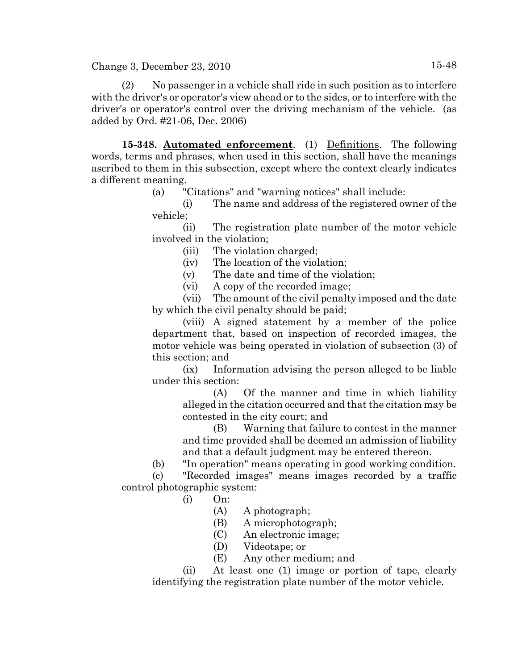(2) No passenger in a vehicle shall ride in such position as to interfere with the driver's or operator's view ahead or to the sides, or to interfere with the driver's or operator's control over the driving mechanism of the vehicle. (as added by Ord. #21-06, Dec. 2006)

**15-348. Automated enforcement**. (1) Definitions. The following words, terms and phrases, when used in this section, shall have the meanings ascribed to them in this subsection, except where the context clearly indicates a different meaning.

(a) "Citations" and "warning notices" shall include:

(i) The name and address of the registered owner of the vehicle;

(ii) The registration plate number of the motor vehicle involved in the violation;

(iii) The violation charged;

(iv) The location of the violation;

(v) The date and time of the violation;

(vi) A copy of the recorded image;

(vii) The amount of the civil penalty imposed and the date by which the civil penalty should be paid;

(viii) A signed statement by a member of the police department that, based on inspection of recorded images, the motor vehicle was being operated in violation of subsection (3) of this section; and

(ix) Information advising the person alleged to be liable under this section:

> (A) Of the manner and time in which liability alleged in the citation occurred and that the citation may be contested in the city court; and

(B) Warning that failure to contest in the manner and time provided shall be deemed an admission of liability and that a default judgment may be entered thereon.

(b) "In operation" means operating in good working condition.

(c) "Recorded images" means images recorded by a traffic control photographic system:

- $(i)$  On:
	- (A) A photograph;
	- (B) A microphotograph;
	- (C) An electronic image;
	- (D) Videotape; or
	- (E) Any other medium; and

(ii) At least one (1) image or portion of tape, clearly identifying the registration plate number of the motor vehicle.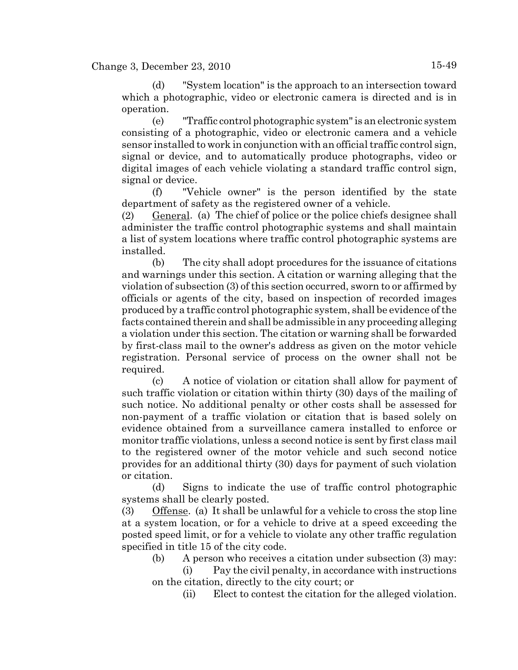(d) "System location" is the approach to an intersection toward which a photographic, video or electronic camera is directed and is in operation.

(e) "Traffic control photographic system" is an electronic system consisting of a photographic, video or electronic camera and a vehicle sensor installed to work in conjunction with an official traffic control sign, signal or device, and to automatically produce photographs, video or digital images of each vehicle violating a standard traffic control sign, signal or device.

(f) "Vehicle owner" is the person identified by the state department of safety as the registered owner of a vehicle.

(2) General. (a) The chief of police or the police chiefs designee shall administer the traffic control photographic systems and shall maintain a list of system locations where traffic control photographic systems are installed.

(b) The city shall adopt procedures for the issuance of citations and warnings under this section. A citation or warning alleging that the violation of subsection (3) of this section occurred, sworn to or affirmed by officials or agents of the city, based on inspection of recorded images produced by a traffic control photographic system, shall be evidence of the facts contained therein and shall be admissible in any proceeding alleging a violation under this section. The citation or warning shall be forwarded by first-class mail to the owner's address as given on the motor vehicle registration. Personal service of process on the owner shall not be required.

(c) A notice of violation or citation shall allow for payment of such traffic violation or citation within thirty (30) days of the mailing of such notice. No additional penalty or other costs shall be assessed for non-payment of a traffic violation or citation that is based solely on evidence obtained from a surveillance camera installed to enforce or monitor traffic violations, unless a second notice is sent by first class mail to the registered owner of the motor vehicle and such second notice provides for an additional thirty (30) days for payment of such violation or citation.

(d) Signs to indicate the use of traffic control photographic systems shall be clearly posted.

(3) Offense. (a) It shall be unlawful for a vehicle to cross the stop line at a system location, or for a vehicle to drive at a speed exceeding the posted speed limit, or for a vehicle to violate any other traffic regulation specified in title 15 of the city code.

(b) A person who receives a citation under subsection (3) may:

(i) Pay the civil penalty, in accordance with instructions on the citation, directly to the city court; or

(ii) Elect to contest the citation for the alleged violation.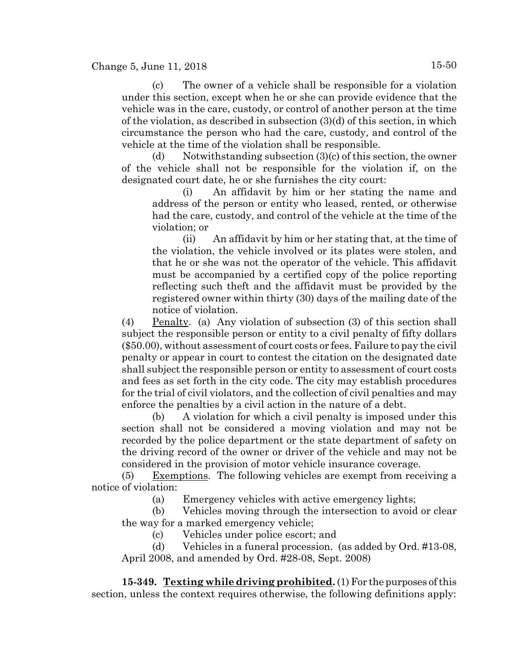(c) The owner of a vehicle shall be responsible for a violation under this section, except when he or she can provide evidence that the vehicle was in the care, custody, or control of another person at the time of the violation, as described in subsection (3)(d) of this section, in which circumstance the person who had the care, custody, and control of the vehicle at the time of the violation shall be responsible.

(d) Notwithstanding subsection  $(3)(c)$  of this section, the owner of the vehicle shall not be responsible for the violation if, on the designated court date, he or she furnishes the city court:

(i) An affidavit by him or her stating the name and address of the person or entity who leased, rented, or otherwise had the care, custody, and control of the vehicle at the time of the violation; or

(ii) An affidavit by him or her stating that, at the time of the violation, the vehicle involved or its plates were stolen, and that he or she was not the operator of the vehicle. This affidavit must be accompanied by a certified copy of the police reporting reflecting such theft and the affidavit must be provided by the registered owner within thirty (30) days of the mailing date of the notice of violation.

(4) Penalty. (a) Any violation of subsection  $(3)$  of this section shall subject the responsible person or entity to a civil penalty of fifty dollars (\$50.00), without assessment of court costs or fees. Failure to pay the civil penalty or appear in court to contest the citation on the designated date shall subject the responsible person or entity to assessment of court costs and fees as set forth in the city code. The city may establish procedures for the trial of civil violators, and the collection of civil penalties and may enforce the penalties by a civil action in the nature of a debt.

(b) A violation for which a civil penalty is imposed under this section shall not be considered a moving violation and may not be recorded by the police department or the state department of safety on the driving record of the owner or driver of the vehicle and may not be considered in the provision of motor vehicle insurance coverage.

(5) Exemptions. The following vehicles are exempt from receiving a notice of violation:

(a) Emergency vehicles with active emergency lights;

(b) Vehicles moving through the intersection to avoid or clear the way for a marked emergency vehicle;

(c) Vehicles under police escort; and

(d) Vehicles in a funeral procession. (as added by Ord. #13-08, April 2008, and amended by Ord. #28-08, Sept. 2008)

**15-349. Texting while driving prohibited.** (1) For the purposes of this section, unless the context requires otherwise, the following definitions apply: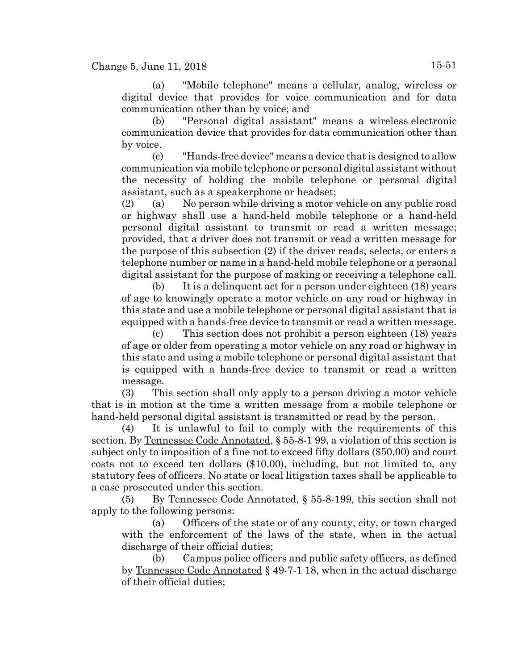(a) "Mobile telephone" means a cellular, analog, wireless or digital device that provides for voice communication and for data communication other than by voice; and

(b) "Personal digital assistant" means a wireless electronic communication device that provides for data communication other than by voice.

(c) "Hands-free device" means a device that is designed to allow communication via mobile telephone or personal digital assistant without the necessity of holding the mobile telephone or personal digital assistant, such as a speakerphone or headset;

(2) (a) No person while driving a motor vehicle on any public road or highway shall use a hand-held mobile telephone or a hand-held personal digital assistant to transmit or read a written message; provided, that a driver does not transmit or read a written message for the purpose of this subsection (2) if the driver reads, selects, or enters a telephone number or name in a hand-held mobile telephone or a personal digital assistant for the purpose of making or receiving a telephone call.

(b) It is a delinquent act for a person under eighteen (18) years of age to knowingly operate a motor vehicle on any road or highway in this state and use a mobile telephone or personal digital assistant that is equipped with a hands-free device to transmit or read a written message.

(c) This section does not prohibit a person eighteen (18) years of age or older from operating a motor vehicle on any road or highway in this state and using a mobile telephone or personal digital assistant that is equipped with a hands-free device to transmit or read a written message.

(3) This section shall only apply to a person driving a motor vehicle that is in motion at the time a written message from a mobile telephone or hand-held personal digital assistant is transmitted or read by the person.

(4) It is unlawful to fail to comply with the requirements of this section. By Tennessee Code Annotated, § 55-8-1 99, a violation of this section is subject only to imposition of a fine not to exceed fifty dollars (\$50.00) and court costs not to exceed ten dollars (\$10.00), including, but not limited to, any statutory fees of officers. No state or local litigation taxes shall be applicable to a case prosecuted under this section.

(5) By Tennessee Code Annotated, § 55-8-199, this section shall not apply to the following persons:

(a) Officers of the state or of any county, city, or town charged with the enforcement of the laws of the state, when in the actual discharge of their official duties;

(b) Campus police officers and public safety officers, as defined by Tennessee Code Annotated § 49-7-1 18, when in the actual discharge of their official duties;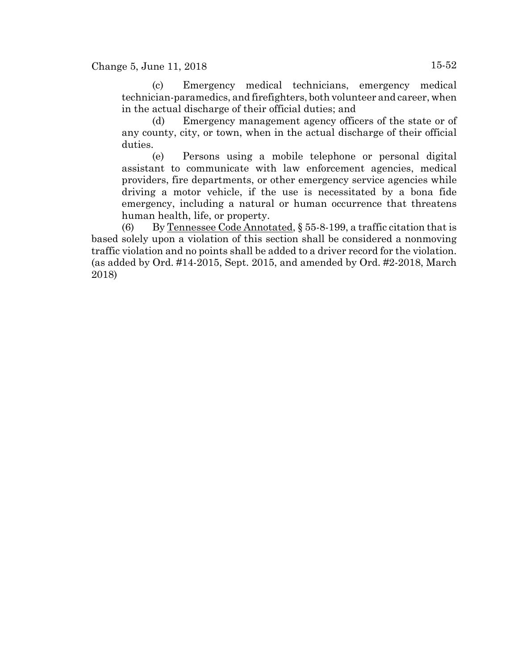Change 5, June 11, 2018 15-52

(c) Emergency medical technicians, emergency medical technician-paramedics, and firefighters, both volunteer and career, when in the actual discharge of their official duties; and

(d) Emergency management agency officers of the state or of any county, city, or town, when in the actual discharge of their official duties.

(e) Persons using a mobile telephone or personal digital assistant to communicate with law enforcement agencies, medical providers, fire departments, or other emergency service agencies while driving a motor vehicle, if the use is necessitated by a bona fide emergency, including a natural or human occurrence that threatens human health, life, or property.

(6) By Tennessee Code Annotated,  $\S$  55-8-199, a traffic citation that is based solely upon a violation of this section shall be considered a nonmoving traffic violation and no points shall be added to a driver record for the violation. (as added by Ord. #14-2015, Sept. 2015, and amended by Ord. #2-2018, March 2018)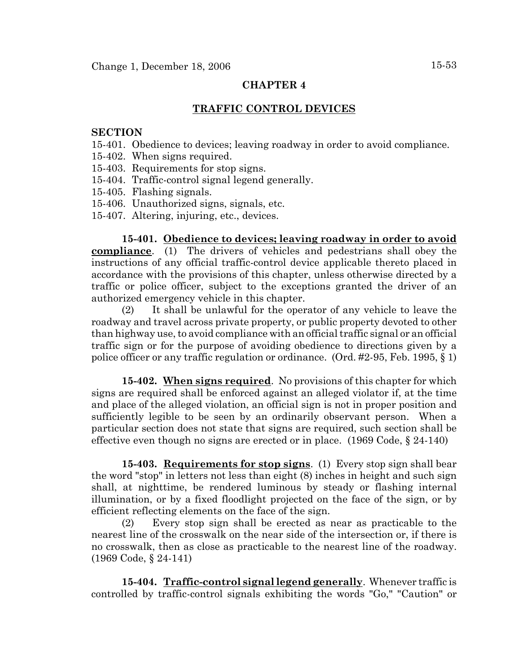#### **CHAPTER 4**

# **TRAFFIC CONTROL DEVICES**

#### **SECTION**

- 15-401. Obedience to devices; leaving roadway in order to avoid compliance.
- 15-402. When signs required.
- 15-403. Requirements for stop signs.
- 15-404. Traffic-control signal legend generally.
- 15-405. Flashing signals.
- 15-406. Unauthorized signs, signals, etc.
- 15-407. Altering, injuring, etc., devices.

**15-401. Obedience to devices; leaving roadway in order to avoid compliance**. (1) The drivers of vehicles and pedestrians shall obey the instructions of any official traffic-control device applicable thereto placed in accordance with the provisions of this chapter, unless otherwise directed by a traffic or police officer, subject to the exceptions granted the driver of an authorized emergency vehicle in this chapter.

(2) It shall be unlawful for the operator of any vehicle to leave the roadway and travel across private property, or public property devoted to other than highway use, to avoid compliance with an official traffic signal or an official traffic sign or for the purpose of avoiding obedience to directions given by a police officer or any traffic regulation or ordinance. (Ord. #2-95, Feb. 1995, § 1)

**15-402. When signs required**. No provisions of this chapter for which signs are required shall be enforced against an alleged violator if, at the time and place of the alleged violation, an official sign is not in proper position and sufficiently legible to be seen by an ordinarily observant person. When a particular section does not state that signs are required, such section shall be effective even though no signs are erected or in place. (1969 Code, § 24-140)

**15-403. Requirements for stop signs**. (1) Every stop sign shall bear the word "stop" in letters not less than eight (8) inches in height and such sign shall, at nighttime, be rendered luminous by steady or flashing internal illumination, or by a fixed floodlight projected on the face of the sign, or by efficient reflecting elements on the face of the sign.

(2) Every stop sign shall be erected as near as practicable to the nearest line of the crosswalk on the near side of the intersection or, if there is no crosswalk, then as close as practicable to the nearest line of the roadway. (1969 Code, § 24-141)

**15-404. Traffic-control signal legend generally**. Whenever traffic is controlled by traffic-control signals exhibiting the words "Go," "Caution" or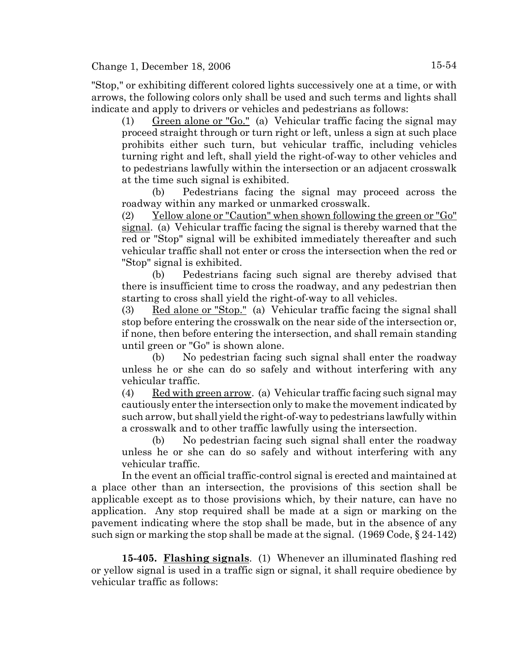"Stop," or exhibiting different colored lights successively one at a time, or with arrows, the following colors only shall be used and such terms and lights shall indicate and apply to drivers or vehicles and pedestrians as follows:

(1) Green alone or "Go." (a) Vehicular traffic facing the signal may proceed straight through or turn right or left, unless a sign at such place prohibits either such turn, but vehicular traffic, including vehicles turning right and left, shall yield the right-of-way to other vehicles and to pedestrians lawfully within the intersection or an adjacent crosswalk at the time such signal is exhibited.

(b) Pedestrians facing the signal may proceed across the roadway within any marked or unmarked crosswalk.

(2) Yellow alone or "Caution" when shown following the green or "Go" signal. (a) Vehicular traffic facing the signal is thereby warned that the red or "Stop" signal will be exhibited immediately thereafter and such vehicular traffic shall not enter or cross the intersection when the red or "Stop" signal is exhibited.

(b) Pedestrians facing such signal are thereby advised that there is insufficient time to cross the roadway, and any pedestrian then starting to cross shall yield the right-of-way to all vehicles.

(3) Red alone or "Stop." (a) Vehicular traffic facing the signal shall stop before entering the crosswalk on the near side of the intersection or, if none, then before entering the intersection, and shall remain standing until green or "Go" is shown alone.

(b) No pedestrian facing such signal shall enter the roadway unless he or she can do so safely and without interfering with any vehicular traffic.

 $(4)$  Red with green arrow. (a) Vehicular traffic facing such signal may cautiously enter the intersection only to make the movement indicated by such arrow, but shall yield the right-of-way to pedestrians lawfully within a crosswalk and to other traffic lawfully using the intersection.

(b) No pedestrian facing such signal shall enter the roadway unless he or she can do so safely and without interfering with any vehicular traffic.

In the event an official traffic-control signal is erected and maintained at a place other than an intersection, the provisions of this section shall be applicable except as to those provisions which, by their nature, can have no application. Any stop required shall be made at a sign or marking on the pavement indicating where the stop shall be made, but in the absence of any such sign or marking the stop shall be made at the signal. (1969 Code, § 24-142)

**15-405. Flashing signals**. (1) Whenever an illuminated flashing red or yellow signal is used in a traffic sign or signal, it shall require obedience by vehicular traffic as follows: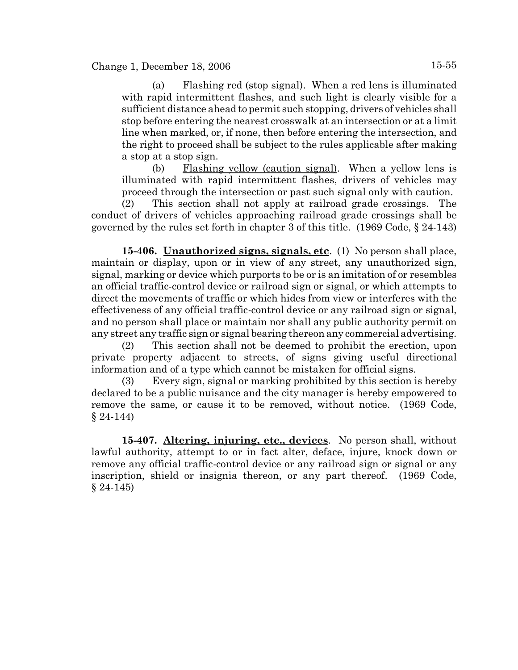(a) Flashing red (stop signal). When a red lens is illuminated with rapid intermittent flashes, and such light is clearly visible for a sufficient distance ahead to permit such stopping, drivers of vehicles shall stop before entering the nearest crosswalk at an intersection or at a limit line when marked, or, if none, then before entering the intersection, and the right to proceed shall be subject to the rules applicable after making a stop at a stop sign.

(b) Flashing yellow (caution signal). When a yellow lens is illuminated with rapid intermittent flashes, drivers of vehicles may proceed through the intersection or past such signal only with caution.

(2) This section shall not apply at railroad grade crossings. The conduct of drivers of vehicles approaching railroad grade crossings shall be governed by the rules set forth in chapter 3 of this title. (1969 Code, § 24-143)

**15-406. Unauthorized signs, signals, etc**. (1) No person shall place, maintain or display, upon or in view of any street, any unauthorized sign, signal, marking or device which purports to be or is an imitation of or resembles an official traffic-control device or railroad sign or signal, or which attempts to direct the movements of traffic or which hides from view or interferes with the effectiveness of any official traffic-control device or any railroad sign or signal, and no person shall place or maintain nor shall any public authority permit on any street any traffic sign or signal bearing thereon any commercial advertising.

(2) This section shall not be deemed to prohibit the erection, upon private property adjacent to streets, of signs giving useful directional information and of a type which cannot be mistaken for official signs.

(3) Every sign, signal or marking prohibited by this section is hereby declared to be a public nuisance and the city manager is hereby empowered to remove the same, or cause it to be removed, without notice. (1969 Code,  $§ 24-144)$ 

**15-407. Altering, injuring, etc., devices**. No person shall, without lawful authority, attempt to or in fact alter, deface, injure, knock down or remove any official traffic-control device or any railroad sign or signal or any inscription, shield or insignia thereon, or any part thereof. (1969 Code,  $§ 24-145)$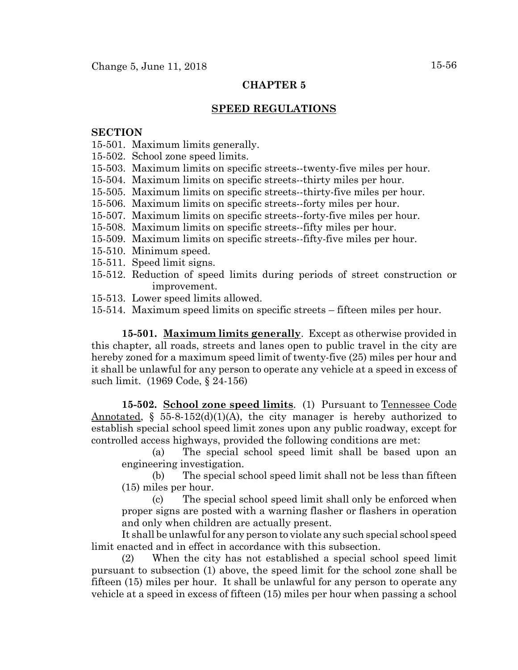# **CHAPTER 5**

# **SPEED REGULATIONS**

## **SECTION**

- 15-501. Maximum limits generally.
- 15-502. School zone speed limits.
- 15-503. Maximum limits on specific streets--twenty-five miles per hour.
- 15-504. Maximum limits on specific streets--thirty miles per hour.
- 15-505. Maximum limits on specific streets--thirty-five miles per hour.
- 15-506. Maximum limits on specific streets--forty miles per hour.
- 15-507. Maximum limits on specific streets--forty-five miles per hour.
- 15-508. Maximum limits on specific streets--fifty miles per hour.
- 15-509. Maximum limits on specific streets--fifty-five miles per hour.
- 15-510. Minimum speed.
- 15-511. Speed limit signs.
- 15-512. Reduction of speed limits during periods of street construction or improvement.
- 15-513. Lower speed limits allowed.
- 15-514. Maximum speed limits on specific streets fifteen miles per hour.

**15-501. Maximum limits generally**. Except as otherwise provided in this chapter, all roads, streets and lanes open to public travel in the city are hereby zoned for a maximum speed limit of twenty-five (25) miles per hour and it shall be unlawful for any person to operate any vehicle at a speed in excess of such limit. (1969 Code, § 24-156)

**15-502. School zone speed limits**. (1) Pursuant to Tennessee Code Annotated,  $\S$  55-8-152(d)(1)(A), the city manager is hereby authorized to establish special school speed limit zones upon any public roadway, except for controlled access highways, provided the following conditions are met:

(a) The special school speed limit shall be based upon an engineering investigation.

(b) The special school speed limit shall not be less than fifteen (15) miles per hour.

(c) The special school speed limit shall only be enforced when proper signs are posted with a warning flasher or flashers in operation and only when children are actually present.

It shall be unlawful for any person to violate any such special school speed limit enacted and in effect in accordance with this subsection.

(2) When the city has not established a special school speed limit pursuant to subsection (1) above, the speed limit for the school zone shall be fifteen (15) miles per hour. It shall be unlawful for any person to operate any vehicle at a speed in excess of fifteen (15) miles per hour when passing a school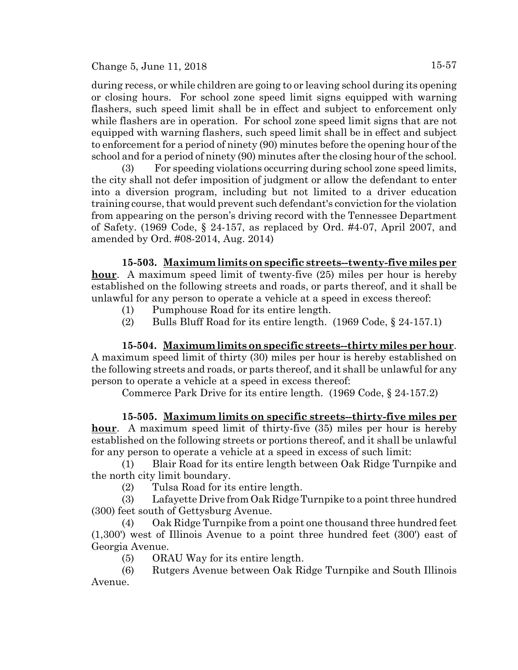Change 5, June 11, 2018  $15-57$ 

during recess, or while children are going to or leaving school during its opening or closing hours. For school zone speed limit signs equipped with warning flashers, such speed limit shall be in effect and subject to enforcement only while flashers are in operation. For school zone speed limit signs that are not equipped with warning flashers, such speed limit shall be in effect and subject to enforcement for a period of ninety (90) minutes before the opening hour of the school and for a period of ninety (90) minutes after the closing hour of the school.

(3) For speeding violations occurring during school zone speed limits, the city shall not defer imposition of judgment or allow the defendant to enter into a diversion program, including but not limited to a driver education training course, that would prevent such defendant's conviction for the violation from appearing on the person's driving record with the Tennessee Department of Safety. (1969 Code, § 24-157, as replaced by Ord. #4-07, April 2007, and amended by Ord. #08-2014, Aug. 2014)

**15-503. Maximum limits on specific streets--twenty-five miles per hour**. A maximum speed limit of twenty-five (25) miles per hour is hereby established on the following streets and roads, or parts thereof, and it shall be unlawful for any person to operate a vehicle at a speed in excess thereof:

- (1) Pumphouse Road for its entire length.
- (2) Bulls Bluff Road for its entire length. (1969 Code, § 24-157.1)

**15-504. Maximum limits on specific streets--thirty miles per hour**. A maximum speed limit of thirty (30) miles per hour is hereby established on the following streets and roads, or parts thereof, and it shall be unlawful for any person to operate a vehicle at a speed in excess thereof:

Commerce Park Drive for its entire length. (1969 Code, § 24-157.2)

**15-505. Maximum limits on specific streets--thirty-five miles per hour**. A maximum speed limit of thirty-five (35) miles per hour is hereby established on the following streets or portions thereof, and it shall be unlawful for any person to operate a vehicle at a speed in excess of such limit:

(1) Blair Road for its entire length between Oak Ridge Turnpike and the north city limit boundary.

(2) Tulsa Road for its entire length.

(3) Lafayette Drive from Oak Ridge Turnpike to a point three hundred (300) feet south of Gettysburg Avenue.

(4) Oak Ridge Turnpike from a point one thousand three hundred feet (1,300') west of Illinois Avenue to a point three hundred feet (300') east of Georgia Avenue.

(5) ORAU Way for its entire length.

(6) Rutgers Avenue between Oak Ridge Turnpike and South Illinois Avenue.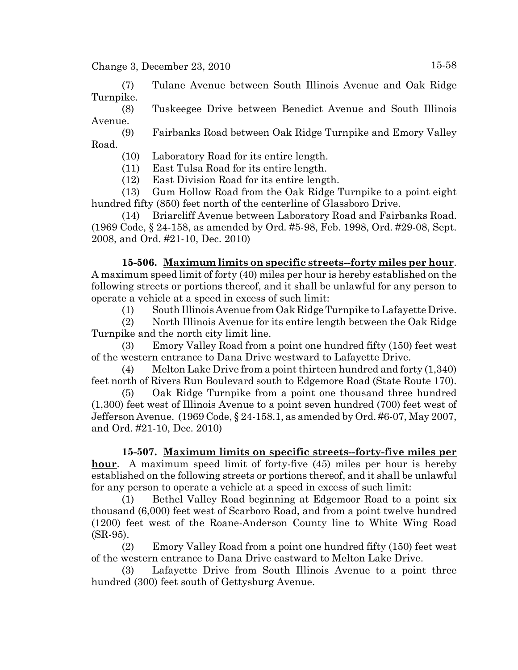(7) Tulane Avenue between South Illinois Avenue and Oak Ridge Turnpike.

(8) Tuskeegee Drive between Benedict Avenue and South Illinois Avenue.

(9) Fairbanks Road between Oak Ridge Turnpike and Emory Valley Road.

(10) Laboratory Road for its entire length.

(11) East Tulsa Road for its entire length.

(12) East Division Road for its entire length.

(13) Gum Hollow Road from the Oak Ridge Turnpike to a point eight hundred fifty (850) feet north of the centerline of Glassboro Drive.

(14) Briarcliff Avenue between Laboratory Road and Fairbanks Road. (1969 Code, § 24-158, as amended by Ord. #5-98, Feb. 1998, Ord. #29-08, Sept. 2008, and Ord. #21-10, Dec. 2010)

**15-506. Maximum limits on specific streets--forty miles per hour**. A maximum speed limit of forty (40) miles per hour is hereby established on the following streets or portions thereof, and it shall be unlawful for any person to operate a vehicle at a speed in excess of such limit:

(1) South Illinois Avenue from Oak Ridge Turnpike to Lafayette Drive.

(2) North Illinois Avenue for its entire length between the Oak Ridge Turnpike and the north city limit line.

(3) Emory Valley Road from a point one hundred fifty (150) feet west of the western entrance to Dana Drive westward to Lafayette Drive.

(4) Melton Lake Drive from a point thirteen hundred and forty (1,340) feet north of Rivers Run Boulevard south to Edgemore Road (State Route 170).

(5) Oak Ridge Turnpike from a point one thousand three hundred (1,300) feet west of Illinois Avenue to a point seven hundred (700) feet west of Jefferson Avenue. (1969 Code, § 24-158.1, as amended by Ord. #6-07, May 2007, and Ord. #21-10, Dec. 2010)

**15-507. Maximum limits on specific streets--forty-five miles per hour**. A maximum speed limit of forty-five (45) miles per hour is hereby established on the following streets or portions thereof, and it shall be unlawful for any person to operate a vehicle at a speed in excess of such limit:

(1) Bethel Valley Road beginning at Edgemoor Road to a point six thousand (6,000) feet west of Scarboro Road, and from a point twelve hundred (1200) feet west of the Roane-Anderson County line to White Wing Road (SR-95).

(2) Emory Valley Road from a point one hundred fifty (150) feet west of the western entrance to Dana Drive eastward to Melton Lake Drive.

(3) Lafayette Drive from South Illinois Avenue to a point three hundred (300) feet south of Gettysburg Avenue.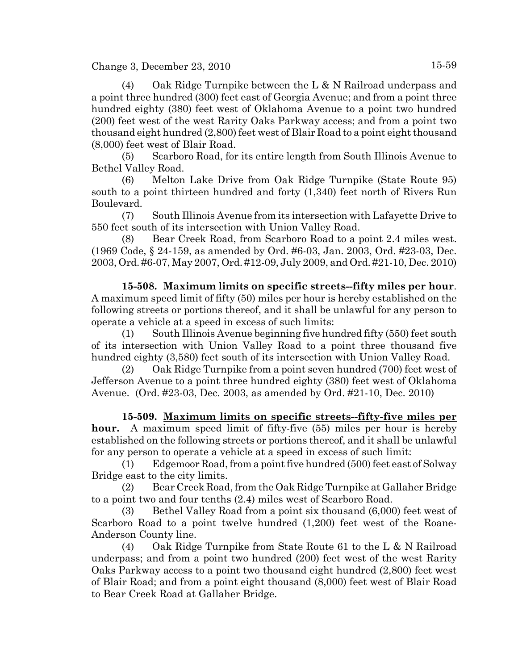(4) Oak Ridge Turnpike between the L & N Railroad underpass and a point three hundred (300) feet east of Georgia Avenue; and from a point three hundred eighty (380) feet west of Oklahoma Avenue to a point two hundred (200) feet west of the west Rarity Oaks Parkway access; and from a point two thousand eight hundred (2,800) feet west of Blair Road to a point eight thousand (8,000) feet west of Blair Road.

(5) Scarboro Road, for its entire length from South Illinois Avenue to Bethel Valley Road.

(6) Melton Lake Drive from Oak Ridge Turnpike (State Route 95) south to a point thirteen hundred and forty (1,340) feet north of Rivers Run Boulevard.

(7) South Illinois Avenue from its intersection with Lafayette Drive to 550 feet south of its intersection with Union Valley Road.

(8) Bear Creek Road, from Scarboro Road to a point 2.4 miles west. (1969 Code, § 24-159, as amended by Ord. #6-03, Jan. 2003, Ord. #23-03, Dec. 2003, Ord. #6-07, May 2007, Ord. #12-09, July 2009, and Ord. #21-10, Dec. 2010)

**15-508. Maximum limits on specific streets--fifty miles per hour**. A maximum speed limit of fifty (50) miles per hour is hereby established on the following streets or portions thereof, and it shall be unlawful for any person to operate a vehicle at a speed in excess of such limits:

(1) South Illinois Avenue beginning five hundred fifty (550) feet south of its intersection with Union Valley Road to a point three thousand five hundred eighty (3,580) feet south of its intersection with Union Valley Road.

(2) Oak Ridge Turnpike from a point seven hundred (700) feet west of Jefferson Avenue to a point three hundred eighty (380) feet west of Oklahoma Avenue. (Ord. #23-03, Dec. 2003, as amended by Ord. #21-10, Dec. 2010)

**15-509. Maximum limits on specific streets--fifty-five miles per hour.** A maximum speed limit of fifty-five (55) miles per hour is hereby established on the following streets or portions thereof, and it shall be unlawful for any person to operate a vehicle at a speed in excess of such limit:

(1) Edgemoor Road, from a point five hundred (500) feet east of Solway Bridge east to the city limits.

(2) Bear Creek Road, from the Oak Ridge Turnpike at Gallaher Bridge to a point two and four tenths (2.4) miles west of Scarboro Road.

(3) Bethel Valley Road from a point six thousand (6,000) feet west of Scarboro Road to a point twelve hundred (1,200) feet west of the Roane-Anderson County line.

(4) Oak Ridge Turnpike from State Route 61 to the L & N Railroad underpass; and from a point two hundred (200) feet west of the west Rarity Oaks Parkway access to a point two thousand eight hundred (2,800) feet west of Blair Road; and from a point eight thousand (8,000) feet west of Blair Road to Bear Creek Road at Gallaher Bridge.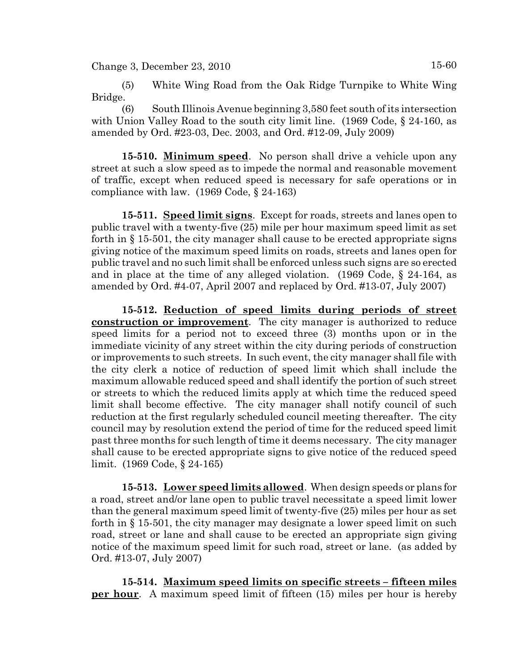(5) White Wing Road from the Oak Ridge Turnpike to White Wing Bridge.

(6) South Illinois Avenue beginning 3,580 feet south of its intersection with Union Valley Road to the south city limit line. (1969 Code, § 24-160, as amended by Ord. #23-03, Dec. 2003, and Ord. #12-09, July 2009)

**15-510. Minimum speed**. No person shall drive a vehicle upon any street at such a slow speed as to impede the normal and reasonable movement of traffic, except when reduced speed is necessary for safe operations or in compliance with law. (1969 Code, § 24-163)

**15-511. Speed limit signs**. Except for roads, streets and lanes open to public travel with a twenty-five (25) mile per hour maximum speed limit as set forth in § 15-501, the city manager shall cause to be erected appropriate signs giving notice of the maximum speed limits on roads, streets and lanes open for public travel and no such limit shall be enforced unless such signs are so erected and in place at the time of any alleged violation. (1969 Code, § 24-164, as amended by Ord. #4-07, April 2007 and replaced by Ord. #13-07, July 2007)

**15-512. Reduction of speed limits during periods of street construction or improvement**. The city manager is authorized to reduce speed limits for a period not to exceed three (3) months upon or in the immediate vicinity of any street within the city during periods of construction or improvements to such streets. In such event, the city manager shall file with the city clerk a notice of reduction of speed limit which shall include the maximum allowable reduced speed and shall identify the portion of such street or streets to which the reduced limits apply at which time the reduced speed limit shall become effective. The city manager shall notify council of such reduction at the first regularly scheduled council meeting thereafter. The city council may by resolution extend the period of time for the reduced speed limit past three months for such length of time it deems necessary. The city manager shall cause to be erected appropriate signs to give notice of the reduced speed limit. (1969 Code, § 24-165)

**15-513. Lower speed limits allowed**. When design speeds or plans for a road, street and/or lane open to public travel necessitate a speed limit lower than the general maximum speed limit of twenty-five (25) miles per hour as set forth in § 15-501, the city manager may designate a lower speed limit on such road, street or lane and shall cause to be erected an appropriate sign giving notice of the maximum speed limit for such road, street or lane. (as added by Ord. #13-07, July 2007)

**15-514. Maximum speed limits on specific streets – fifteen miles per hour**. A maximum speed limit of fifteen (15) miles per hour is hereby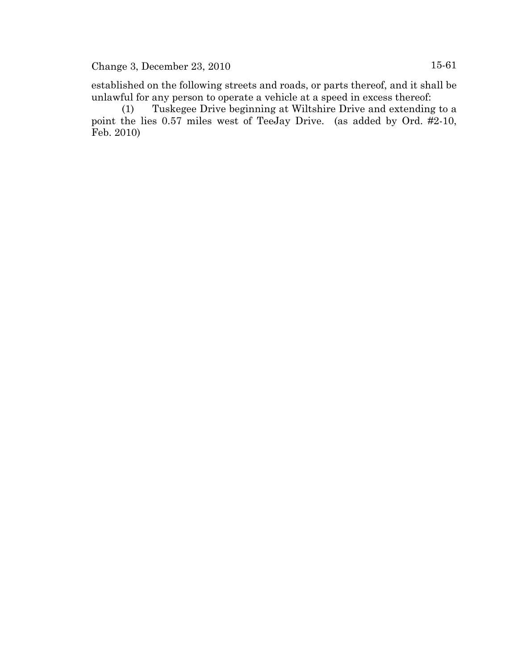established on the following streets and roads, or parts thereof, and it shall be unlawful for any person to operate a vehicle at a speed in excess thereof:

(1) Tuskegee Drive beginning at Wiltshire Drive and extending to a point the lies 0.57 miles west of TeeJay Drive. (as added by Ord. #2-10, Feb. 2010)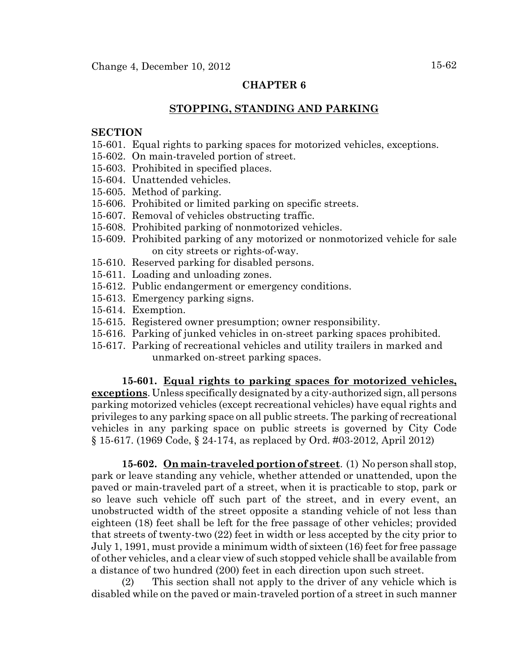### **CHAPTER 6**

### **STOPPING, STANDING AND PARKING**

#### **SECTION**

- 15-601. Equal rights to parking spaces for motorized vehicles, exceptions.
- 15-602. On main-traveled portion of street.
- 15-603. Prohibited in specified places.
- 15-604. Unattended vehicles.
- 15-605. Method of parking.
- 15-606. Prohibited or limited parking on specific streets.
- 15-607. Removal of vehicles obstructing traffic.
- 15-608. Prohibited parking of nonmotorized vehicles.
- 15-609. Prohibited parking of any motorized or nonmotorized vehicle for sale on city streets or rights-of-way.
- 15-610. Reserved parking for disabled persons.
- 15-611. Loading and unloading zones.
- 15-612. Public endangerment or emergency conditions.
- 15-613. Emergency parking signs.
- 15-614. Exemption.
- 15-615. Registered owner presumption; owner responsibility.
- 15-616. Parking of junked vehicles in on-street parking spaces prohibited.
- 15-617. Parking of recreational vehicles and utility trailers in marked and unmarked on-street parking spaces.

#### **15-601. Equal rights to parking spaces for motorized vehicles,**

**exceptions**. Unless specifically designated by a city-authorized sign, all persons parking motorized vehicles (except recreational vehicles) have equal rights and privileges to any parking space on all public streets. The parking of recreational vehicles in any parking space on public streets is governed by City Code § 15-617. (1969 Code, § 24-174, as replaced by Ord. #03-2012, April 2012)

**15-602. On main-traveled portion of street**. (1) No person shall stop, park or leave standing any vehicle, whether attended or unattended, upon the paved or main-traveled part of a street, when it is practicable to stop, park or so leave such vehicle off such part of the street, and in every event, an unobstructed width of the street opposite a standing vehicle of not less than eighteen (18) feet shall be left for the free passage of other vehicles; provided that streets of twenty-two (22) feet in width or less accepted by the city prior to July 1, 1991, must provide a minimum width of sixteen (16) feet for free passage of other vehicles, and a clear view of such stopped vehicle shall be available from a distance of two hundred (200) feet in each direction upon such street.

(2) This section shall not apply to the driver of any vehicle which is disabled while on the paved or main-traveled portion of a street in such manner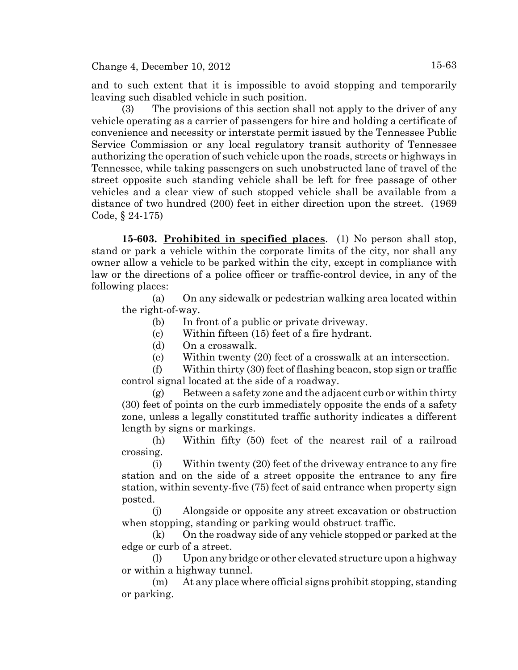and to such extent that it is impossible to avoid stopping and temporarily leaving such disabled vehicle in such position.

(3) The provisions of this section shall not apply to the driver of any vehicle operating as a carrier of passengers for hire and holding a certificate of convenience and necessity or interstate permit issued by the Tennessee Public Service Commission or any local regulatory transit authority of Tennessee authorizing the operation of such vehicle upon the roads, streets or highways in Tennessee, while taking passengers on such unobstructed lane of travel of the street opposite such standing vehicle shall be left for free passage of other vehicles and a clear view of such stopped vehicle shall be available from a distance of two hundred (200) feet in either direction upon the street. (1969 Code, § 24-175)

**15-603. Prohibited in specified places**. (1) No person shall stop, stand or park a vehicle within the corporate limits of the city, nor shall any owner allow a vehicle to be parked within the city, except in compliance with law or the directions of a police officer or traffic-control device, in any of the following places:

(a) On any sidewalk or pedestrian walking area located within the right-of-way.

(b) In front of a public or private driveway.

(c) Within fifteen (15) feet of a fire hydrant.

(d) On a crosswalk.

(e) Within twenty (20) feet of a crosswalk at an intersection.

(f) Within thirty (30) feet of flashing beacon, stop sign or traffic control signal located at the side of a roadway.

 $(g)$  Between a safety zone and the adjacent curb or within thirty (30) feet of points on the curb immediately opposite the ends of a safety zone, unless a legally constituted traffic authority indicates a different length by signs or markings.

(h) Within fifty (50) feet of the nearest rail of a railroad crossing.

(i) Within twenty (20) feet of the driveway entrance to any fire station and on the side of a street opposite the entrance to any fire station, within seventy-five (75) feet of said entrance when property sign posted.

(j) Alongside or opposite any street excavation or obstruction when stopping, standing or parking would obstruct traffic.

(k) On the roadway side of any vehicle stopped or parked at the edge or curb of a street.

(l) Upon any bridge or other elevated structure upon a highway or within a highway tunnel.

(m) At any place where official signs prohibit stopping, standing or parking.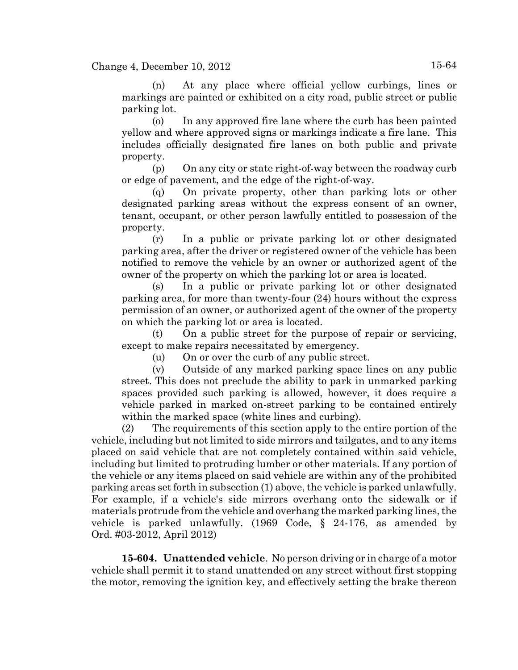(n) At any place where official yellow curbings, lines or markings are painted or exhibited on a city road, public street or public parking lot.

(o) In any approved fire lane where the curb has been painted yellow and where approved signs or markings indicate a fire lane. This includes officially designated fire lanes on both public and private property.

(p) On any city or state right-of-way between the roadway curb or edge of pavement, and the edge of the right-of-way.

(q) On private property, other than parking lots or other designated parking areas without the express consent of an owner, tenant, occupant, or other person lawfully entitled to possession of the property.

(r) In a public or private parking lot or other designated parking area, after the driver or registered owner of the vehicle has been notified to remove the vehicle by an owner or authorized agent of the owner of the property on which the parking lot or area is located.

(s) In a public or private parking lot or other designated parking area, for more than twenty-four (24) hours without the express permission of an owner, or authorized agent of the owner of the property on which the parking lot or area is located.

(t) On a public street for the purpose of repair or servicing, except to make repairs necessitated by emergency.

(u) On or over the curb of any public street.

(v) Outside of any marked parking space lines on any public street. This does not preclude the ability to park in unmarked parking spaces provided such parking is allowed, however, it does require a vehicle parked in marked on-street parking to be contained entirely within the marked space (white lines and curbing).

(2) The requirements of this section apply to the entire portion of the vehicle, including but not limited to side mirrors and tailgates, and to any items placed on said vehicle that are not completely contained within said vehicle, including but limited to protruding lumber or other materials. If any portion of the vehicle or any items placed on said vehicle are within any of the prohibited parking areas set forth in subsection (1) above, the vehicle is parked unlawfully. For example, if a vehicle's side mirrors overhang onto the sidewalk or if materials protrude from the vehicle and overhang the marked parking lines, the vehicle is parked unlawfully. (1969 Code, § 24-176, as amended by Ord. #03-2012, April 2012)

**15-604. Unattended vehicle**. No person driving or in charge of a motor vehicle shall permit it to stand unattended on any street without first stopping the motor, removing the ignition key, and effectively setting the brake thereon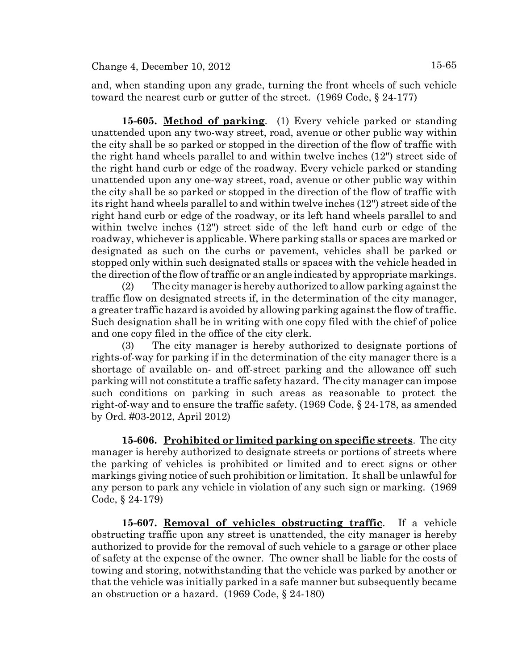and, when standing upon any grade, turning the front wheels of such vehicle toward the nearest curb or gutter of the street. (1969 Code, § 24-177)

**15-605. Method of parking**. (1) Every vehicle parked or standing unattended upon any two-way street, road, avenue or other public way within the city shall be so parked or stopped in the direction of the flow of traffic with the right hand wheels parallel to and within twelve inches (12") street side of the right hand curb or edge of the roadway. Every vehicle parked or standing unattended upon any one-way street, road, avenue or other public way within the city shall be so parked or stopped in the direction of the flow of traffic with its right hand wheels parallel to and within twelve inches (12") street side of the right hand curb or edge of the roadway, or its left hand wheels parallel to and within twelve inches (12") street side of the left hand curb or edge of the roadway, whichever is applicable. Where parking stalls or spaces are marked or designated as such on the curbs or pavement, vehicles shall be parked or stopped only within such designated stalls or spaces with the vehicle headed in the direction of the flow of traffic or an angle indicated by appropriate markings.

(2) The city manager is hereby authorized to allow parking against the traffic flow on designated streets if, in the determination of the city manager, a greater traffic hazard is avoided by allowing parking against the flow of traffic. Such designation shall be in writing with one copy filed with the chief of police and one copy filed in the office of the city clerk.

(3) The city manager is hereby authorized to designate portions of rights-of-way for parking if in the determination of the city manager there is a shortage of available on- and off-street parking and the allowance off such parking will not constitute a traffic safety hazard. The city manager can impose such conditions on parking in such areas as reasonable to protect the right-of-way and to ensure the traffic safety. (1969 Code, § 24-178, as amended by Ord. #03-2012, April 2012)

**15-606. Prohibited or limited parking on specific streets**. The city manager is hereby authorized to designate streets or portions of streets where the parking of vehicles is prohibited or limited and to erect signs or other markings giving notice of such prohibition or limitation. It shall be unlawful for any person to park any vehicle in violation of any such sign or marking. (1969 Code, § 24-179)

**15-607. Removal of vehicles obstructing traffic**. If a vehicle obstructing traffic upon any street is unattended, the city manager is hereby authorized to provide for the removal of such vehicle to a garage or other place of safety at the expense of the owner. The owner shall be liable for the costs of towing and storing, notwithstanding that the vehicle was parked by another or that the vehicle was initially parked in a safe manner but subsequently became an obstruction or a hazard. (1969 Code, § 24-180)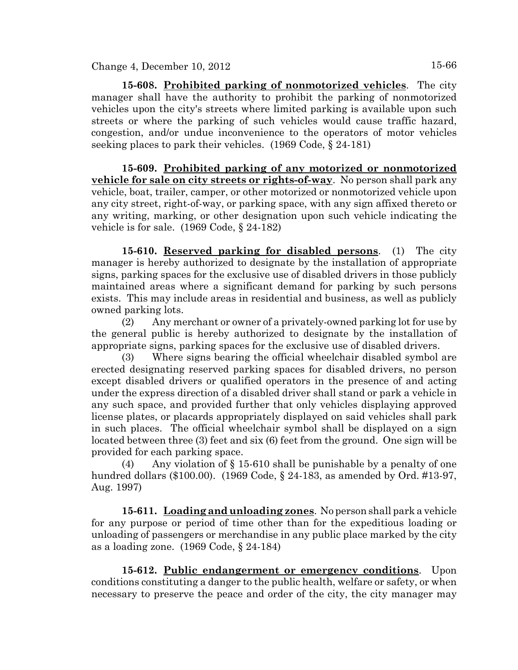**15-608. Prohibited parking of nonmotorized vehicles**. The city manager shall have the authority to prohibit the parking of nonmotorized vehicles upon the city's streets where limited parking is available upon such streets or where the parking of such vehicles would cause traffic hazard, congestion, and/or undue inconvenience to the operators of motor vehicles seeking places to park their vehicles. (1969 Code, § 24-181)

**15-609. Prohibited parking of any motorized or nonmotorized vehicle for sale on city streets or rights-of-way**. No person shall park any vehicle, boat, trailer, camper, or other motorized or nonmotorized vehicle upon any city street, right-of-way, or parking space, with any sign affixed thereto or any writing, marking, or other designation upon such vehicle indicating the vehicle is for sale. (1969 Code, § 24-182)

**15-610. Reserved parking for disabled persons**. (1) The city manager is hereby authorized to designate by the installation of appropriate signs, parking spaces for the exclusive use of disabled drivers in those publicly maintained areas where a significant demand for parking by such persons exists. This may include areas in residential and business, as well as publicly owned parking lots.

(2) Any merchant or owner of a privately-owned parking lot for use by the general public is hereby authorized to designate by the installation of appropriate signs, parking spaces for the exclusive use of disabled drivers.

(3) Where signs bearing the official wheelchair disabled symbol are erected designating reserved parking spaces for disabled drivers, no person except disabled drivers or qualified operators in the presence of and acting under the express direction of a disabled driver shall stand or park a vehicle in any such space, and provided further that only vehicles displaying approved license plates, or placards appropriately displayed on said vehicles shall park in such places. The official wheelchair symbol shall be displayed on a sign located between three (3) feet and six (6) feet from the ground. One sign will be provided for each parking space.

(4) Any violation of § 15-610 shall be punishable by a penalty of one hundred dollars (\$100.00). (1969 Code, § 24-183, as amended by Ord. #13-97, Aug. 1997)

**15-611. Loading and unloading zones**. No person shall park a vehicle for any purpose or period of time other than for the expeditious loading or unloading of passengers or merchandise in any public place marked by the city as a loading zone. (1969 Code, § 24-184)

**15-612. Public endangerment or emergency conditions**. Upon conditions constituting a danger to the public health, welfare or safety, or when necessary to preserve the peace and order of the city, the city manager may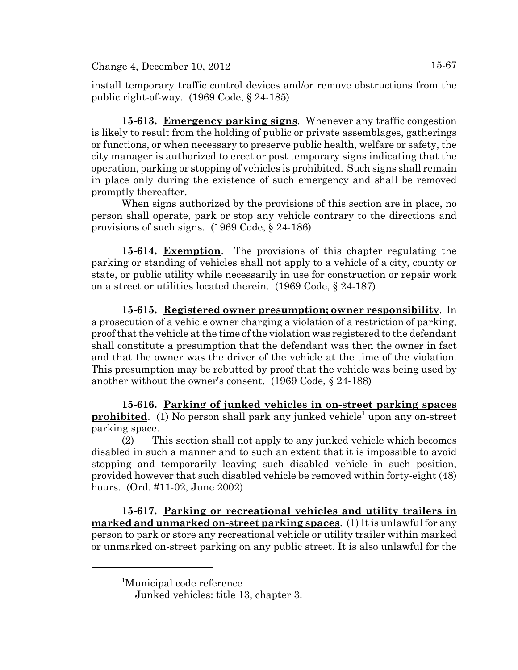$Change 4, December 10, 2012$   $15-67$ 

install temporary traffic control devices and/or remove obstructions from the public right-of-way. (1969 Code, § 24-185)

**15-613. Emergency parking signs**. Whenever any traffic congestion is likely to result from the holding of public or private assemblages, gatherings or functions, or when necessary to preserve public health, welfare or safety, the city manager is authorized to erect or post temporary signs indicating that the operation, parking or stopping of vehicles is prohibited. Such signs shall remain in place only during the existence of such emergency and shall be removed promptly thereafter.

When signs authorized by the provisions of this section are in place, no person shall operate, park or stop any vehicle contrary to the directions and provisions of such signs. (1969 Code, § 24-186)

**15-614. Exemption**. The provisions of this chapter regulating the parking or standing of vehicles shall not apply to a vehicle of a city, county or state, or public utility while necessarily in use for construction or repair work on a street or utilities located therein. (1969 Code, § 24-187)

**15-615. Registered owner presumption; owner responsibility**. In a prosecution of a vehicle owner charging a violation of a restriction of parking, proof that the vehicle at the time of the violation was registered to the defendant shall constitute a presumption that the defendant was then the owner in fact and that the owner was the driver of the vehicle at the time of the violation. This presumption may be rebutted by proof that the vehicle was being used by another without the owner's consent. (1969 Code, § 24-188)

**15-616. Parking of junked vehicles in on-street parking spaces prohibited**. (1) No person shall park any junked vehicle<sup>1</sup> upon any on-street parking space.

(2) This section shall not apply to any junked vehicle which becomes disabled in such a manner and to such an extent that it is impossible to avoid stopping and temporarily leaving such disabled vehicle in such position, provided however that such disabled vehicle be removed within forty-eight (48) hours. (Ord. #11-02, June 2002)

**15-617. Parking or recreational vehicles and utility trailers in marked and unmarked on-street parking spaces**. (1) It is unlawful for any person to park or store any recreational vehicle or utility trailer within marked or unmarked on-street parking on any public street. It is also unlawful for the

<sup>1</sup> Municipal code reference

Junked vehicles: title 13, chapter 3.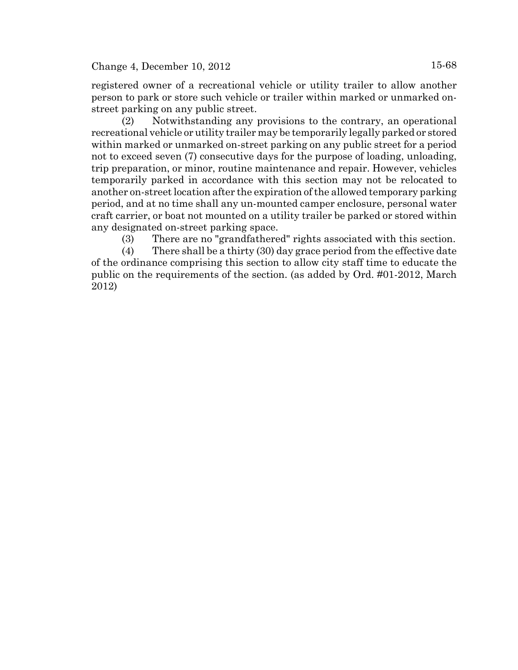registered owner of a recreational vehicle or utility trailer to allow another person to park or store such vehicle or trailer within marked or unmarked onstreet parking on any public street.

(2) Notwithstanding any provisions to the contrary, an operational recreational vehicle or utility trailer may be temporarily legally parked or stored within marked or unmarked on-street parking on any public street for a period not to exceed seven (7) consecutive days for the purpose of loading, unloading, trip preparation, or minor, routine maintenance and repair. However, vehicles temporarily parked in accordance with this section may not be relocated to another on-street location after the expiration of the allowed temporary parking period, and at no time shall any un-mounted camper enclosure, personal water craft carrier, or boat not mounted on a utility trailer be parked or stored within any designated on-street parking space.

(3) There are no "grandfathered" rights associated with this section.

(4) There shall be a thirty (30) day grace period from the effective date of the ordinance comprising this section to allow city staff time to educate the public on the requirements of the section. (as added by Ord. #01-2012, March 2012)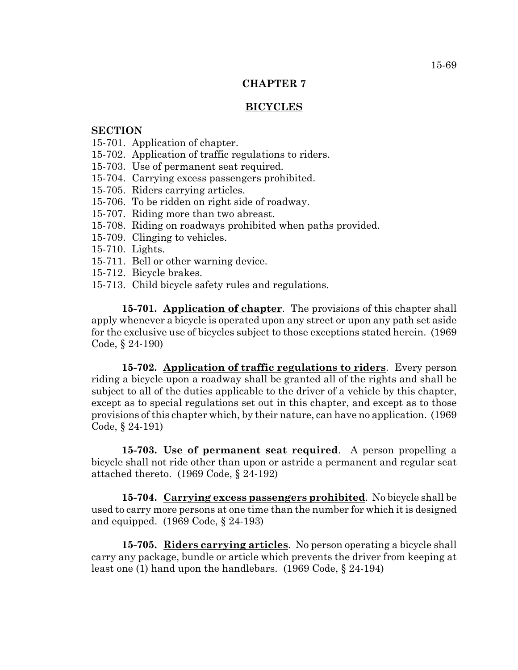## **CHAPTER 7**

### **BICYCLES**

### **SECTION**

- 15-701. Application of chapter.
- 15-702. Application of traffic regulations to riders.
- 15-703. Use of permanent seat required.
- 15-704. Carrying excess passengers prohibited.
- 15-705. Riders carrying articles.
- 15-706. To be ridden on right side of roadway.
- 15-707. Riding more than two abreast.
- 15-708. Riding on roadways prohibited when paths provided.
- 15-709. Clinging to vehicles.
- 15-710. Lights.
- 15-711. Bell or other warning device.
- 15-712. Bicycle brakes.
- 15-713. Child bicycle safety rules and regulations.

**15-701. Application of chapter**. The provisions of this chapter shall apply whenever a bicycle is operated upon any street or upon any path set aside for the exclusive use of bicycles subject to those exceptions stated herein. (1969 Code, § 24-190)

**15-702. Application of traffic regulations to riders**. Every person riding a bicycle upon a roadway shall be granted all of the rights and shall be subject to all of the duties applicable to the driver of a vehicle by this chapter, except as to special regulations set out in this chapter, and except as to those provisions of this chapter which, by their nature, can have no application. (1969 Code, § 24-191)

**15-703. Use of permanent seat required**. A person propelling a bicycle shall not ride other than upon or astride a permanent and regular seat attached thereto. (1969 Code, § 24-192)

**15-704. Carrying excess passengers prohibited**. No bicycle shall be used to carry more persons at one time than the number for which it is designed and equipped. (1969 Code, § 24-193)

**15-705. Riders carrying articles**. No person operating a bicycle shall carry any package, bundle or article which prevents the driver from keeping at least one (1) hand upon the handlebars. (1969 Code, § 24-194)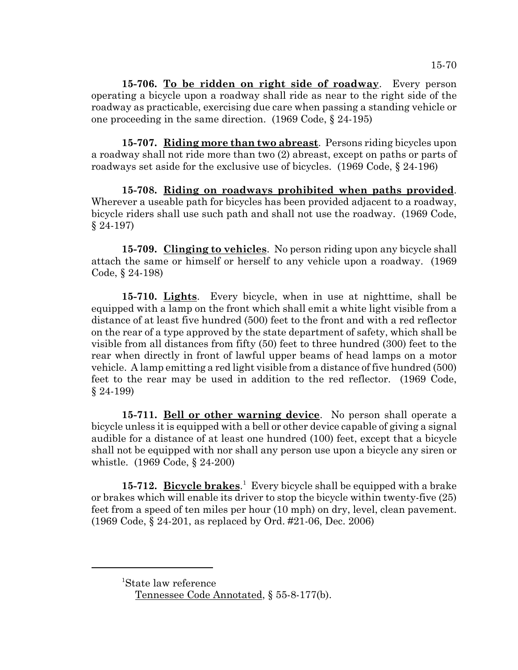**15-706. To be ridden on right side of roadway**. Every person operating a bicycle upon a roadway shall ride as near to the right side of the roadway as practicable, exercising due care when passing a standing vehicle or one proceeding in the same direction. (1969 Code, § 24-195)

**15-707. Riding more than two abreast**. Persons riding bicycles upon a roadway shall not ride more than two (2) abreast, except on paths or parts of roadways set aside for the exclusive use of bicycles. (1969 Code, § 24-196)

**15-708. Riding on roadways prohibited when paths provided**. Wherever a useable path for bicycles has been provided adjacent to a roadway, bicycle riders shall use such path and shall not use the roadway. (1969 Code, § 24-197)

**15-709. Clinging to vehicles**. No person riding upon any bicycle shall attach the same or himself or herself to any vehicle upon a roadway. (1969 Code, § 24-198)

**15-710. Lights**. Every bicycle, when in use at nighttime, shall be equipped with a lamp on the front which shall emit a white light visible from a distance of at least five hundred (500) feet to the front and with a red reflector on the rear of a type approved by the state department of safety, which shall be visible from all distances from fifty (50) feet to three hundred (300) feet to the rear when directly in front of lawful upper beams of head lamps on a motor vehicle. A lamp emitting a red light visible from a distance of five hundred (500) feet to the rear may be used in addition to the red reflector. (1969 Code, § 24-199)

**15-711. Bell or other warning device**. No person shall operate a bicycle unless it is equipped with a bell or other device capable of giving a signal audible for a distance of at least one hundred (100) feet, except that a bicycle shall not be equipped with nor shall any person use upon a bicycle any siren or whistle. (1969 Code, § 24-200)

15-712. Bicycle brakes.<sup>1</sup> Every bicycle shall be equipped with a brake or brakes which will enable its driver to stop the bicycle within twenty-five (25) feet from a speed of ten miles per hour (10 mph) on dry, level, clean pavement. (1969 Code, § 24-201, as replaced by Ord. #21-06, Dec. 2006)

<sup>1</sup> State law reference

Tennessee Code Annotated, § 55-8-177(b).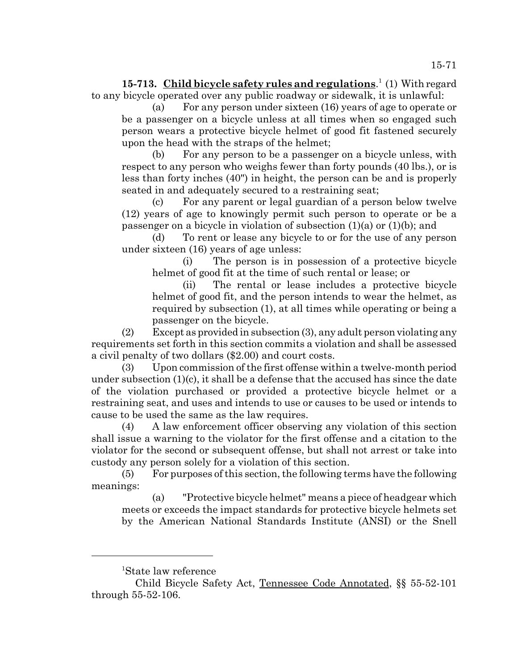15-713. Child bicycle safety rules and regulations.<sup>1</sup> (1) With regard to any bicycle operated over any public roadway or sidewalk, it is unlawful:

(a) For any person under sixteen (16) years of age to operate or be a passenger on a bicycle unless at all times when so engaged such person wears a protective bicycle helmet of good fit fastened securely upon the head with the straps of the helmet;

(b) For any person to be a passenger on a bicycle unless, with respect to any person who weighs fewer than forty pounds (40 lbs.), or is less than forty inches (40") in height, the person can be and is properly seated in and adequately secured to a restraining seat;

(c) For any parent or legal guardian of a person below twelve (12) years of age to knowingly permit such person to operate or be a passenger on a bicycle in violation of subsection  $(1)(a)$  or  $(1)(b)$ ; and

(d) To rent or lease any bicycle to or for the use of any person under sixteen (16) years of age unless:

(i) The person is in possession of a protective bicycle helmet of good fit at the time of such rental or lease; or

(ii) The rental or lease includes a protective bicycle helmet of good fit, and the person intends to wear the helmet, as required by subsection (1), at all times while operating or being a passenger on the bicycle.

(2) Except as provided in subsection (3), any adult person violating any requirements set forth in this section commits a violation and shall be assessed a civil penalty of two dollars (\$2.00) and court costs.

(3) Upon commission of the first offense within a twelve-month period under subsection (1)(c), it shall be a defense that the accused has since the date of the violation purchased or provided a protective bicycle helmet or a restraining seat, and uses and intends to use or causes to be used or intends to cause to be used the same as the law requires.

(4) A law enforcement officer observing any violation of this section shall issue a warning to the violator for the first offense and a citation to the violator for the second or subsequent offense, but shall not arrest or take into custody any person solely for a violation of this section.

(5) For purposes of this section, the following terms have the following meanings:

(a) "Protective bicycle helmet" means a piece of headgear which meets or exceeds the impact standards for protective bicycle helmets set by the American National Standards Institute (ANSI) or the Snell

<sup>1</sup> State law reference

Child Bicycle Safety Act, Tennessee Code Annotated, §§ 55-52-101 through 55-52-106.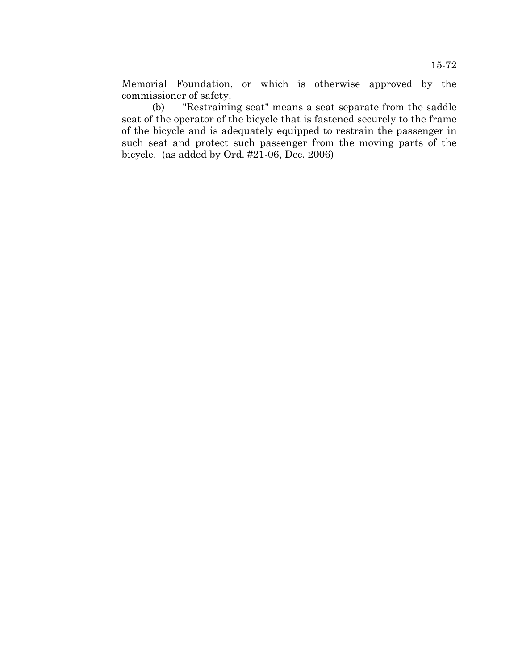Memorial Foundation, or which is otherwise approved by the commissioner of safety.

(b) "Restraining seat" means a seat separate from the saddle seat of the operator of the bicycle that is fastened securely to the frame of the bicycle and is adequately equipped to restrain the passenger in such seat and protect such passenger from the moving parts of the bicycle. (as added by Ord. #21-06, Dec. 2006)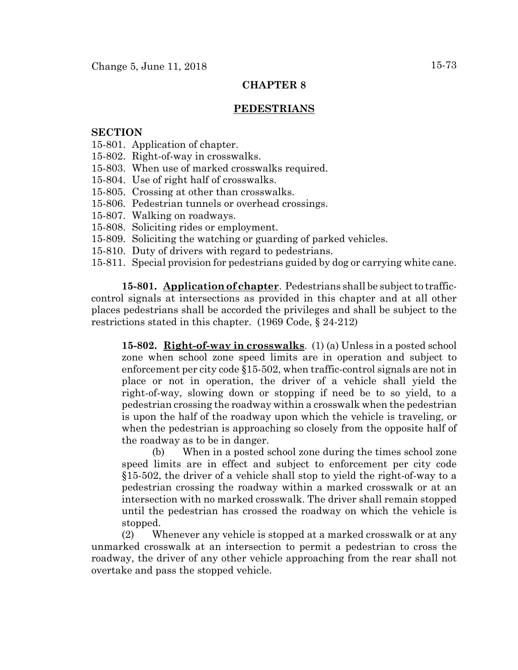## **CHAPTER 8**

## **PEDESTRIANS**

## **SECTION**

- 15-801. Application of chapter.
- 15-802. Right-of-way in crosswalks.
- 15-803. When use of marked crosswalks required.
- 15-804. Use of right half of crosswalks.
- 15-805. Crossing at other than crosswalks.
- 15-806. Pedestrian tunnels or overhead crossings.
- 15-807. Walking on roadways.
- 15-808. Soliciting rides or employment.
- 15-809. Soliciting the watching or guarding of parked vehicles.
- 15-810. Duty of drivers with regard to pedestrians.
- 15-811. Special provision for pedestrians guided by dog or carrying white cane.

**15-801. Application of chapter**. Pedestrians shall be subject to trafficcontrol signals at intersections as provided in this chapter and at all other places pedestrians shall be accorded the privileges and shall be subject to the restrictions stated in this chapter. (1969 Code, § 24-212)

**15-802. Right-of-way in crosswalks**. (1) (a) Unless in a posted school zone when school zone speed limits are in operation and subject to enforcement per city code §15-502, when traffic-control signals are not in place or not in operation, the driver of a vehicle shall yield the right-of-way, slowing down or stopping if need be to so yield, to a pedestrian crossing the roadway within a crosswalk when the pedestrian is upon the half of the roadway upon which the vehicle is traveling, or when the pedestrian is approaching so closely from the opposite half of the roadway as to be in danger.

(b) When in a posted school zone during the times school zone speed limits are in effect and subject to enforcement per city code §15-502, the driver of a vehicle shall stop to yield the right-of-way to a pedestrian crossing the roadway within a marked crosswalk or at an intersection with no marked crosswalk. The driver shall remain stopped until the pedestrian has crossed the roadway on which the vehicle is stopped.

(2) Whenever any vehicle is stopped at a marked crosswalk or at any unmarked crosswalk at an intersection to permit a pedestrian to cross the roadway, the driver of any other vehicle approaching from the rear shall not overtake and pass the stopped vehicle.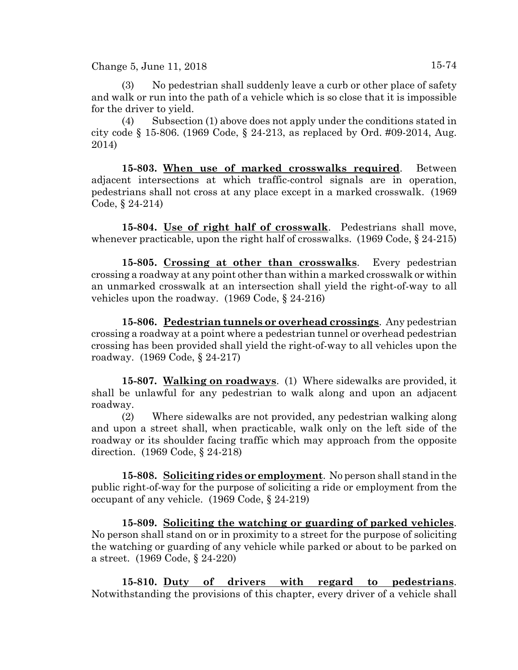Change 5, June 11, 2018  $15-74$ 

No pedestrian shall suddenly leave a curb or other place of safety and walk or run into the path of a vehicle which is so close that it is impossible

for the driver to yield. (4) Subsection (1) above does not apply under the conditions stated in city code § 15-806. (1969 Code, § 24-213, as replaced by Ord. #09-2014, Aug. 2014)

**15-803. When use of marked crosswalks required**. Between adjacent intersections at which traffic-control signals are in operation, pedestrians shall not cross at any place except in a marked crosswalk. (1969 Code, § 24-214)

**15-804. Use of right half of crosswalk**. Pedestrians shall move, whenever practicable, upon the right half of crosswalks. (1969 Code, § 24-215)

**15-805. Crossing at other than crosswalks**. Every pedestrian crossing a roadway at any point other than within a marked crosswalk or within an unmarked crosswalk at an intersection shall yield the right-of-way to all vehicles upon the roadway. (1969 Code, § 24-216)

**15-806. Pedestrian tunnels or overhead crossings**. Any pedestrian crossing a roadway at a point where a pedestrian tunnel or overhead pedestrian crossing has been provided shall yield the right-of-way to all vehicles upon the roadway. (1969 Code, § 24-217)

**15-807. Walking on roadways**. (1) Where sidewalks are provided, it shall be unlawful for any pedestrian to walk along and upon an adjacent roadway.

(2) Where sidewalks are not provided, any pedestrian walking along and upon a street shall, when practicable, walk only on the left side of the roadway or its shoulder facing traffic which may approach from the opposite direction. (1969 Code, § 24-218)

**15-808. Soliciting rides or employment**. No person shall stand in the public right-of-way for the purpose of soliciting a ride or employment from the occupant of any vehicle. (1969 Code, § 24-219)

**15-809. Soliciting the watching or guarding of parked vehicles**. No person shall stand on or in proximity to a street for the purpose of soliciting the watching or guarding of any vehicle while parked or about to be parked on a street. (1969 Code, § 24-220)

**15-810. Duty of drivers with regard to pedestrians**. Notwithstanding the provisions of this chapter, every driver of a vehicle shall